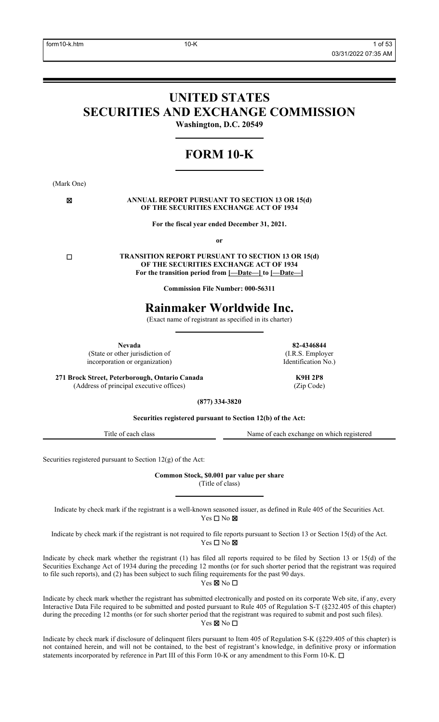# **UNITED STATES SECURITIES AND EXCHANGE COMMISSION**

**Washington, D.C. 20549**

# **FORM 10-K**

(Mark One)

## ☒ **ANNUAL REPORT PURSUANT TO SECTION 13 OR 15(d) OF THE SECURITIES EXCHANGE ACT OF 1934**

**For the fiscal year ended December 31, 2021.**

**or**

☐ **TRANSITION REPORT PURSUANT TO SECTION 13 OR 15(d) OF THE SECURITIES EXCHANGE ACT OF 1934 For the transition period from [—Date—] to [—Date—]**

**Commission File Number: 000-56311**

# **Rainmaker Worldwide Inc.**

(Exact name of registrant as specified in its charter)

(State or other jurisdiction of incorporation or organization)

**271 Brock Street, Peterborough, Ontario Canada K9H 2P8** (Address of principal executive offices) (Zip Code)

**(877) 334-3820**

**Securities registered pursuant to Section 12(b) of the Act:**

Title of each class Name of each exchange on which registered

Securities registered pursuant to Section 12(g) of the Act:

**Common Stock, \$0.001 par value per share**

(Title of class)

Indicate by check mark if the registrant is a well-known seasoned issuer, as defined in Rule 405 of the Securities Act.  $Yes \Box No \boxtimes$ 

Indicate by check mark if the registrant is not required to file reports pursuant to Section 13 or Section 15(d) of the Act. Yes □ No ⊠

Indicate by check mark whether the registrant (1) has filed all reports required to be filed by Section 13 or 15(d) of the Securities Exchange Act of 1934 during the preceding 12 months (or for such shorter period that the registrant was required to file such reports), and (2) has been subject to such filing requirements for the past 90 days. Yes $\boxtimes$  No  $\Box$ 

Indicate by check mark whether the registrant has submitted electronically and posted on its corporate Web site, if any, every Interactive Data File required to be submitted and posted pursuant to Rule 405 of Regulation S-T (§232.405 of this chapter) during the preceding 12 months (or for such shorter period that the registrant was required to submit and post such files). Yes $\boxtimes$  No  $\Box$ 

Indicate by check mark if disclosure of delinquent filers pursuant to Item 405 of Regulation S-K (§229.405 of this chapter) is not contained herein, and will not be contained, to the best of registrant's knowledge, in definitive proxy or information statements incorporated by reference in Part III of this Form 10-K or any amendment to this Form 10-K. □

**Nevada 82-4346844** (I.R.S. Employer Identification No.)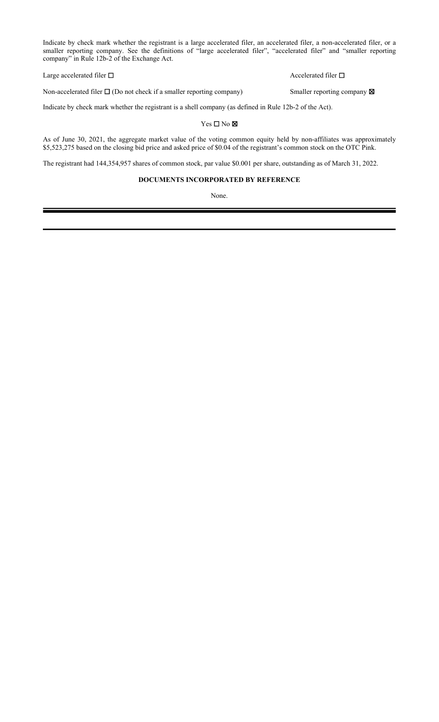Indicate by check mark whether the registrant is a large accelerated filer, an accelerated filer, a non-accelerated filer, or a smaller reporting company. See the definitions of "large accelerated filer", "accelerated filer" and "smaller reporting company" in Rule 12b-2 of the Exchange Act.

Large accelerated filer □ and a set of a set of a set of a set of a set of a set of a set of a set of a set of a set of a set of a set of a set of a set of a set of a set of a set of a set of a set of a set of a set of a

Non-accelerated filer □ (Do not check if a smaller reporting company) Smaller reporting company **⊠** 

Indicate by check mark whether the registrant is a shell company (as defined in Rule 12b-2 of the Act).

## Yes $□$  No  $□$

As of June 30, 2021, the aggregate market value of the voting common equity held by non-affiliates was approximately \$5,523,275 based on the closing bid price and asked price of \$0.04 of the registrant's common stock on the OTC Pink.

The registrant had 144,354,957 shares of common stock, par value \$0.001 per share, outstanding as of March 31, 2022.

# **DOCUMENTS INCORPORATED BY REFERENCE**

None.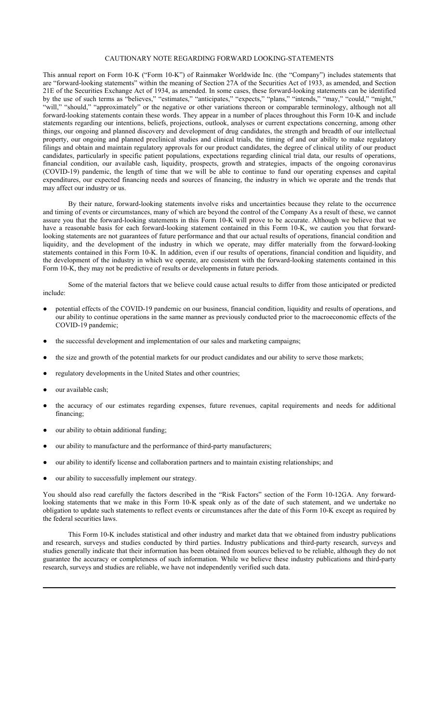# CAUTIONARY NOTE REGARDING FORWARD LOOKING-STATEMENTS

This annual report on Form 10-K ("Form 10-K") of Rainmaker Worldwide Inc. (the "Company") includes statements that are "forward-looking statements" within the meaning of Section 27A of the Securities Act of 1933, as amended, and Section 21E of the Securities Exchange Act of 1934, as amended. In some cases, these forward-looking statements can be identified by the use of such terms as "believes," "estimates," "anticipates," "expects," "plans," "intends," "may," "could," "might," "will," "should," "approximately" or the negative or other variations thereon or comparable terminology, although not all forward-looking statements contain these words. They appear in a number of places throughout this Form 10-K and include statements regarding our intentions, beliefs, projections, outlook, analyses or current expectations concerning, among other things, our ongoing and planned discovery and development of drug candidates, the strength and breadth of our intellectual property, our ongoing and planned preclinical studies and clinical trials, the timing of and our ability to make regulatory filings and obtain and maintain regulatory approvals for our product candidates, the degree of clinical utility of our product candidates, particularly in specific patient populations, expectations regarding clinical trial data, our results of operations, financial condition, our available cash, liquidity, prospects, growth and strategies, impacts of the ongoing coronavirus (COVID-19) pandemic, the length of time that we will be able to continue to fund our operating expenses and capital expenditures, our expected financing needs and sources of financing, the industry in which we operate and the trends that may affect our industry or us.

By their nature, forward-looking statements involve risks and uncertainties because they relate to the occurrence and timing of events or circumstances, many of which are beyond the control of the Company As a result of these, we cannot assure you that the forward-looking statements in this Form 10-K will prove to be accurate. Although we believe that we have a reasonable basis for each forward-looking statement contained in this Form 10-K, we caution you that forwardlooking statements are not guarantees of future performance and that our actual results of operations, financial condition and liquidity, and the development of the industry in which we operate, may differ materially from the forward-looking statements contained in this Form 10-K. In addition, even if our results of operations, financial condition and liquidity, and the development of the industry in which we operate, are consistent with the forward-looking statements contained in this Form 10-K, they may not be predictive of results or developments in future periods.

Some of the material factors that we believe could cause actual results to differ from those anticipated or predicted include:

- potential effects of the COVID-19 pandemic on our business, financial condition, liquidity and results of operations, and our ability to continue operations in the same manner as previously conducted prior to the macroeconomic effects of the COVID-19 pandemic;
- the successful development and implementation of our sales and marketing campaigns;
- the size and growth of the potential markets for our product candidates and our ability to serve those markets;
- regulatory developments in the United States and other countries;
- our available cash;
- the accuracy of our estimates regarding expenses, future revenues, capital requirements and needs for additional financing;
- our ability to obtain additional funding;
- our ability to manufacture and the performance of third-party manufacturers;
- our ability to identify license and collaboration partners and to maintain existing relationships; and
- our ability to successfully implement our strategy.

You should also read carefully the factors described in the "Risk Factors" section of the Form 10-12GA. Any forwardlooking statements that we make in this Form 10-K speak only as of the date of such statement, and we undertake no obligation to update such statements to reflect events or circumstances after the date of this Form 10-K except as required by the federal securities laws.

This Form 10-K includes statistical and other industry and market data that we obtained from industry publications and research, surveys and studies conducted by third parties. Industry publications and third-party research, surveys and studies generally indicate that their information has been obtained from sources believed to be reliable, although they do not guarantee the accuracy or completeness of such information. While we believe these industry publications and third-party research, surveys and studies are reliable, we have not independently verified such data.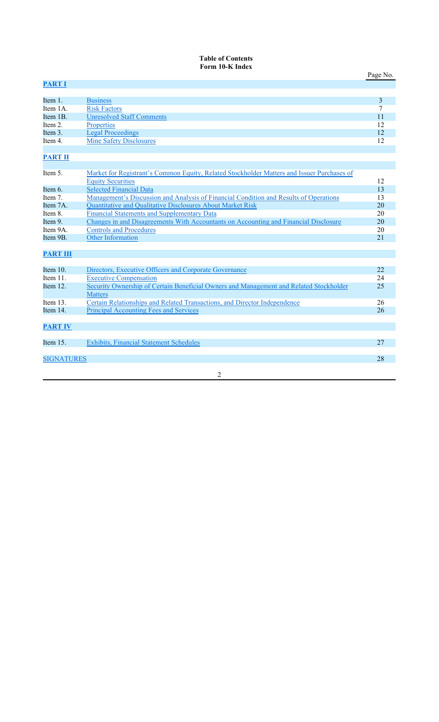#### **Table of Contents Form 10-K Index**

Page No.

| <b>PART I</b>     |                                                                                            |                |
|-------------------|--------------------------------------------------------------------------------------------|----------------|
|                   |                                                                                            |                |
| Item 1.           | <b>Business</b>                                                                            | $\overline{3}$ |
| Item 1A.          | <b>Risk Factors</b>                                                                        | 7              |
| Item 1B.          | <b>Unresolved Staff Comments</b>                                                           | 11             |
| Item 2.           | Properties                                                                                 | 12             |
| Item 3.           | <b>Legal Proceedings</b>                                                                   | 12             |
| Item 4.           | <b>Mine Safety Disclosures</b>                                                             | 12             |
|                   |                                                                                            |                |
| <b>PART II</b>    |                                                                                            |                |
|                   |                                                                                            |                |
| Item 5.           | Market for Registrant's Common Equity, Related Stockholder Matters and Issuer Purchases of |                |
|                   | <b>Equity Securities</b>                                                                   | 12             |
| Item 6.           | <b>Selected Financial Data</b>                                                             | 13             |
| Item 7.           | Management's Discussion and Analysis of Financial Condition and Results of Operations      | 13             |
| Item 7A.          | Quantitative and Qualitative Disclosures About Market Risk                                 | 20             |
| Item 8.           | <b>Financial Statements and Supplementary Data</b>                                         | 20             |
| Item 9.           | Changes in and Disagreements With Accountants on Accounting and Financial Disclosure       | 20             |
| Item 9A.          | <b>Controls and Procedures</b>                                                             | 20             |
| Item 9B.          | Other Information                                                                          | 21             |
|                   |                                                                                            |                |
| <b>PART III</b>   |                                                                                            |                |
|                   |                                                                                            |                |
| Item $10$ .       | Directors, Executive Officers and Corporate Governance                                     | 22             |
| Item 11.          | <b>Executive Compensation</b>                                                              | 24             |
| Item 12.          | Security Ownership of Certain Beneficial Owners and Management and Related Stockholder     | 25             |
|                   | <b>Matters</b>                                                                             |                |
| Item 13.          | Certain Relationships and Related Transactions, and Director Independence                  | 26             |
| Item 14.          | <b>Principal Accounting Fees and Services</b>                                              | 26             |
|                   |                                                                                            |                |
| <b>PART IV</b>    |                                                                                            |                |
|                   |                                                                                            |                |
| Item $15$ .       | <b>Exhibits, Financial Statement Schedules</b>                                             | 27             |
|                   |                                                                                            |                |
| <b>SIGNATURES</b> |                                                                                            | 28             |
|                   |                                                                                            |                |
|                   | 2                                                                                          |                |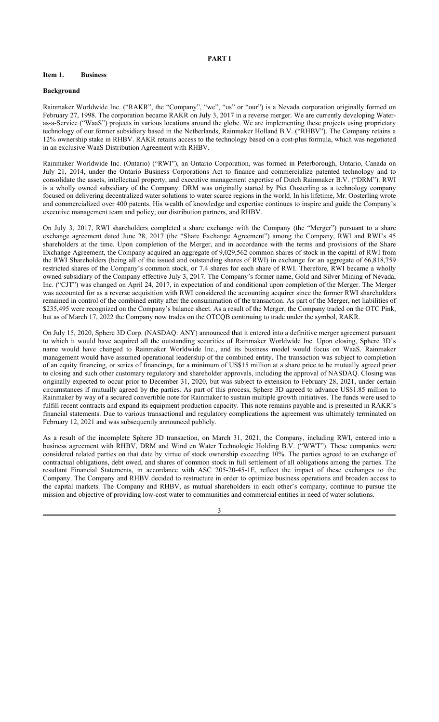# **PART I**

# **Item 1. Business**

#### **Background**

Rainmaker Worldwide Inc. ("RAKR", the "Company", "we", "us" or "our") is a Nevada corporation originally formed on February 27, 1998. The corporation became RAKR on July 3, 2017 in a reverse merger. We are currently developing Wateras-a-Service ("WaaS") projects in various locations around the globe. We are implementing these projects using proprietary technology of our former subsidiary based in the Netherlands, Rainmaker Holland B.V. ("RHBV"). The Company retains a 12% ownership stake in RHBV. RAKR retains access to the technology based on a cost-plus formula, which was negotiated in an exclusive WaaS Distribution Agreement with RHBV.

Rainmaker Worldwide Inc. (Ontario) ("RWI"), an Ontario Corporation, was formed in Peterborough, Ontario, Canada on July 21, 2014, under the Ontario Business Corporations Act to finance and commercialize patented technology and to consolidate the assets, intellectual property, and executive management expertise of Dutch Rainmaker B.V. ("DRM"). RWI is a wholly owned subsidiary of the Company. DRM was originally started by Piet Oosterling as a technology company focused on delivering decentralized water solutions to water scarce regions in the world. In his lifetime, Mr. Oosterling wrote and commercialized over 400 patents. His wealth of knowledge and expertise continues to inspire and guide the Company's executive management team and policy, our distribution partners, and RHBV.

On July 3, 2017, RWI shareholders completed a share exchange with the Company (the "Merger") pursuant to a share exchange agreement dated June 28, 2017 (the "Share Exchange Agreement") among the Company, RWI and RWI's 45 shareholders at the time. Upon completion of the Merger, and in accordance with the terms and provisions of the Share Exchange Agreement, the Company acquired an aggregate of 9,029,562 common shares of stock in the capital of RWI from the RWI Shareholders (being all of the issued and outstanding shares of RWI) in exchange for an aggregate of 66,818,759 restricted shares of the Company's common stock, or 7.4 shares for each share of RWI. Therefore, RWI became a wholly owned subsidiary of the Company effective July 3, 2017. The Company's former name, Gold and Silver Mining of Nevada, Inc. ("CJT") was changed on April 24, 2017, in expectation of and conditional upon completion of the Merger. The Merger was accounted for as a reverse acquisition with RWI considered the accounting acquirer since the former RWI shareholders remained in control of the combined entity after the consummation of the transaction. As part of the Merger, net liabilities of \$235,495 were recognized on the Company's balance sheet. As a result of the Merger, the Company traded on the OTC Pink, but as of March 17, 2022 the Company now trades on the OTCQB continuing to trade under the symbol, RAKR.

On July 15, 2020, Sphere 3D Corp. (NASDAQ: ANY) announced that it entered into a definitive merger agreement pursuant to which it would have acquired all the outstanding securities of Rainmaker Worldwide Inc. Upon closing, Sphere 3D's name would have changed to Rainmaker Worldwide Inc., and its business model would focus on WaaS. Rainmaker management would have assumed operational leadership of the combined entity. The transaction was subject to completion of an equity financing, or series of financings, for a minimum of US\$15 million at a share price to be mutually agreed prior to closing and such other customary regulatory and shareholder approvals, including the approval of NASDAQ. Closing was originally expected to occur prior to December 31, 2020, but was subject to extension to February 28, 2021, under certain circumstances if mutually agreed by the parties. As part of this process, Sphere 3D agreed to advance US\$1.85 million to Rainmaker by way of a secured convertible note for Rainmaker to sustain multiple growth initiatives. The funds were used to fulfill recent contracts and expand its equipment production capacity. This note remains payable and is presented in RAKR's financial statements. Due to various transactional and regulatory complications the agreement was ultimately terminated on February 12, 2021 and was subsequently announced publicly.

As a result of the incomplete Sphere 3D transaction, on March 31, 2021, the Company, including RWI, entered into a business agreement with RHBV, DRM and Wind en Water Technologie Holding B.V. ("WWT"). These companies were considered related parties on that date by virtue of stock ownership exceeding 10%. The parties agreed to an exchange of contractual obligations, debt owed, and shares of common stock in full settlement of all obligations among the parties. The resultant Financial Statements, in accordance with ASC 205-20-45-1E, reflect the impact of these exchanges to the Company. The Company and RHBV decided to restructure in order to optimize business operations and broaden access to the capital markets. The Company and RHBV, as mutual shareholders in each other's company, continue to pursue the mission and objective of providing low-cost water to communities and commercial entities in need of water solutions.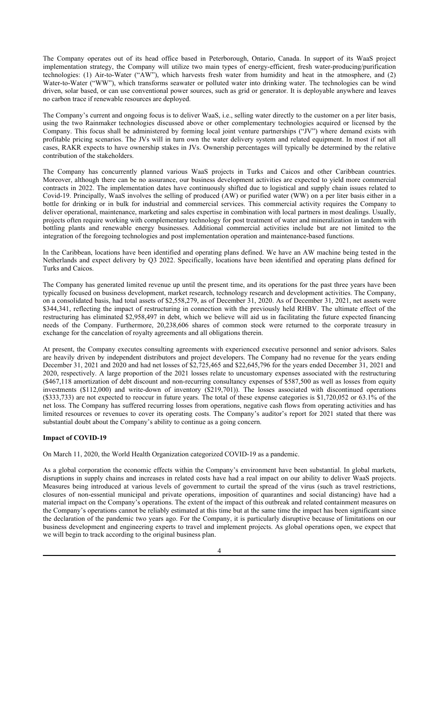The Company operates out of its head office based in Peterborough, Ontario, Canada. In support of its WaaS project implementation strategy, the Company will utilize two main types of energy-efficient, fresh water-producing/purification technologies: (1) Air-to-Water ("AW"), which harvests fresh water from humidity and heat in the atmosphere, and (2) Water-to-Water ("WW"), which transforms seawater or polluted water into drinking water. The technologies can be wind driven, solar based, or can use conventional power sources, such as grid or generator. It is deployable anywhere and leaves no carbon trace if renewable resources are deployed.

The Company's current and ongoing focus is to deliver WaaS, i.e., selling water directly to the customer on a per liter basis, using the two Rainmaker technologies discussed above or other complementary technologies acquired or licensed by the Company. This focus shall be administered by forming local joint venture partnerships ("JV") where demand exists with profitable pricing scenarios. The JVs will in turn own the water delivery system and related equipment. In most if not all cases, RAKR expects to have ownership stakes in JVs. Ownership percentages will typically be determined by the relative contribution of the stakeholders.

The Company has concurrently planned various WaaS projects in Turks and Caicos and other Caribbean countries. Moreover, although there can be no assurance, our business development activities are expected to yield more commercial contracts in 2022. The implementation dates have continuously shifted due to logistical and supply chain issues related to Covid-19. Principally, WaaS involves the selling of produced (AW) or purified water (WW) on a per liter basis either in a bottle for drinking or in bulk for industrial and commercial services. This commercial activity requires the Company to deliver operational, maintenance, marketing and sales expertise in combination with local partners in most dealings. Usually, projects often require working with complementary technology for post treatment of water and mineralization in tandem with bottling plants and renewable energy businesses. Additional commercial activities include but are not limited to the integration of the foregoing technologies and post implementation operation and maintenance-based functions.

In the Caribbean, locations have been identified and operating plans defined. We have an AW machine being tested in the Netherlands and expect delivery by Q3 2022. Specifically, locations have been identified and operating plans defined for Turks and Caicos.

The Company has generated limited revenue up until the present time, and its operations for the past three years have been typically focused on business development, market research, technology research and development activities. The Company, on a consolidated basis, had total assets of \$2,558,279, as of December 31, 2020. As of December 31, 2021, net assets were \$344,341, reflecting the impact of restructuring in connection with the previously held RHBV. The ultimate effect of the restructuring has eliminated \$2,958,497 in debt, which we believe will aid us in facilitating the future expected financing needs of the Company. Furthermore, 20,238,606 shares of common stock were returned to the corporate treasury in exchange for the cancelation of royalty agreements and all obligations therein.

At present, the Company executes consulting agreements with experienced executive personnel and senior advisors. Sales are heavily driven by independent distributors and project developers. The Company had no revenue for the years ending December 31, 2021 and 2020 and had net losses of \$2,725,465 and \$22,645,796 for the years ended December 31, 2021 and 2020, respectively. A large proportion of the 2021 losses relate to uncustomary expenses associated with the restructuring (\$467,118 amortization of debt discount and non-recurring consultancy expenses of \$587,500 as well as losses from equity investments (\$112,000) and write-down of inventory (\$219,701)). The losses associated with discontinued operations (\$333,733) are not expected to reoccur in future years. The total of these expense categories is \$1,720,052 or 63.1% of the net loss. The Company has suffered recurring losses from operations, negative cash flows from operating activities and has limited resources or revenues to cover its operating costs. The Company's auditor's report for 2021 stated that there was substantial doubt about the Company's ability to continue as a going concern.

## **Impact of COVID-19**

On March 11, 2020, the World Health Organization categorized COVID-19 as a pandemic.

As a global corporation the economic effects within the Company's environment have been substantial. In global markets, disruptions in supply chains and increases in related costs have had a real impact on our ability to deliver WaaS projects. Measures being introduced at various levels of government to curtail the spread of the virus (such as travel restrictions, closures of non-essential municipal and private operations, imposition of quarantines and social distancing) have had a material impact on the Company's operations. The extent of the impact of this outbreak and related containment measures on the Company's operations cannot be reliably estimated at this time but at the same time the impact has been significant since the declaration of the pandemic two years ago. For the Company, it is particularly disruptive because of limitations on our business development and engineering experts to travel and implement projects. As global operations open, we expect that we will begin to track according to the original business plan.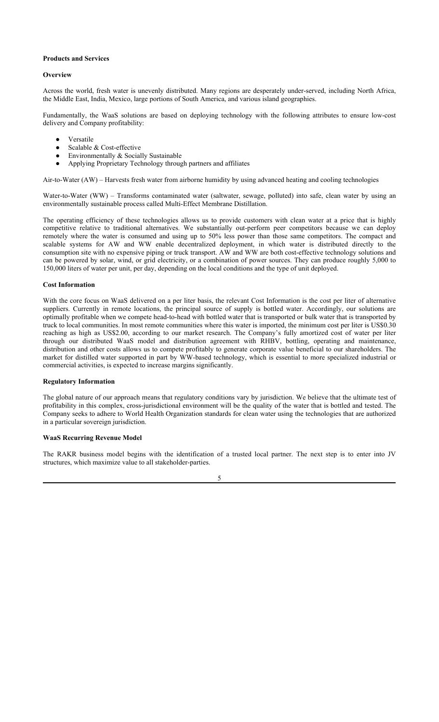#### **Products and Services**

#### **Overview**

Across the world, fresh water is unevenly distributed. Many regions are desperately under-served, including North Africa, the Middle East, India, Mexico, large portions of South America, and various island geographies.

Fundamentally, the WaaS solutions are based on deploying technology with the following attributes to ensure low-cost delivery and Company profitability:

- Versatile
- $\bullet$  Scalable & Cost-effective
- Environmentally & Socially Sustainable
- Applying Proprietary Technology through partners and affiliates

Air-to-Water (AW) – Harvests fresh water from airborne humidity by using advanced heating and cooling technologies

Water-to-Water (WW) – Transforms contaminated water (saltwater, sewage, polluted) into safe, clean water by using an environmentally sustainable process called Multi-Effect Membrane Distillation.

The operating efficiency of these technologies allows us to provide customers with clean water at a price that is highly competitive relative to traditional alternatives. We substantially out-perform peer competitors because we can deploy remotely where the water is consumed and using up to 50% less power than those same competitors. The compact and scalable systems for AW and WW enable decentralized deployment, in which water is distributed directly to the consumption site with no expensive piping or truck transport. AW and WW are both cost-effective technology solutions and can be powered by solar, wind, or grid electricity, or a combination of power sources. They can produce roughly 5,000 to 150,000 liters of water per unit, per day, depending on the local conditions and the type of unit deployed.

#### **Cost Information**

With the core focus on WaaS delivered on a per liter basis, the relevant Cost Information is the cost per liter of alternative suppliers. Currently in remote locations, the principal source of supply is bottled water. Accordingly, our solutions are optimally profitable when we compete head-to-head with bottled water that is transported or bulk water that is transported by truck to local communities. In most remote communities where this water is imported, the minimum cost per liter is US\$0.30 reaching as high as US\$2.00, according to our market research. The Company's fully amortized cost of water per liter through our distributed WaaS model and distribution agreement with RHBV, bottling, operating and maintenance, distribution and other costs allows us to compete profitably to generate corporate value beneficial to our shareholders. The market for distilled water supported in part by WW-based technology, which is essential to more specialized industrial or commercial activities, is expected to increase margins significantly.

#### **Regulatory Information**

The global nature of our approach means that regulatory conditions vary by jurisdiction. We believe that the ultimate test of profitability in this complex, cross-jurisdictional environment will be the quality of the water that is bottled and tested. The Company seeks to adhere to World Health Organization standards for clean water using the technologies that are authorized in a particular sovereign jurisdiction.

## **WaaS Recurring Revenue Model**

The RAKR business model begins with the identification of a trusted local partner. The next step is to enter into JV structures, which maximize value to all stakeholder-parties.

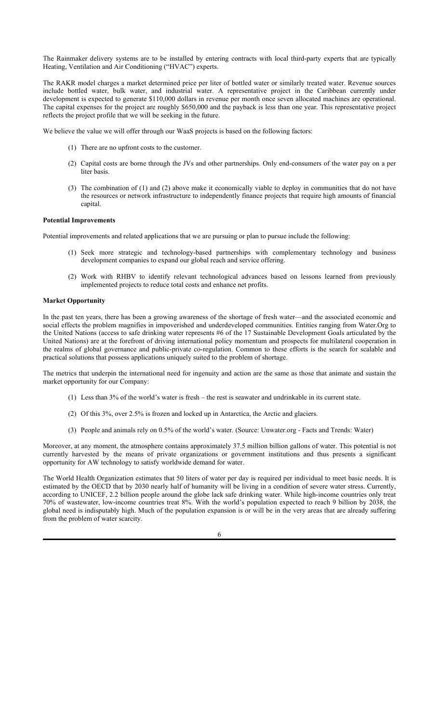The Rainmaker delivery systems are to be installed by entering contracts with local third-party experts that are typically Heating, Ventilation and Air Conditioning ("HVAC") experts.

The RAKR model charges a market determined price per liter of bottled water or similarly treated water. Revenue sources include bottled water, bulk water, and industrial water. A representative project in the Caribbean currently under development is expected to generate \$110,000 dollars in revenue per month once seven allocated machines are operational. The capital expenses for the project are roughly \$650,000 and the payback is less than one year. This representative project reflects the project profile that we will be seeking in the future.

We believe the value we will offer through our WaaS projects is based on the following factors:

- (1) There are no upfront costs to the customer.
- (2) Capital costs are borne through the JVs and other partnerships. Only end-consumers of the water pay on a per liter basis.
- (3) The combination of (1) and (2) above make it economically viable to deploy in communities that do not have the resources or network infrastructure to independently finance projects that require high amounts of financial capital.

#### **Potential Improvements**

Potential improvements and related applications that we are pursuing or plan to pursue include the following:

- (1) Seek more strategic and technology-based partnerships with complementary technology and business development companies to expand our global reach and service offering.
- (2) Work with RHBV to identify relevant technological advances based on lessons learned from previously implemented projects to reduce total costs and enhance net profits.

## **Market Opportunity**

In the past ten years, there has been a growing awareness of the shortage of fresh water—and the associated economic and social effects the problem magnifies in impoverished and underdeveloped communities. Entities ranging from Water.Org to the United Nations (access to safe drinking water represents #6 of the 17 Sustainable Development Goals articulated by the United Nations) are at the forefront of driving international policy momentum and prospects for multilateral cooperation in the realms of global governance and public-private co-regulation. Common to these efforts is the search for scalable and practical solutions that possess applications uniquely suited to the problem of shortage.

The metrics that underpin the international need for ingenuity and action are the same as those that animate and sustain the market opportunity for our Company:

- (1) Less than 3% of the world's water is fresh the rest is seawater and undrinkable in its current state.
- (2) Of this 3%, over 2.5% is frozen and locked up in Antarctica, the Arctic and glaciers.
- (3) People and animals rely on 0.5% of the world's water. (Source: Unwater.org Facts and Trends: Water)

Moreover, at any moment, the atmosphere contains approximately 37.5 million billion gallons of water. This potential is not currently harvested by the means of private organizations or government institutions and thus presents a significant opportunity for AW technology to satisfy worldwide demand for water.

The World Health Organization estimates that 50 liters of water per day is required per individual to meet basic needs. It is estimated by the OECD that by 2030 nearly half of humanity will be living in a condition of severe water stress. Currently, according to UNICEF, 2.2 billion people around the globe lack safe drinking water. While high-income countries only treat 70% of wastewater, low-income countries treat 8%. With the world's population expected to reach 9 billion by 2038, the global need is indisputably high. Much of the population expansion is or will be in the very areas that are already suffering from the problem of water scarcity.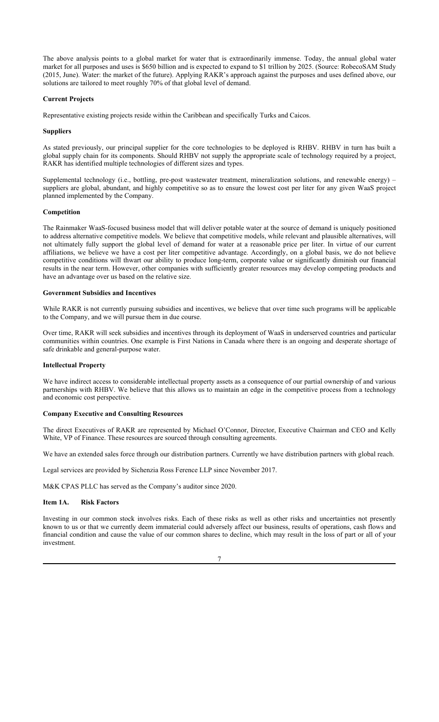The above analysis points to a global market for water that is extraordinarily immense. Today, the annual global water market for all purposes and uses is \$650 billion and is expected to expand to \$1 trillion by 2025. (Source: RobecoSAM Study (2015, June). Water: the market of the future). Applying RAKR's approach against the purposes and uses defined above, our solutions are tailored to meet roughly 70% of that global level of demand.

#### **Current Projects**

Representative existing projects reside within the Caribbean and specifically Turks and Caicos.

#### **Suppliers**

As stated previously, our principal supplier for the core technologies to be deployed is RHBV. RHBV in turn has built a global supply chain for its components. Should RHBV not supply the appropriate scale of technology required by a project, RAKR has identified multiple technologies of different sizes and types.

Supplemental technology (i.e., bottling, pre-post wastewater treatment, mineralization solutions, and renewable energy) – suppliers are global, abundant, and highly competitive so as to ensure the lowest cost per liter for any given WaaS project planned implemented by the Company.

## **Competition**

The Rainmaker WaaS-focused business model that will deliver potable water at the source of demand is uniquely positioned to address alternative competitive models. We believe that competitive models, while relevant and plausible alternatives, will not ultimately fully support the global level of demand for water at a reasonable price per liter. In virtue of our current affiliations, we believe we have a cost per liter competitive advantage. Accordingly, on a global basis, we do not believe competitive conditions will thwart our ability to produce long-term, corporate value or significantly diminish our financial results in the near term. However, other companies with sufficiently greater resources may develop competing products and have an advantage over us based on the relative size.

#### **Government Subsidies and Incentives**

While RAKR is not currently pursuing subsidies and incentives, we believe that over time such programs will be applicable to the Company, and we will pursue them in due course.

Over time, RAKR will seek subsidies and incentives through its deployment of WaaS in underserved countries and particular communities within countries. One example is First Nations in Canada where there is an ongoing and desperate shortage of safe drinkable and general-purpose water.

#### **Intellectual Property**

We have indirect access to considerable intellectual property assets as a consequence of our partial ownership of and various partnerships with RHBV. We believe that this allows us to maintain an edge in the competitive process from a technology and economic cost perspective.

## **Company Executive and Consulting Resources**

The direct Executives of RAKR are represented by Michael O'Connor, Director, Executive Chairman and CEO and Kelly White, VP of Finance. These resources are sourced through consulting agreements.

We have an extended sales force through our distribution partners. Currently we have distribution partners with global reach.

Legal services are provided by Sichenzia Ross Ference LLP since November 2017.

M&K CPAS PLLC has served as the Company's auditor since 2020.

## **Item 1A. Risk Factors**

Investing in our common stock involves risks. Each of these risks as well as other risks and uncertainties not presently known to us or that we currently deem immaterial could adversely affect our business, results of operations, cash flows and financial condition and cause the value of our common shares to decline, which may result in the loss of part or all of your investment.

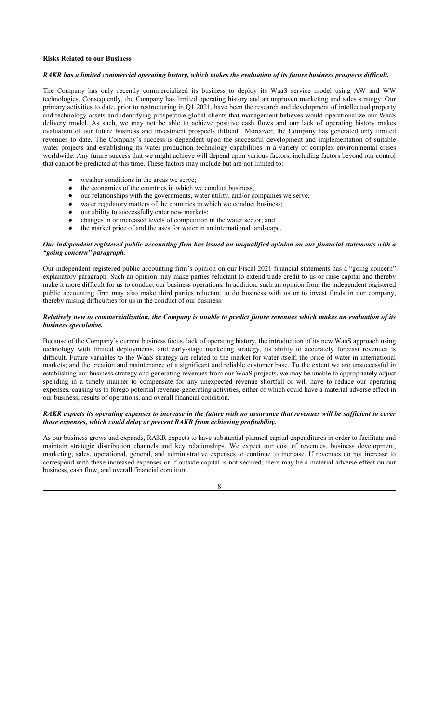#### **Risks Related to our Business**

## *RAKR has a limited commercial operating history, which makes the evaluation of its future business prospects difficult.*

The Company has only recently commercialized its business to deploy its WaaS service model using AW and WW technologies. Consequently, the Company has limited operating history and an unproven marketing and sales strategy. Our primary activities to date, prior to restructuring in Q1 2021, have been the research and development of intellectual property and technology assets and identifying prospective global clients that management believes would operationalize our WaaS delivery model. As such, we may not be able to achieve positive cash flows and our lack of operating history makes evaluation of our future business and investment prospects difficult. Moreover, the Company has generated only limited revenues to date. The Company's success is dependent upon the successful development and implementation of suitable water projects and establishing its water production technology capabilities in a variety of complex environmental crises worldwide. Any future success that we might achieve will depend upon various factors, including factors beyond our control that cannot be predicted at this time. These factors may include but are not limited to:

- weather conditions in the areas we serve;
- the economies of the countries in which we conduct business;
- our relationships with the governments, water utility, and/or companies we serve;
- water regulatory matters of the countries in which we conduct business;
- our ability to successfully enter new markets;
- changes in or increased levels of competition in the water sector; and
- the market price of and the uses for water in an international landscape.

## *Our independent registered public accounting firm has issued an unqualified opinion on our financial statements with a "going concern" paragraph.*

Our independent registered public accounting firm's opinion on our Fiscal 2021 financial statements has a "going concern" explanatory paragraph. Such an opinion may make parties reluctant to extend trade credit to us or raise capital and thereby make it more difficult for us to conduct our business operations. In addition, such an opinion from the independent registered public accounting firm may also make third parties reluctant to do business with us or to invest funds in our company, thereby raising difficulties for us in the conduct of our business.

## *Relatively new to commercialization, the Company is unable to predict future revenues which makes an evaluation of its business speculative.*

Because of the Company's current business focus, lack of operating history, the introduction of its new WaaS approach using technology with limited deployments, and early-stage marketing strategy, its ability to accurately forecast revenues is difficult. Future variables to the WaaS strategy are related to the market for water itself; the price of water in international markets; and the creation and maintenance of a significant and reliable customer base. To the extent we are unsuccessful in establishing our business strategy and generating revenues from our WaaS projects, we may be unable to appropriately adjust spending in a timely manner to compensate for any unexpected revenue shortfall or will have to reduce our operating expenses, causing us to forego potential revenue-generating activities, either of which could have a material adverse effect in our business, results of operations, and overall financial condition.

# *RAKR expects its operating expenses to increase in the future with no assurance that revenues will be sufficient to cover those expenses, which could delay or prevent RAKR from achieving profitability.*

As our business grows and expands, RAKR expects to have substantial planned capital expenditures in order to facilitate and maintain strategic distribution channels and key relationships. We expect our cost of revenues, business development, marketing, sales, operational, general, and administrative expenses to continue to increase. If revenues do not increase to correspond with these increased expenses or if outside capital is not secured, there may be a material adverse effect on our business, cash flow, and overall financial condition.

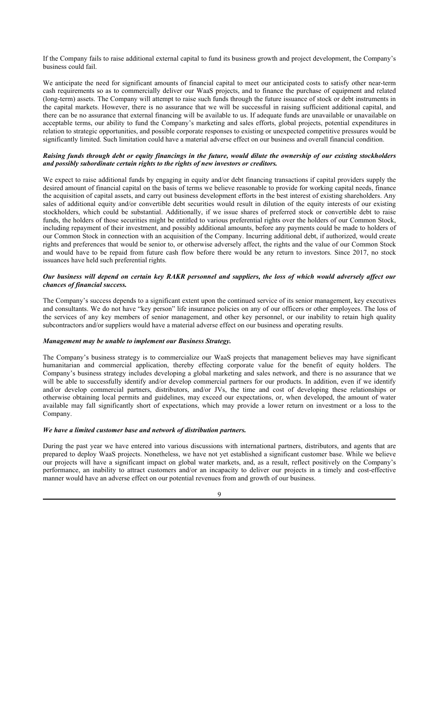If the Company fails to raise additional external capital to fund its business growth and project development, the Company's business could fail.

We anticipate the need for significant amounts of financial capital to meet our anticipated costs to satisfy other near-term cash requirements so as to commercially deliver our WaaS projects, and to finance the purchase of equipment and related (long-term) assets. The Company will attempt to raise such funds through the future issuance of stock or debt instruments in the capital markets. However, there is no assurance that we will be successful in raising sufficient additional capital, and there can be no assurance that external financing will be available to us. If adequate funds are unavailable or unavailable on acceptable terms, our ability to fund the Company's marketing and sales efforts, global projects, potential expenditures in relation to strategic opportunities, and possible corporate responses to existing or unexpected competitive pressures would be significantly limited. Such limitation could have a material adverse effect on our business and overall financial condition.

## *Raising funds through debt or equity financings in the future, would dilute the ownership of our existing stockholders and possibly subordinate certain rights to the rights of new investors or creditors.*

We expect to raise additional funds by engaging in equity and/or debt financing transactions if capital providers supply the desired amount of financial capital on the basis of terms we believe reasonable to provide for working capital needs, finance the acquisition of capital assets, and carry out business development efforts in the best interest of existing shareholders. Any sales of additional equity and/or convertible debt securities would result in dilution of the equity interests of our existing stockholders, which could be substantial. Additionally, if we issue shares of preferred stock or convertible debt to raise funds, the holders of those securities might be entitled to various preferential rights over the holders of our Common Stock, including repayment of their investment, and possibly additional amounts, before any payments could be made to holders of our Common Stock in connection with an acquisition of the Company. Incurring additional debt, if authorized, would create rights and preferences that would be senior to, or otherwise adversely affect, the rights and the value of our Common Stock and would have to be repaid from future cash flow before there would be any return to investors. Since 2017, no stock issuances have held such preferential rights.

## *Our business will depend on certain key RAKR personnel and suppliers, the loss of which would adversely affect our chances of financial success.*

The Company's success depends to a significant extent upon the continued service of its senior management, key executives and consultants. We do not have "key person" life insurance policies on any of our officers or other employees. The loss of the services of any key members of senior management, and other key personnel, or our inability to retain high quality subcontractors and/or suppliers would have a material adverse effect on our business and operating results.

#### *Management may be unable to implement our Business Strategy.*

The Company's business strategy is to commercialize our WaaS projects that management believes may have significant humanitarian and commercial application, thereby effecting corporate value for the benefit of equity holders. The Company's business strategy includes developing a global marketing and sales network, and there is no assurance that we will be able to successfully identify and/or develop commercial partners for our products. In addition, even if we identify and/or develop commercial partners, distributors, and/or JVs, the time and cost of developing these relationships or otherwise obtaining local permits and guidelines, may exceed our expectations, or, when developed, the amount of water available may fall significantly short of expectations, which may provide a lower return on investment or a loss to the Company.

## *We have a limited customer base and network of distribution partners.*

During the past year we have entered into various discussions with international partners, distributors, and agents that are prepared to deploy WaaS projects. Nonetheless, we have not yet established a significant customer base. While we believe our projects will have a significant impact on global water markets, and, as a result, reflect positively on the Company's performance, an inability to attract customers and/or an incapacity to deliver our projects in a timely and cost-effective manner would have an adverse effect on our potential revenues from and growth of our business.

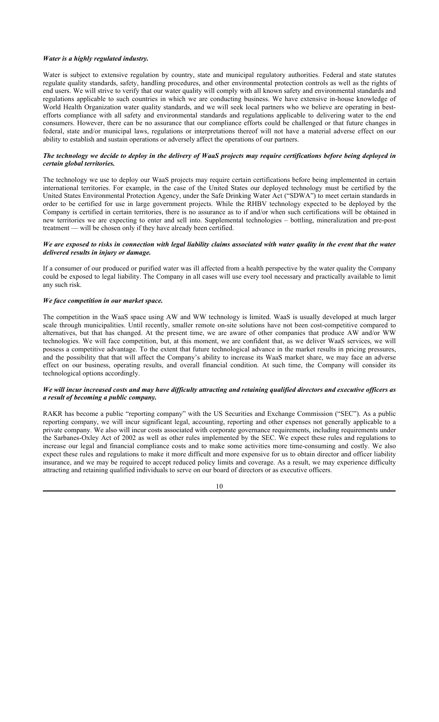#### *Water is a highly regulated industry.*

Water is subject to extensive regulation by country, state and municipal regulatory authorities. Federal and state statutes regulate quality standards, safety, handling procedures, and other environmental protection controls as well as the rights of end users. We will strive to verify that our water quality will comply with all known safety and environmental standards and regulations applicable to such countries in which we are conducting business. We have extensive in-house knowledge of World Health Organization water quality standards, and we will seek local partners who we believe are operating in bestefforts compliance with all safety and environmental standards and regulations applicable to delivering water to the end consumers. However, there can be no assurance that our compliance efforts could be challenged or that future changes in federal, state and/or municipal laws, regulations or interpretations thereof will not have a material adverse effect on our ability to establish and sustain operations or adversely affect the operations of our partners.

#### *The technology we decide to deploy in the delivery of WaaS projects may require certifications before being deployed in certain global territories.*

The technology we use to deploy our WaaS projects may require certain certifications before being implemented in certain international territories. For example, in the case of the United States our deployed technology must be certified by the United States Environmental Protection Agency, under the Safe Drinking Water Act ("SDWA") to meet certain standards in order to be certified for use in large government projects. While the RHBV technology expected to be deployed by the Company is certified in certain territories, there is no assurance as to if and/or when such certifications will be obtained in new territories we are expecting to enter and sell into. Supplemental technologies – bottling, mineralization and pre-post treatment — will be chosen only if they have already been certified.

#### *We are exposed to risks in connection with legal liability claims associated with water quality in the event that the water delivered results in injury or damage.*

If a consumer of our produced or purified water was ill affected from a health perspective by the water quality the Company could be exposed to legal liability. The Company in all cases will use every tool necessary and practically available to limit any such risk.

## *We face competition in our market space.*

The competition in the WaaS space using AW and WW technology is limited. WaaS is usually developed at much larger scale through municipalities. Until recently, smaller remote on-site solutions have not been cost-competitive compared to alternatives, but that has changed. At the present time, we are aware of other companies that produce AW and/or WW technologies. We will face competition, but, at this moment, we are confident that, as we deliver WaaS services, we will possess a competitive advantage. To the extent that future technological advance in the market results in pricing pressures, and the possibility that that will affect the Company's ability to increase its WaaS market share, we may face an adverse effect on our business, operating results, and overall financial condition. At such time, the Company will consider its technological options accordingly.

## *We will incur increased costs and may have difficulty attracting and retaining qualified directors and executive officers as a result of becoming a public company.*

RAKR has become a public "reporting company" with the US Securities and Exchange Commission ("SEC"). As a public reporting company, we will incur significant legal, accounting, reporting and other expenses not generally applicable to a private company. We also will incur costs associated with corporate governance requirements, including requirements under the Sarbanes-Oxley Act of 2002 as well as other rules implemented by the SEC. We expect these rules and regulations to increase our legal and financial compliance costs and to make some activities more time-consuming and costly. We also expect these rules and regulations to make it more difficult and more expensive for us to obtain director and officer liability insurance, and we may be required to accept reduced policy limits and coverage. As a result, we may experience difficulty attracting and retaining qualified individuals to serve on our board of directors or as executive officers.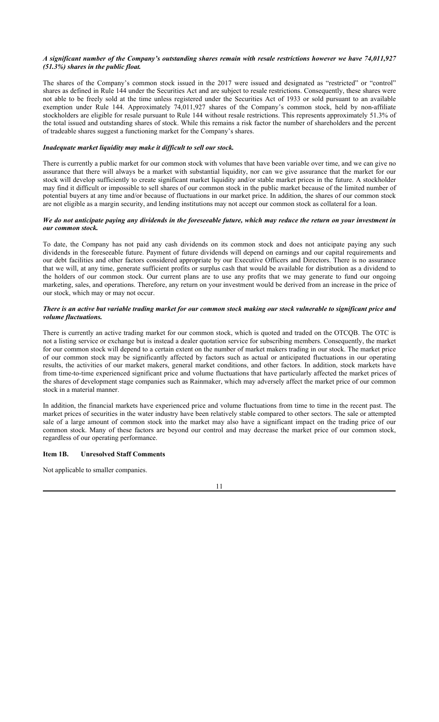## *A significant number of the Company's outstanding shares remain with resale restrictions however we have 74,011,927 (51.3%) shares in the public float.*

The shares of the Company's common stock issued in the 2017 were issued and designated as "restricted" or "control" shares as defined in Rule 144 under the Securities Act and are subject to resale restrictions. Consequently, these shares were not able to be freely sold at the time unless registered under the Securities Act of 1933 or sold pursuant to an available exemption under Rule 144. Approximately 74,011,927 shares of the Company's common stock, held by non-affiliate stockholders are eligible for resale pursuant to Rule 144 without resale restrictions. This represents approximately 51.3% of the total issued and outstanding shares of stock. While this remains a risk factor the number of shareholders and the percent of tradeable shares suggest a functioning market for the Company's shares.

## *Inadequate market liquidity may make it difficult to sell our stock.*

There is currently a public market for our common stock with volumes that have been variable over time, and we can give no assurance that there will always be a market with substantial liquidity, nor can we give assurance that the market for our stock will develop sufficiently to create significant market liquidity and/or stable market prices in the future. A stockholder may find it difficult or impossible to sell shares of our common stock in the public market because of the limited number of potential buyers at any time and/or because of fluctuations in our market price. In addition, the shares of our common stock are not eligible as a margin security, and lending institutions may not accept our common stock as collateral for a loan.

## *We do not anticipate paying any dividends in the foreseeable future, which may reduce the return on your investment in our common stock.*

To date, the Company has not paid any cash dividends on its common stock and does not anticipate paying any such dividends in the foreseeable future. Payment of future dividends will depend on earnings and our capital requirements and our debt facilities and other factors considered appropriate by our Executive Officers and Directors. There is no assurance that we will, at any time, generate sufficient profits or surplus cash that would be available for distribution as a dividend to the holders of our common stock. Our current plans are to use any profits that we may generate to fund our ongoing marketing, sales, and operations. Therefore, any return on your investment would be derived from an increase in the price of our stock, which may or may not occur.

## *There is an active but variable trading market for our common stock making our stock vulnerable to significant price and volume fluctuations.*

There is currently an active trading market for our common stock, which is quoted and traded on the OTCQB. The OTC is not a listing service or exchange but is instead a dealer quotation service for subscribing members. Consequently, the market for our common stock will depend to a certain extent on the number of market makers trading in our stock. The market price of our common stock may be significantly affected by factors such as actual or anticipated fluctuations in our operating results, the activities of our market makers, general market conditions, and other factors. In addition, stock markets have from time-to-time experienced significant price and volume fluctuations that have particularly affected the market prices of the shares of development stage companies such as Rainmaker, which may adversely affect the market price of our common stock in a material manner.

In addition, the financial markets have experienced price and volume fluctuations from time to time in the recent past. The market prices of securities in the water industry have been relatively stable compared to other sectors. The sale or attempted sale of a large amount of common stock into the market may also have a significant impact on the trading price of our common stock. Many of these factors are beyond our control and may decrease the market price of our common stock, regardless of our operating performance.

## **Item 1B. Unresolved Staff Comments**

Not applicable to smaller companies.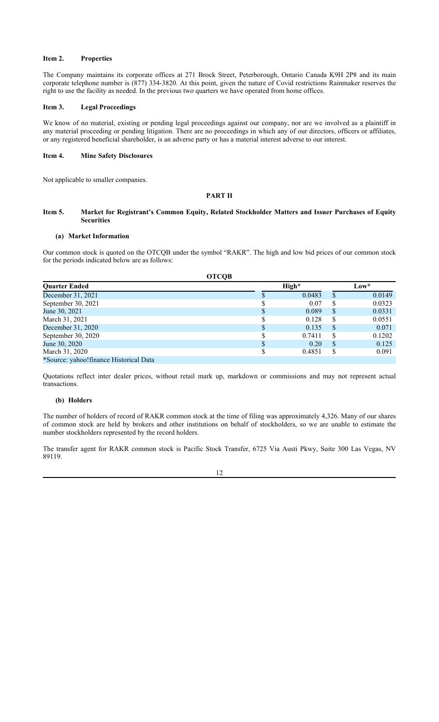#### **Item 2. Properties**

The Company maintains its corporate offices at 271 Brock Street, Peterborough, Ontario Canada K9H 2P8 and its main corporate telephone number is (877) 334-3820. At this point, given the nature of Covid restrictions Rainmaker reserves the right to use the facility as needed. In the previous two quarters we have operated from home offices.

# **Item 3. Legal Proceedings**

We know of no material, existing or pending legal proceedings against our company, nor are we involved as a plaintiff in any material proceeding or pending litigation. There are no proceedings in which any of our directors, officers or affiliates, or any registered beneficial shareholder, is an adverse party or has a material interest adverse to our interest.

#### **Item 4. Mine Safety Disclosures**

Not applicable to smaller companies.

## **PART II**

# **Item 5. Market for Registrant's Common Equity, Related Stockholder Matters and Issuer Purchases of Equity Securities**

## **(a) Market Information**

Our common stock is quoted on the OTCQB under the symbol "RAKR". The high and low bid prices of our common stock for the periods indicated below are as follows:

|                                        | <b>OTCOB</b> |        |          |        |
|----------------------------------------|--------------|--------|----------|--------|
| <b>Quarter Ended</b>                   |              | High*  |          | $Low*$ |
| December 31, 2021                      |              | 0.0483 |          | 0.0149 |
| September 30, 2021                     |              | 0.07   |          | 0.0323 |
| June 30, 2021                          | \$           | 0.089  | S        | 0.0331 |
| March 31, 2021                         |              | 0.128  |          | 0.0551 |
| December 31, 2020                      | S            | 0.135  | <b>S</b> | 0.071  |
| September 30, 2020                     |              | 0.7411 |          | 0.1202 |
| June 30, 2020                          |              | 0.20   | S        | 0.125  |
| March 31, 2020                         | S            | 0.4851 | S        | 0.091  |
| *Source: yahoo!finance Historical Data |              |        |          |        |

Quotations reflect inter dealer prices, without retail mark up, markdown or commissions and may not represent actual transactions.

#### **(b) Holders**

The number of holders of record of RAKR common stock at the time of filing was approximately 4,326. Many of our shares of common stock are held by brokers and other institutions on behalf of stockholders, so we are unable to estimate the number stockholders represented by the record holders.

The transfer agent for RAKR common stock is Pacific Stock Transfer, 6725 Via Austi Pkwy, Suite 300 Las Vegas, NV 89119.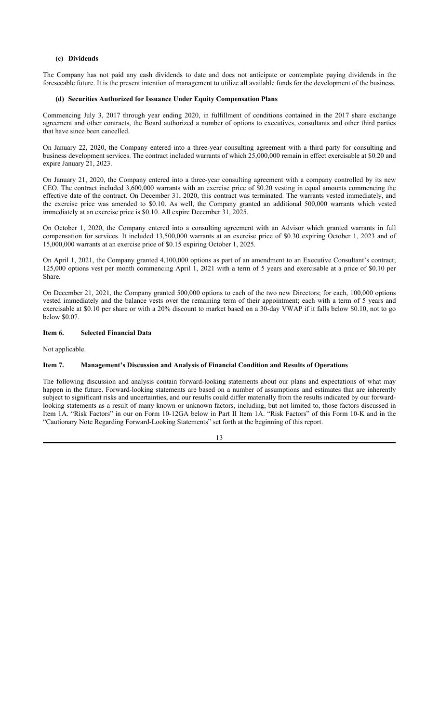## **(c) Dividends**

The Company has not paid any cash dividends to date and does not anticipate or contemplate paying dividends in the foreseeable future. It is the present intention of management to utilize all available funds for the development of the business.

#### **(d) Securities Authorized for Issuance Under Equity Compensation Plans**

Commencing July 3, 2017 through year ending 2020, in fulfillment of conditions contained in the 2017 share exchange agreement and other contracts, the Board authorized a number of options to executives, consultants and other third parties that have since been cancelled.

On January 22, 2020, the Company entered into a three-year consulting agreement with a third party for consulting and business development services. The contract included warrants of which 25,000,000 remain in effect exercisable at \$0.20 and expire January 21, 2023.

On January 21, 2020, the Company entered into a three-year consulting agreement with a company controlled by its new CEO. The contract included 3,600,000 warrants with an exercise price of \$0.20 vesting in equal amounts commencing the effective date of the contract. On December 31, 2020, this contract was terminated. The warrants vested immediately, and the exercise price was amended to \$0.10. As well, the Company granted an additional 500,000 warrants which vested immediately at an exercise price is \$0.10. All expire December 31, 2025.

On October 1, 2020, the Company entered into a consulting agreement with an Advisor which granted warrants in full compensation for services. It included 13,500,000 warrants at an exercise price of \$0.30 expiring October 1, 2023 and of 15,000,000 warrants at an exercise price of \$0.15 expiring October 1, 2025.

On April 1, 2021, the Company granted 4,100,000 options as part of an amendment to an Executive Consultant's contract; 125,000 options vest per month commencing April 1, 2021 with a term of 5 years and exercisable at a price of \$0.10 per Share.

On December 21, 2021, the Company granted 500,000 options to each of the two new Directors; for each, 100,000 options vested immediately and the balance vests over the remaining term of their appointment; each with a term of 5 years and exercisable at \$0.10 per share or with a 20% discount to market based on a 30-day VWAP if it falls below \$0.10, not to go below \$0.07.

# **Item 6. Selected Financial Data**

Not applicable.

## **Item 7. Management's Discussion and Analysis of Financial Condition and Results of Operations**

The following discussion and analysis contain forward-looking statements about our plans and expectations of what may happen in the future. Forward-looking statements are based on a number of assumptions and estimates that are inherently subject to significant risks and uncertainties, and our results could differ materially from the results indicated by our forwardlooking statements as a result of many known or unknown factors, including, but not limited to, those factors discussed in Item 1A. "Risk Factors" in our on Form 10-12GA below in Part II Item 1A. "Risk Factors" of this Form 10-K and in the "Cautionary Note Regarding Forward-Looking Statements" set forth at the beginning of this report.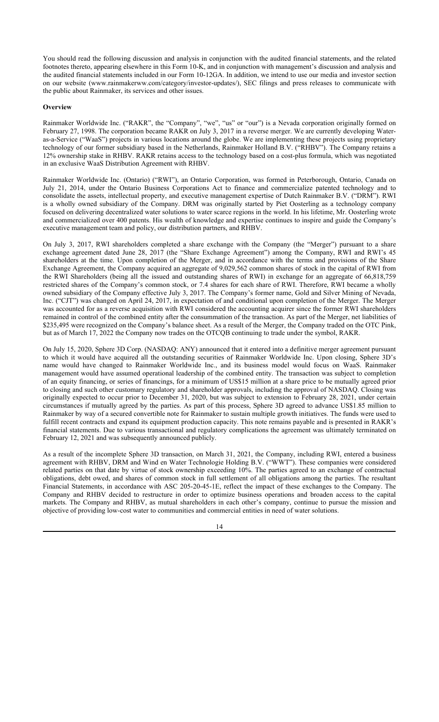You should read the following discussion and analysis in conjunction with the audited financial statements, and the related footnotes thereto, appearing elsewhere in this Form 10-K, and in conjunction with management's discussion and analysis and the audited financial statements included in our Form 10-12GA. In addition, we intend to use our media and investor section on our website (www.rainmakerww.com/category/investor-updates/), SEC filings and press releases to communicate with the public about Rainmaker, its services and other issues.

## **Overview**

Rainmaker Worldwide Inc. ("RAKR", the "Company", "we", "us" or "our") is a Nevada corporation originally formed on February 27, 1998. The corporation became RAKR on July 3, 2017 in a reverse merger. We are currently developing Wateras-a-Service ("WaaS") projects in various locations around the globe. We are implementing these projects using proprietary technology of our former subsidiary based in the Netherlands, Rainmaker Holland B.V. ("RHBV"). The Company retains a 12% ownership stake in RHBV. RAKR retains access to the technology based on a cost-plus formula, which was negotiated in an exclusive WaaS Distribution Agreement with RHBV.

Rainmaker Worldwide Inc. (Ontario) ("RWI"), an Ontario Corporation, was formed in Peterborough, Ontario, Canada on July 21, 2014, under the Ontario Business Corporations Act to finance and commercialize patented technology and to consolidate the assets, intellectual property, and executive management expertise of Dutch Rainmaker B.V. ("DRM"). RWI is a wholly owned subsidiary of the Company. DRM was originally started by Piet Oosterling as a technology company focused on delivering decentralized water solutions to water scarce regions in the world. In his lifetime, Mr. Oosterling wrote and commercialized over 400 patents. His wealth of knowledge and expertise continues to inspire and guide the Company's executive management team and policy, our distribution partners, and RHBV.

On July 3, 2017, RWI shareholders completed a share exchange with the Company (the "Merger") pursuant to a share exchange agreement dated June 28, 2017 (the "Share Exchange Agreement") among the Company, RWI and RWI's 45 shareholders at the time. Upon completion of the Merger, and in accordance with the terms and provisions of the Share Exchange Agreement, the Company acquired an aggregate of 9,029,562 common shares of stock in the capital of RWI from the RWI Shareholders (being all the issued and outstanding shares of RWI) in exchange for an aggregate of 66,818,759 restricted shares of the Company's common stock, or 7.4 shares for each share of RWI. Therefore, RWI became a wholly owned subsidiary of the Company effective July 3, 2017. The Company's former name, Gold and Silver Mining of Nevada, Inc. ("CJT") was changed on April 24, 2017, in expectation of and conditional upon completion of the Merger. The Merger was accounted for as a reverse acquisition with RWI considered the accounting acquirer since the former RWI shareholders remained in control of the combined entity after the consummation of the transaction. As part of the Merger, net liabilities of \$235,495 were recognized on the Company's balance sheet. As a result of the Merger, the Company traded on the OTC Pink, but as of March 17, 2022 the Company now trades on the OTCQB continuing to trade under the symbol, RAKR.

On July 15, 2020, Sphere 3D Corp. (NASDAQ: ANY) announced that it entered into a definitive merger agreement pursuant to which it would have acquired all the outstanding securities of Rainmaker Worldwide Inc. Upon closing, Sphere 3D's name would have changed to Rainmaker Worldwide Inc., and its business model would focus on WaaS. Rainmaker management would have assumed operational leadership of the combined entity. The transaction was subject to completion of an equity financing, or series of financings, for a minimum of US\$15 million at a share price to be mutually agreed prior to closing and such other customary regulatory and shareholder approvals, including the approval of NASDAQ. Closing was originally expected to occur prior to December 31, 2020, but was subject to extension to February 28, 2021, under certain circumstances if mutually agreed by the parties. As part of this process, Sphere 3D agreed to advance US\$1.85 million to Rainmaker by way of a secured convertible note for Rainmaker to sustain multiple growth initiatives. The funds were used to fulfill recent contracts and expand its equipment production capacity. This note remains payable and is presented in RAKR's financial statements. Due to various transactional and regulatory complications the agreement was ultimately terminated on February 12, 2021 and was subsequently announced publicly.

As a result of the incomplete Sphere 3D transaction, on March 31, 2021, the Company, including RWI, entered a business agreement with RHBV, DRM and Wind en Water Technologie Holding B.V. ("WWT"). These companies were considered related parties on that date by virtue of stock ownership exceeding 10%. The parties agreed to an exchange of contractual obligations, debt owed, and shares of common stock in full settlement of all obligations among the parties. The resultant Financial Statements, in accordance with ASC 205-20-45-1E, reflect the impact of these exchanges to the Company. The Company and RHBV decided to restructure in order to optimize business operations and broaden access to the capital markets. The Company and RHBV, as mutual shareholders in each other's company, continue to pursue the mission and objective of providing low-cost water to communities and commercial entities in need of water solutions.

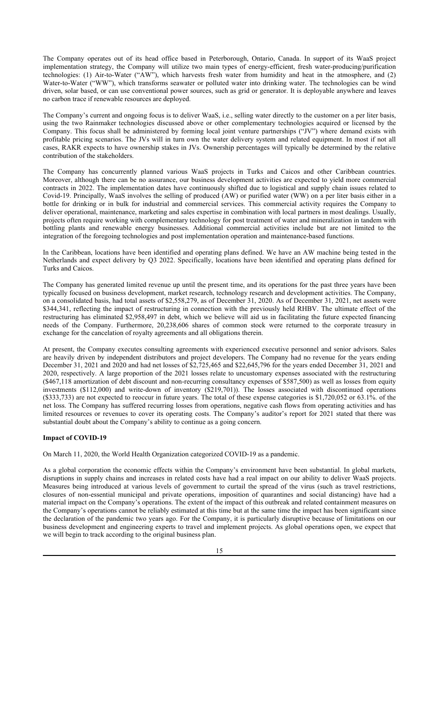The Company operates out of its head office based in Peterborough, Ontario, Canada. In support of its WaaS project implementation strategy, the Company will utilize two main types of energy-efficient, fresh water-producing/purification technologies: (1) Air-to-Water ("AW"), which harvests fresh water from humidity and heat in the atmosphere, and (2) Water-to-Water ("WW"), which transforms seawater or polluted water into drinking water. The technologies can be wind driven, solar based, or can use conventional power sources, such as grid or generator. It is deployable anywhere and leaves no carbon trace if renewable resources are deployed.

The Company's current and ongoing focus is to deliver WaaS, i.e., selling water directly to the customer on a per liter basis, using the two Rainmaker technologies discussed above or other complementary technologies acquired or licensed by the Company. This focus shall be administered by forming local joint venture partnerships ("JV") where demand exists with profitable pricing scenarios. The JVs will in turn own the water delivery system and related equipment. In most if not all cases, RAKR expects to have ownership stakes in JVs. Ownership percentages will typically be determined by the relative contribution of the stakeholders.

The Company has concurrently planned various WaaS projects in Turks and Caicos and other Caribbean countries. Moreover, although there can be no assurance, our business development activities are expected to yield more commercial contracts in 2022. The implementation dates have continuously shifted due to logistical and supply chain issues related to Covid-19. Principally, WaaS involves the selling of produced (AW) or purified water (WW) on a per liter basis either in a bottle for drinking or in bulk for industrial and commercial services. This commercial activity requires the Company to deliver operational, maintenance, marketing and sales expertise in combination with local partners in most dealings. Usually, projects often require working with complementary technology for post treatment of water and mineralization in tandem with bottling plants and renewable energy businesses. Additional commercial activities include but are not limited to the integration of the foregoing technologies and post implementation operation and maintenance-based functions.

In the Caribbean, locations have been identified and operating plans defined. We have an AW machine being tested in the Netherlands and expect delivery by Q3 2022. Specifically, locations have been identified and operating plans defined for Turks and Caicos.

The Company has generated limited revenue up until the present time, and its operations for the past three years have been typically focused on business development, market research, technology research and development activities. The Company, on a consolidated basis, had total assets of \$2,558,279, as of December 31, 2020. As of December 31, 2021, net assets were \$344,341, reflecting the impact of restructuring in connection with the previously held RHBV. The ultimate effect of the restructuring has eliminated \$2,958,497 in debt, which we believe will aid us in facilitating the future expected financing needs of the Company. Furthermore, 20,238,606 shares of common stock were returned to the corporate treasury in exchange for the cancelation of royalty agreements and all obligations therein.

At present, the Company executes consulting agreements with experienced executive personnel and senior advisors. Sales are heavily driven by independent distributors and project developers. The Company had no revenue for the years ending December 31, 2021 and 2020 and had net losses of \$2,725,465 and \$22,645,796 for the years ended December 31, 2021 and 2020, respectively. A large proportion of the 2021 losses relate to uncustomary expenses associated with the restructuring (\$467,118 amortization of debt discount and non-recurring consultancy expenses of \$587,500) as well as losses from equity investments (\$112,000) and write-down of inventory (\$219,701)). The losses associated with discontinued operations (\$333,733) are not expected to reoccur in future years. The total of these expense categories is \$1,720,052 or 63.1%. of the net loss. The Company has suffered recurring losses from operations, negative cash flows from operating activities and has limited resources or revenues to cover its operating costs. The Company's auditor's report for 2021 stated that there was substantial doubt about the Company's ability to continue as a going concern.

# **Impact of COVID-19**

On March 11, 2020, the World Health Organization categorized COVID-19 as a pandemic.

As a global corporation the economic effects within the Company's environment have been substantial. In global markets, disruptions in supply chains and increases in related costs have had a real impact on our ability to deliver WaaS projects. Measures being introduced at various levels of government to curtail the spread of the virus (such as travel restrictions, closures of non-essential municipal and private operations, imposition of quarantines and social distancing) have had a material impact on the Company's operations. The extent of the impact of this outbreak and related containment measures on the Company's operations cannot be reliably estimated at this time but at the same time the impact has been significant since the declaration of the pandemic two years ago. For the Company, it is particularly disruptive because of limitations on our business development and engineering experts to travel and implement projects. As global operations open, we expect that we will begin to track according to the original business plan.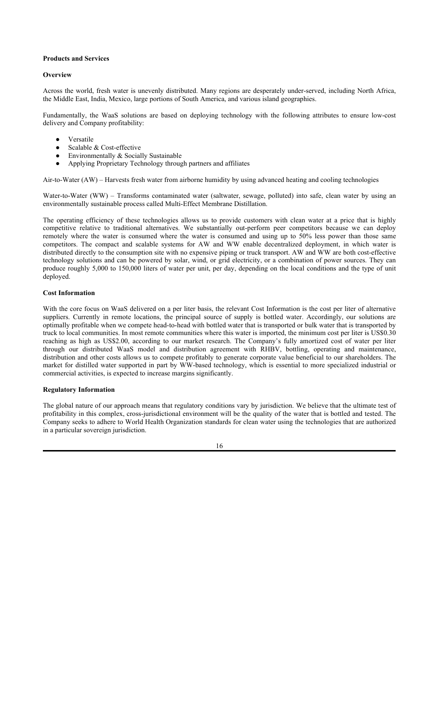#### **Products and Services**

#### **Overview**

Across the world, fresh water is unevenly distributed. Many regions are desperately under-served, including North Africa, the Middle East, India, Mexico, large portions of South America, and various island geographies.

Fundamentally, the WaaS solutions are based on deploying technology with the following attributes to ensure low-cost delivery and Company profitability:

- Versatile
- $\bullet$  Scalable & Cost-effective
- Environmentally & Socially Sustainable
- Applying Proprietary Technology through partners and affiliates

Air-to-Water (AW) – Harvests fresh water from airborne humidity by using advanced heating and cooling technologies

Water-to-Water (WW) – Transforms contaminated water (saltwater, sewage, polluted) into safe, clean water by using an environmentally sustainable process called Multi-Effect Membrane Distillation.

The operating efficiency of these technologies allows us to provide customers with clean water at a price that is highly competitive relative to traditional alternatives. We substantially out-perform peer competitors because we can deploy remotely where the water is consumed where the water is consumed and using up to 50% less power than those same competitors. The compact and scalable systems for AW and WW enable decentralized deployment, in which water is distributed directly to the consumption site with no expensive piping or truck transport. AW and WW are both cost-effective technology solutions and can be powered by solar, wind, or grid electricity, or a combination of power sources. They can produce roughly 5,000 to 150,000 liters of water per unit, per day, depending on the local conditions and the type of unit deployed.

#### **Cost Information**

With the core focus on WaaS delivered on a per liter basis, the relevant Cost Information is the cost per liter of alternative suppliers. Currently in remote locations, the principal source of supply is bottled water. Accordingly, our solutions are optimally profitable when we compete head-to-head with bottled water that is transported or bulk water that is transported by truck to local communities. In most remote communities where this water is imported, the minimum cost per liter is US\$0.30 reaching as high as US\$2.00, according to our market research. The Company's fully amortized cost of water per liter through our distributed WaaS model and distribution agreement with RHBV, bottling, operating and maintenance, distribution and other costs allows us to compete profitably to generate corporate value beneficial to our shareholders. The market for distilled water supported in part by WW-based technology, which is essential to more specialized industrial or commercial activities, is expected to increase margins significantly.

## **Regulatory Information**

The global nature of our approach means that regulatory conditions vary by jurisdiction. We believe that the ultimate test of profitability in this complex, cross-jurisdictional environment will be the quality of the water that is bottled and tested. The Company seeks to adhere to World Health Organization standards for clean water using the technologies that are authorized in a particular sovereign jurisdiction.

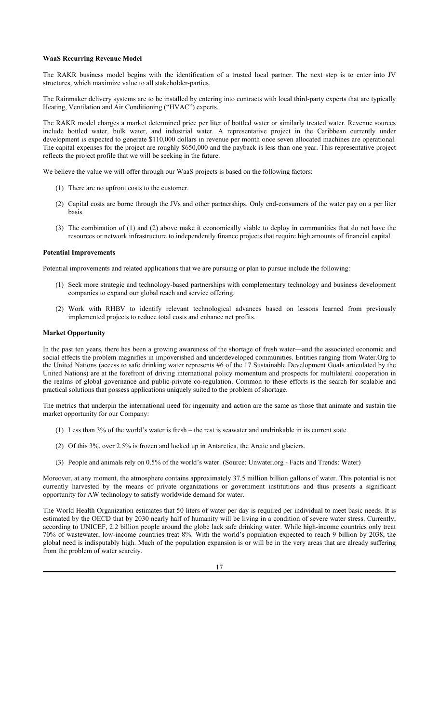#### **WaaS Recurring Revenue Model**

The RAKR business model begins with the identification of a trusted local partner. The next step is to enter into JV structures, which maximize value to all stakeholder-parties.

The Rainmaker delivery systems are to be installed by entering into contracts with local third-party experts that are typically Heating, Ventilation and Air Conditioning ("HVAC") experts.

The RAKR model charges a market determined price per liter of bottled water or similarly treated water. Revenue sources include bottled water, bulk water, and industrial water. A representative project in the Caribbean currently under development is expected to generate \$110,000 dollars in revenue per month once seven allocated machines are operational. The capital expenses for the project are roughly \$650,000 and the payback is less than one year. This representative project reflects the project profile that we will be seeking in the future.

We believe the value we will offer through our WaaS projects is based on the following factors:

- (1) There are no upfront costs to the customer.
- (2) Capital costs are borne through the JVs and other partnerships. Only end-consumers of the water pay on a per liter basis.
- (3) The combination of (1) and (2) above make it economically viable to deploy in communities that do not have the resources or network infrastructure to independently finance projects that require high amounts of financial capital.

#### **Potential Improvements**

Potential improvements and related applications that we are pursuing or plan to pursue include the following:

- (1) Seek more strategic and technology-based partnerships with complementary technology and business development companies to expand our global reach and service offering.
- (2) Work with RHBV to identify relevant technological advances based on lessons learned from previously implemented projects to reduce total costs and enhance net profits.

## **Market Opportunity**

In the past ten years, there has been a growing awareness of the shortage of fresh water—and the associated economic and social effects the problem magnifies in impoverished and underdeveloped communities. Entities ranging from Water.Org to the United Nations (access to safe drinking water represents #6 of the 17 Sustainable Development Goals articulated by the United Nations) are at the forefront of driving international policy momentum and prospects for multilateral cooperation in the realms of global governance and public-private co-regulation. Common to these efforts is the search for scalable and practical solutions that possess applications uniquely suited to the problem of shortage.

The metrics that underpin the international need for ingenuity and action are the same as those that animate and sustain the market opportunity for our Company:

- (1) Less than 3% of the world's water is fresh the rest is seawater and undrinkable in its current state.
- (2) Of this 3%, over 2.5% is frozen and locked up in Antarctica, the Arctic and glaciers.
- (3) People and animals rely on 0.5% of the world's water. (Source: Unwater.org Facts and Trends: Water)

Moreover, at any moment, the atmosphere contains approximately 37.5 million billion gallons of water. This potential is not currently harvested by the means of private organizations or government institutions and thus presents a significant opportunity for AW technology to satisfy worldwide demand for water.

The World Health Organization estimates that 50 liters of water per day is required per individual to meet basic needs. It is estimated by the OECD that by 2030 nearly half of humanity will be living in a condition of severe water stress. Currently, according to UNICEF, 2.2 billion people around the globe lack safe drinking water. While high-income countries only treat 70% of wastewater, low-income countries treat 8%. With the world's population expected to reach 9 billion by 2038, the global need is indisputably high. Much of the population expansion is or will be in the very areas that are already suffering from the problem of water scarcity.

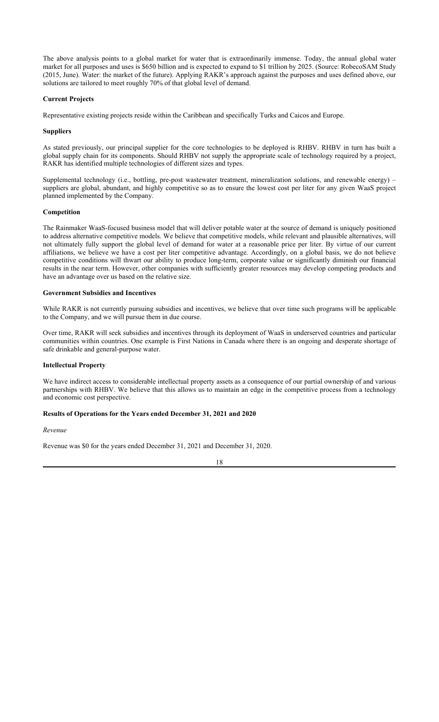The above analysis points to a global market for water that is extraordinarily immense. Today, the annual global water market for all purposes and uses is \$650 billion and is expected to expand to \$1 trillion by 2025. (Source: RobecoSAM Study (2015, June). Water: the market of the future). Applying RAKR's approach against the purposes and uses defined above, our solutions are tailored to meet roughly 70% of that global level of demand.

#### **Current Projects**

Representative existing projects reside within the Caribbean and specifically Turks and Caicos and Europe.

#### **Suppliers**

As stated previously, our principal supplier for the core technologies to be deployed is RHBV. RHBV in turn has built a global supply chain for its components. Should RHBV not supply the appropriate scale of technology required by a project, RAKR has identified multiple technologies of different sizes and types.

Supplemental technology (i.e., bottling, pre-post wastewater treatment, mineralization solutions, and renewable energy) – suppliers are global, abundant, and highly competitive so as to ensure the lowest cost per liter for any given WaaS project planned implemented by the Company.

## **Competition**

The Rainmaker WaaS-focused business model that will deliver potable water at the source of demand is uniquely positioned to address alternative competitive models. We believe that competitive models, while relevant and plausible alternatives, will not ultimately fully support the global level of demand for water at a reasonable price per liter. By virtue of our current affiliations, we believe we have a cost per liter competitive advantage. Accordingly, on a global basis, we do not believe competitive conditions will thwart our ability to produce long-term, corporate value or significantly diminish our financial results in the near term. However, other companies with sufficiently greater resources may develop competing products and have an advantage over us based on the relative size.

#### **Government Subsidies and Incentives**

While RAKR is not currently pursuing subsidies and incentives, we believe that over time such programs will be applicable to the Company, and we will pursue them in due course.

Over time, RAKR will seek subsidies and incentives through its deployment of WaaS in underserved countries and particular communities within countries. One example is First Nations in Canada where there is an ongoing and desperate shortage of safe drinkable and general-purpose water.

## **Intellectual Property**

We have indirect access to considerable intellectual property assets as a consequence of our partial ownership of and various partnerships with RHBV. We believe that this allows us to maintain an edge in the competitive process from a technology and economic cost perspective.

## **Results of Operations for the Years ended December 31, 2021 and 2020**

#### *Revenue*

Revenue was \$0 for the years ended December 31, 2021 and December 31, 2020.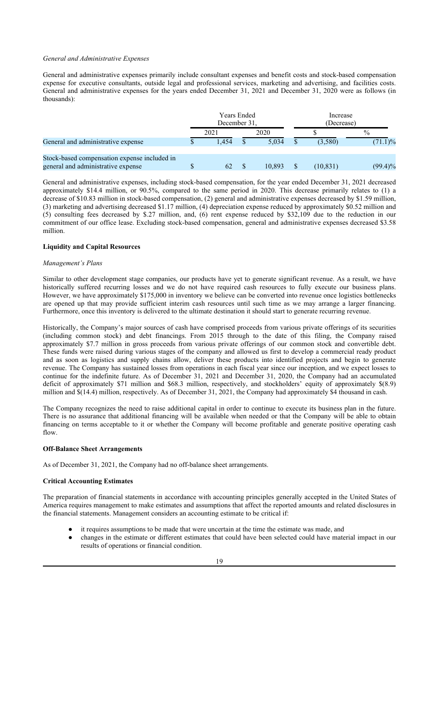#### *General and Administrative Expenses*

General and administrative expenses primarily include consultant expenses and benefit costs and stock-based compensation expense for executive consultants, outside legal and professional services, marketing and advertising, and facilities costs. General and administrative expenses for the years ended December 31, 2021 and December 31, 2020 were as follows (in thousands):

|                                                                                    | Years Ended<br>December 31. |       |    | Increase<br>(Decrease) |  |           |               |
|------------------------------------------------------------------------------------|-----------------------------|-------|----|------------------------|--|-----------|---------------|
|                                                                                    |                             | 2021  |    | 2020                   |  |           | $\frac{0}{0}$ |
| General and administrative expense                                                 |                             | 1.454 | \$ | 5.034                  |  | (3,580)   | $(71.1)\%$    |
| Stock-based compensation expense included in<br>general and administrative expense |                             | 62    |    | 10.893                 |  | (10, 831) | $(99.4)\%$    |

General and administrative expenses, including stock-based compensation, for the year ended December 31, 2021 decreased approximately \$14.4 million, or 90.5%, compared to the same period in 2020. This decrease primarily relates to (1) a decrease of \$10.83 million in stock-based compensation, (2) general and administrative expenses decreased by \$1.59 million, (3) marketing and advertising decreased \$1.17 million, (4) depreciation expense reduced by approximately \$0.52 million and (5) consulting fees decreased by \$.27 million, and, (6) rent expense reduced by \$32,109 due to the reduction in our commitment of our office lease. Excluding stock-based compensation, general and administrative expenses decreased \$3.58 million.

## **Liquidity and Capital Resources**

#### *Management's Plans*

Similar to other development stage companies, our products have yet to generate significant revenue. As a result, we have historically suffered recurring losses and we do not have required cash resources to fully execute our business plans. However, we have approximately \$175,000 in inventory we believe can be converted into revenue once logistics bottlenecks are opened up that may provide sufficient interim cash resources until such time as we may arrange a larger financing. Furthermore, once this inventory is delivered to the ultimate destination it should start to generate recurring revenue.

Historically, the Company's major sources of cash have comprised proceeds from various private offerings of its securities (including common stock) and debt financings. From 2015 through to the date of this filing, the Company raised approximately \$7.7 million in gross proceeds from various private offerings of our common stock and convertible debt. These funds were raised during various stages of the company and allowed us first to develop a commercial ready product and as soon as logistics and supply chains allow, deliver these products into identified projects and begin to generate revenue. The Company has sustained losses from operations in each fiscal year since our inception, and we expect losses to continue for the indefinite future. As of December 31, 2021 and December 31, 2020, the Company had an accumulated deficit of approximately \$71 million and \$68.3 million, respectively, and stockholders' equity of approximately \$(8.9) million and \$(14.4) million, respectively. As of December 31, 2021, the Company had approximately \$4 thousand in cash.

The Company recognizes the need to raise additional capital in order to continue to execute its business plan in the future. There is no assurance that additional financing will be available when needed or that the Company will be able to obtain financing on terms acceptable to it or whether the Company will become profitable and generate positive operating cash flow.

#### **Off-Balance Sheet Arrangements**

As of December 31, 2021, the Company had no off-balance sheet arrangements.

#### **Critical Accounting Estimates**

The preparation of financial statements in accordance with accounting principles generally accepted in the United States of America requires management to make estimates and assumptions that affect the reported amounts and related disclosures in the financial statements. Management considers an accounting estimate to be critical if:

- it requires assumptions to be made that were uncertain at the time the estimate was made, and
- changes in the estimate or different estimates that could have been selected could have material impact in our results of operations or financial condition.

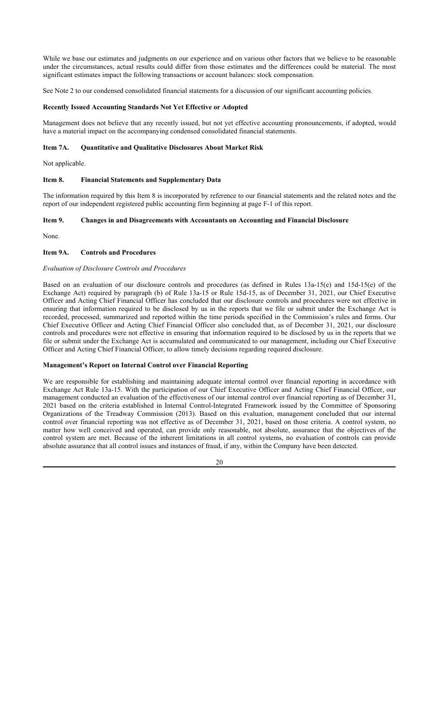While we base our estimates and judgments on our experience and on various other factors that we believe to be reasonable under the circumstances, actual results could differ from those estimates and the differences could be material. The most significant estimates impact the following transactions or account balances: stock compensation.

See Note 2 to our condensed consolidated financial statements for a discussion of our significant accounting policies.

## **Recently Issued Accounting Standards Not Yet Effective or Adopted**

Management does not believe that any recently issued, but not yet effective accounting pronouncements, if adopted, would have a material impact on the accompanying condensed consolidated financial statements.

# **Item 7A. Quantitative and Qualitative Disclosures About Market Risk**

Not applicable.

#### **Item 8. Financial Statements and Supplementary Data**

The information required by this Item 8 is incorporated by reference to our financial statements and the related notes and the report of our independent registered public accounting firm beginning at page F-1 of this report.

#### **Item 9. Changes in and Disagreements with Accountants on Accounting and Financial Disclosure**

None.

## **Item 9A. Controls and Procedures**

#### *Evaluation of Disclosure Controls and Procedures*

Based on an evaluation of our disclosure controls and procedures (as defined in Rules 13a-15(e) and 15d-15(e) of the Exchange Act) required by paragraph (b) of Rule 13a-15 or Rule 15d-15, as of December 31, 2021, our Chief Executive Officer and Acting Chief Financial Officer has concluded that our disclosure controls and procedures were not effective in ensuring that information required to be disclosed by us in the reports that we file or submit under the Exchange Act is recorded, processed, summarized and reported within the time periods specified in the Commission's rules and forms. Our Chief Executive Officer and Acting Chief Financial Officer also concluded that, as of December 31, 2021, our disclosure controls and procedures were not effective in ensuring that information required to be disclosed by us in the reports that we file or submit under the Exchange Act is accumulated and communicated to our management, including our Chief Executive Officer and Acting Chief Financial Officer, to allow timely decisions regarding required disclosure.

#### **Management's Report on Internal Control over Financial Reporting**

We are responsible for establishing and maintaining adequate internal control over financial reporting in accordance with Exchange Act Rule 13a-15. With the participation of our Chief Executive Officer and Acting Chief Financial Officer, our management conducted an evaluation of the effectiveness of our internal control over financial reporting as of December 31, 2021 based on the criteria established in Internal Control-Integrated Framework issued by the Committee of Sponsoring Organizations of the Treadway Commission (2013). Based on this evaluation, management concluded that our internal control over financial reporting was not effective as of December 31, 2021, based on those criteria. A control system, no matter how well conceived and operated, can provide only reasonable, not absolute, assurance that the objectives of the control system are met. Because of the inherent limitations in all control systems, no evaluation of controls can provide absolute assurance that all control issues and instances of fraud, if any, within the Company have been detected.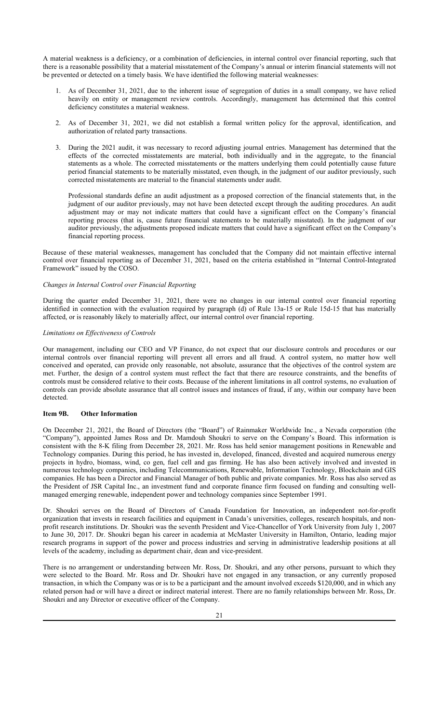A material weakness is a deficiency, or a combination of deficiencies, in internal control over financial reporting, such that there is a reasonable possibility that a material misstatement of the Company's annual or interim financial statements will not be prevented or detected on a timely basis. We have identified the following material weaknesses:

- 1. As of December 31, 2021, due to the inherent issue of segregation of duties in a small company, we have relied heavily on entity or management review controls. Accordingly, management has determined that this control deficiency constitutes a material weakness.
- 2. As of December 31, 2021, we did not establish a formal written policy for the approval, identification, and authorization of related party transactions.
- 3. During the 2021 audit, it was necessary to record adjusting journal entries. Management has determined that the effects of the corrected misstatements are material, both individually and in the aggregate, to the financial statements as a whole. The corrected misstatements or the matters underlying them could potentially cause future period financial statements to be materially misstated, even though, in the judgment of our auditor previously, such corrected misstatements are material to the financial statements under audit.

Professional standards define an audit adjustment as a proposed correction of the financial statements that, in the judgment of our auditor previously, may not have been detected except through the auditing procedures. An audit adjustment may or may not indicate matters that could have a significant effect on the Company's financial reporting process (that is, cause future financial statements to be materially misstated). In the judgment of our auditor previously, the adjustments proposed indicate matters that could have a significant effect on the Company's financial reporting process.

Because of these material weaknesses, management has concluded that the Company did not maintain effective internal control over financial reporting as of December 31, 2021, based on the criteria established in "Internal Control-Integrated Framework" issued by the COSO.

## *Changes in Internal Control over Financial Reporting*

During the quarter ended December 31, 2021, there were no changes in our internal control over financial reporting identified in connection with the evaluation required by paragraph (d) of Rule 13a-15 or Rule 15d-15 that has materially affected, or is reasonably likely to materially affect, our internal control over financial reporting.

## *Limitations on Effectiveness of Controls*

Our management, including our CEO and VP Finance, do not expect that our disclosure controls and procedures or our internal controls over financial reporting will prevent all errors and all fraud. A control system, no matter how well conceived and operated, can provide only reasonable, not absolute, assurance that the objectives of the control system are met. Further, the design of a control system must reflect the fact that there are resource constraints, and the benefits of controls must be considered relative to their costs. Because of the inherent limitations in all control systems, no evaluation of controls can provide absolute assurance that all control issues and instances of fraud, if any, within our company have been detected.

## **Item 9B. Other Information**

On December 21, 2021, the Board of Directors (the "Board") of Rainmaker Worldwide Inc., a Nevada corporation (the "Company"), appointed James Ross and Dr. Mamdouh Shoukri to serve on the Company's Board. This information is consistent with the 8-K filing from December 28, 2021. Mr. Ross has held senior management positions in Renewable and Technology companies. During this period, he has invested in, developed, financed, divested and acquired numerous energy projects in hydro, biomass, wind, co gen, fuel cell and gas firming. He has also been actively involved and invested in numerous technology companies, including Telecommunications, Renewable, Information Technology, Blockchain and GIS companies. He has been a Director and Financial Manager of both public and private companies. Mr. Ross has also served as the President of JSR Capital Inc., an investment fund and corporate finance firm focused on funding and consulting wellmanaged emerging renewable, independent power and technology companies since September 1991.

Dr. Shoukri serves on the Board of Directors of Canada Foundation for Innovation, an independent not-for-profit organization that invests in research facilities and equipment in Canada's universities, colleges, research hospitals, and nonprofit research institutions. Dr. Shoukri was the seventh President and Vice-Chancellor of York University from July 1, 2007 to June 30, 2017. Dr. Shoukri began his career in academia at McMaster University in Hamilton, Ontario, leading major research programs in support of the power and process industries and serving in administrative leadership positions at all levels of the academy, including as department chair, dean and vice-president.

There is no arrangement or understanding between Mr. Ross, Dr. Shoukri, and any other persons, pursuant to which they were selected to the Board. Mr. Ross and Dr. Shoukri have not engaged in any transaction, or any currently proposed transaction, in which the Company was or is to be a participant and the amount involved exceeds \$120,000, and in which any related person had or will have a direct or indirect material interest. There are no family relationships between Mr. Ross, Dr. Shoukri and any Director or executive officer of the Company.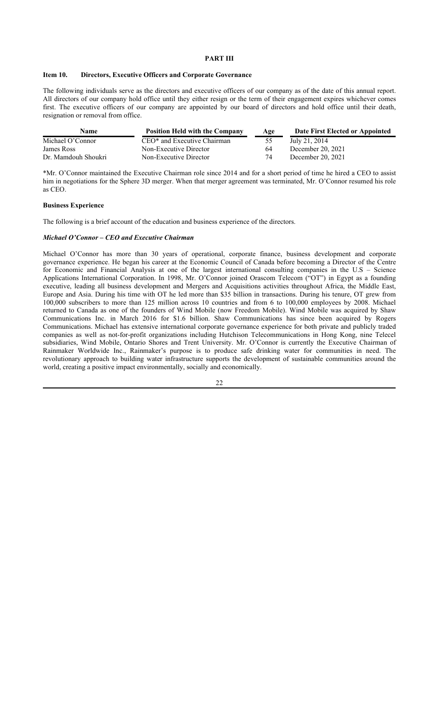# **PART III**

#### **Item 10. Directors, Executive Officers and Corporate Governance**

The following individuals serve as the directors and executive officers of our company as of the date of this annual report. All directors of our company hold office until they either resign or the term of their engagement expires whichever comes first. The executive officers of our company are appointed by our board of directors and hold office until their death, resignation or removal from office.

| Name                | <b>Position Held with the Company</b>   | Age | Date First Elected or Appointed |
|---------------------|-----------------------------------------|-----|---------------------------------|
| Michael O'Connor    | CEO <sup>*</sup> and Executive Chairman | 55  | July 21, 2014                   |
| James Ross          | Non-Executive Director                  | 64  | December 20, 2021               |
| Dr. Mamdouh Shoukri | Non-Executive Director                  | 74  | December 20, 2021               |

\*Mr. O'Connor maintained the Executive Chairman role since 2014 and for a short period of time he hired a CEO to assist him in negotiations for the Sphere 3D merger. When that merger agreement was terminated, Mr. O'Connor resumed his role as CEO.

#### **Business Experience**

The following is a brief account of the education and business experience of the directors.

## *Michael O'Connor – CEO and Executive Chairman*

Michael O'Connor has more than 30 years of operational, corporate finance, business development and corporate governance experience. He began his career at the Economic Council of Canada before becoming a Director of the Centre for Economic and Financial Analysis at one of the largest international consulting companies in the U.S – Science Applications International Corporation. In 1998, Mr. O'Connor joined Orascom Telecom ("OT") in Egypt as a founding executive, leading all business development and Mergers and Acquisitions activities throughout Africa, the Middle East, Europe and Asia. During his time with OT he led more than \$35 billion in transactions. During his tenure, OT grew from 100,000 subscribers to more than 125 million across 10 countries and from 6 to 100,000 employees by 2008. Michael returned to Canada as one of the founders of Wind Mobile (now Freedom Mobile). Wind Mobile was acquired by Shaw Communications Inc. in March 2016 for \$1.6 billion. Shaw Communications has since been acquired by Rogers Communications. Michael has extensive international corporate governance experience for both private and publicly traded companies as well as not-for-profit organizations including Hutchison Telecommunications in Hong Kong, nine Telecel subsidiaries, Wind Mobile, Ontario Shores and Trent University. Mr. O'Connor is currently the Executive Chairman of Rainmaker Worldwide Inc., Rainmaker's purpose is to produce safe drinking water for communities in need. The revolutionary approach to building water infrastructure supports the development of sustainable communities around the world, creating a positive impact environmentally, socially and economically.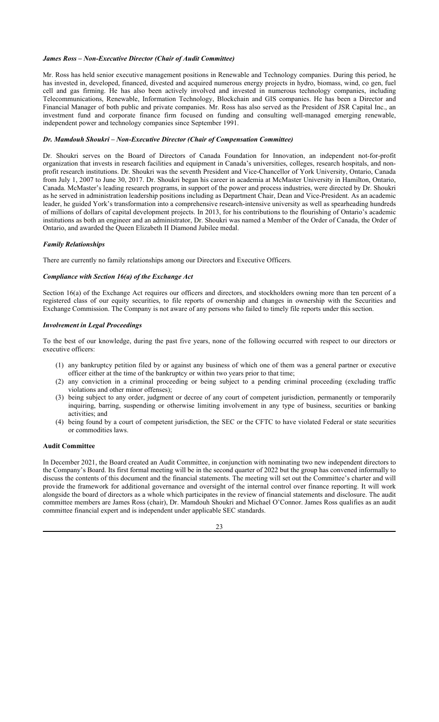#### *James Ross – Non-Executive Director (Chair of Audit Committee)*

Mr. Ross has held senior executive management positions in Renewable and Technology companies. During this period, he has invested in, developed, financed, divested and acquired numerous energy projects in hydro, biomass, wind, co gen, fuel cell and gas firming. He has also been actively involved and invested in numerous technology companies, including Telecommunications, Renewable, Information Technology, Blockchain and GIS companies. He has been a Director and Financial Manager of both public and private companies. Mr. Ross has also served as the President of JSR Capital Inc., an investment fund and corporate finance firm focused on funding and consulting well-managed emerging renewable, independent power and technology companies since September 1991.

## *Dr. Mamdouh Shoukri – Non-Executive Director (Chair of Compensation Committee)*

Dr. Shoukri serves on the Board of Directors of Canada Foundation for Innovation, an independent not-for-profit organization that invests in research facilities and equipment in Canada's universities, colleges, research hospitals, and nonprofit research institutions. Dr. Shoukri was the seventh President and Vice-Chancellor of York University, Ontario, Canada from July 1, 2007 to June 30, 2017. Dr. Shoukri began his career in academia at McMaster University in Hamilton, Ontario, Canada. McMaster's leading research programs, in support of the power and process industries, were directed by Dr. Shoukri as he served in administration leadership positions including as Department Chair, Dean and Vice-President. As an academic leader, he guided York's transformation into a comprehensive research-intensive university as well as spearheading hundreds of millions of dollars of capital development projects. In 2013, for his contributions to the flourishing of Ontario's academic institutions as both an engineer and an administrator, Dr. Shoukri was named a Member of the Order of Canada, the Order of Ontario, and awarded the Queen Elizabeth II Diamond Jubilee medal.

#### *Family Relationships*

There are currently no family relationships among our Directors and Executive Officers.

#### *Compliance with Section 16(a) of the Exchange Act*

Section 16(a) of the Exchange Act requires our officers and directors, and stockholders owning more than ten percent of a registered class of our equity securities, to file reports of ownership and changes in ownership with the Securities and Exchange Commission. The Company is not aware of any persons who failed to timely file reports under this section.

#### *Involvement in Legal Proceedings*

To the best of our knowledge, during the past five years, none of the following occurred with respect to our directors or executive officers:

- (1) any bankruptcy petition filed by or against any business of which one of them was a general partner or executive officer either at the time of the bankruptcy or within two years prior to that time;
- (2) any conviction in a criminal proceeding or being subject to a pending criminal proceeding (excluding traffic violations and other minor offenses);
- (3) being subject to any order, judgment or decree of any court of competent jurisdiction, permanently or temporarily inquiring, barring, suspending or otherwise limiting involvement in any type of business, securities or banking activities; and
- (4) being found by a court of competent jurisdiction, the SEC or the CFTC to have violated Federal or state securities or commodities laws.

#### **Audit Committee**

In December 2021, the Board created an Audit Committee, in conjunction with nominating two new independent directors to the Company's Board. Its first formal meeting will be in the second quarter of 2022 but the group has convened informally to discuss the contents of this document and the financial statements. The meeting will set out the Committee's charter and will provide the framework for additional governance and oversight of the internal control over finance reporting. It will work alongside the board of directors as a whole which participates in the review of financial statements and disclosure. The audit committee members are James Ross (chair), Dr. Mamdouh Shoukri and Michael O'Connor. James Ross qualifies as an audit committee financial expert and is independent under applicable SEC standards.

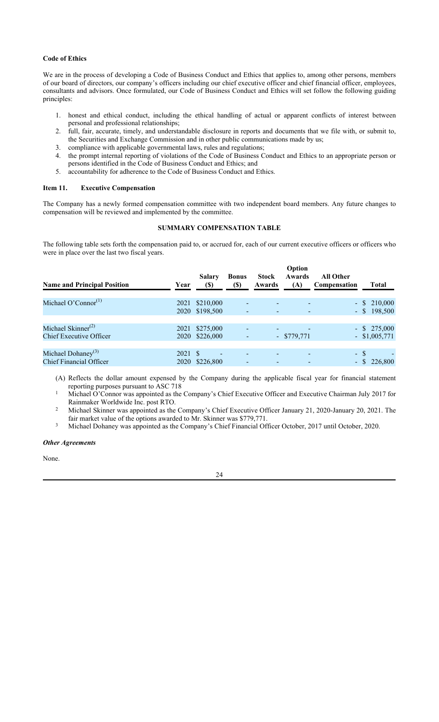## **Code of Ethics**

We are in the process of developing a Code of Business Conduct and Ethics that applies to, among other persons, members of our board of directors, our company's officers including our chief executive officer and chief financial officer, employees, consultants and advisors. Once formulated, our Code of Business Conduct and Ethics will set follow the following guiding principles:

- 1. honest and ethical conduct, including the ethical handling of actual or apparent conflicts of interest between personal and professional relationships;
- 2. full, fair, accurate, timely, and understandable disclosure in reports and documents that we file with, or submit to, the Securities and Exchange Commission and in other public communications made by us;
- 3. compliance with applicable governmental laws, rules and regulations;
- 4. the prompt internal reporting of violations of the Code of Business Conduct and Ethics to an appropriate person or persons identified in the Code of Business Conduct and Ethics; and
- 5. accountability for adherence to the Code of Business Conduct and Ethics.

#### **Item 11. Executive Compensation**

The Company has a newly formed compensation committee with two independent board members. Any future changes to compensation will be reviewed and implemented by the committee.

# **SUMMARY COMPENSATION TABLE**

The following table sets forth the compensation paid to, or accrued for, each of our current executive officers or officers who were in place over the last two fiscal years.

| <b>Name and Principal Position</b>                               | Year            | Salary<br>(\$)              | <b>Bonus</b><br><b>(\$)</b>                          | Stock<br>Awards | Option<br>Awards<br>(A)                    | <b>All Other</b><br>Compensation | <b>Total</b>                      |
|------------------------------------------------------------------|-----------------|-----------------------------|------------------------------------------------------|-----------------|--------------------------------------------|----------------------------------|-----------------------------------|
| Michael O'Connor <sup>(1)</sup>                                  | 2021            | \$210,000<br>2020 \$198,500 | $\overline{\phantom{a}}$                             |                 |                                            |                                  | $-$ \$ 210,000<br>$-$ \$ 198,500  |
| Michael Skinner $^{(2)}$<br>Chief Executive Officer              | 2021<br>2020    | \$275,000<br>\$226,000      |                                                      |                 | $-$ \$779,771                              |                                  | $-$ \$ 275,000<br>$-$ \$1,005,771 |
| Michael Dohaney <sup>(3)</sup><br><b>Chief Financial Officer</b> | 2021 \$<br>2020 | \$226,800                   | $\overline{\phantom{a}}$<br>$\overline{\phantom{a}}$ |                 | $\blacksquare$<br>$\overline{\phantom{0}}$ |                                  | $-S$<br>226,800<br>$-$ \$         |

(A) Reflects the dollar amount expensed by the Company during the applicable fiscal year for financial statement reporting purposes pursuant to ASC 718

<sup>1</sup> Michael O'Connor was appointed as the Company's Chief Executive Officer and Executive Chairman July 2017 for Rainmaker Worldwide Inc. post RTO.

<sup>2</sup> Michael Skinner was appointed as the Company's Chief Executive Officer January 21, 2020-January 20, 2021. The fair market value of the options awarded to Mr. Skinner was \$779,771.

<sup>3</sup> Michael Dohaney was appointed as the Company's Chief Financial Officer October, 2017 until October, 2020.

## *Other Agreements*

None.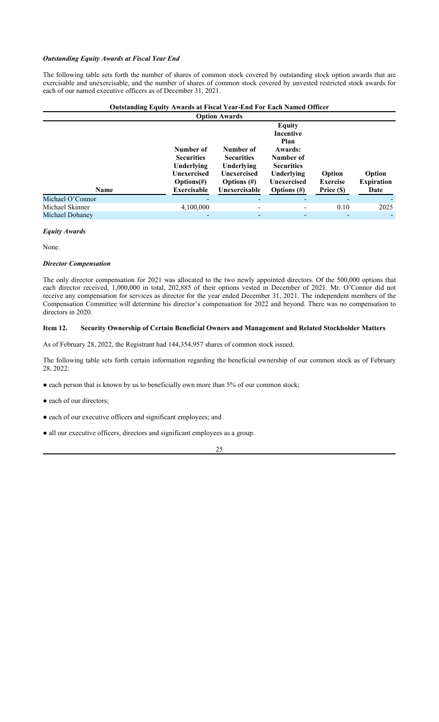## *Outstanding Equity Awards at Fiscal Year End*

The following table sets forth the number of shares of common stock covered by outstanding stock option awards that are exercisable and unexercisable, and the number of shares of common stock covered by unvested restricted stock awards for each of our named executive officers as of December 31, 2021.

| <b>Outstanding Equity Awards at Fiscal Year-End For Each Named Officer</b> |                                                                                     |                                                                                      |                                                                                                                                   |                           |                             |  |  |
|----------------------------------------------------------------------------|-------------------------------------------------------------------------------------|--------------------------------------------------------------------------------------|-----------------------------------------------------------------------------------------------------------------------------------|---------------------------|-----------------------------|--|--|
| <b>Option Awards</b>                                                       |                                                                                     |                                                                                      |                                                                                                                                   |                           |                             |  |  |
|                                                                            | Number of<br><b>Securities</b><br>Underlying<br><b>Unexercised</b><br>$Options(\#)$ | Number of<br><b>Securities</b><br>Underlying<br><b>Unexercised</b><br>Options $(\#)$ | <b>Equity</b><br><b>Incentive</b><br>Plan<br><b>Awards:</b><br>Number of<br><b>Securities</b><br>Underlying<br><b>Unexercised</b> | Option<br><b>Exercise</b> | Option<br><b>Expiration</b> |  |  |
| <b>Name</b>                                                                | <b>Exercisable</b>                                                                  | Unexercisable                                                                        | Options $(\#)$                                                                                                                    | Price (\$)                | Date                        |  |  |
| Michael O'Connor                                                           |                                                                                     |                                                                                      |                                                                                                                                   |                           |                             |  |  |
| Michael Skinner                                                            | 4.100,000                                                                           |                                                                                      |                                                                                                                                   | 0.10                      | 2025                        |  |  |
| Michael Dohaney                                                            |                                                                                     |                                                                                      |                                                                                                                                   |                           |                             |  |  |

#### *Equity Awards*

None.

#### *Director Compensation*

The only director compensation for 2021 was allocated to the two newly appointed directors. Of the 500,000 options that each director received, 1,000,000 in total, 202,885 of their options vested in December of 2021. Mr. O'Connor did not receive any compensation for services as director for the year ended December 31, 2021. The independent members of the Compensation Committee will determine his director's compensation for 2022 and beyond. There was no compensation to directors in 2020.

# **Item 12. Security Ownership of Certain Beneficial Owners and Management and Related Stockholder Matters**

As of February 28, 2022, the Registrant had 144,354,957 shares of common stock issued.

The following table sets forth certain information regarding the beneficial ownership of our common stock as of February 28, 2022:

• each person that is known by us to beneficially own more than 5% of our common stock;

- each of our directors;
- each of our executive officers and significant employees; and
- all our executive officers, directors and significant employees as a group.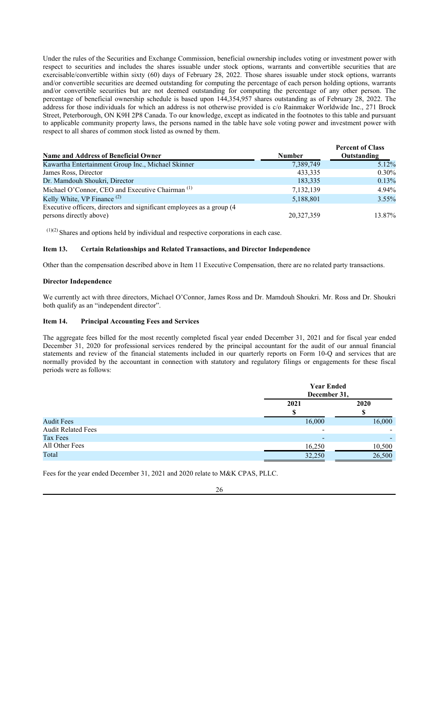Under the rules of the Securities and Exchange Commission, beneficial ownership includes voting or investment power with respect to securities and includes the shares issuable under stock options, warrants and convertible securities that are exercisable/convertible within sixty (60) days of February 28, 2022. Those shares issuable under stock options, warrants and/or convertible securities are deemed outstanding for computing the percentage of each person holding options, warrants and/or convertible securities but are not deemed outstanding for computing the percentage of any other person. The percentage of beneficial ownership schedule is based upon 144,354,957 shares outstanding as of February 28, 2022. The address for those individuals for which an address is not otherwise provided is c/o Rainmaker Worldwide Inc., 271 Brock Street, Peterborough, ON K9H 2P8 Canada. To our knowledge, except as indicated in the footnotes to this table and pursuant to applicable community property laws, the persons named in the table have sole voting power and investment power with respect to all shares of common stock listed as owned by them.

|                                                                       |               | <b>Percent of Class</b> |
|-----------------------------------------------------------------------|---------------|-------------------------|
| <b>Name and Address of Beneficial Owner</b>                           | <b>Number</b> | Outstanding             |
| Kawartha Entertainment Group Inc., Michael Skinner                    | 7,389,749     | 5.12%                   |
| James Ross, Director                                                  | 433,335       | $0.30\%$                |
| Dr. Mamdouh Shoukri, Director                                         | 183,335       | 0.13%                   |
| Michael O'Connor, CEO and Executive Chairman <sup>(1)</sup>           | 7,132,139     | 4.94%                   |
| Kelly White, VP Finance <sup>(2)</sup>                                | 5,188,801     | $3.55\%$                |
| Executive officers, directors and significant employees as a group (4 |               |                         |
| persons directly above)                                               | 20,327,359    | 13.87%                  |

 $(1)(2)$  Shares and options held by individual and respective corporations in each case.

## **Item 13. Certain Relationships and Related Transactions, and Director Independence**

Other than the compensation described above in Item 11 Executive Compensation, there are no related party transactions.

## **Director Independence**

We currently act with three directors, Michael O'Connor, James Ross and Dr. Mamdouh Shoukri. Mr. Ross and Dr. Shoukri both qualify as an "independent director".

## **Item 14. Principal Accounting Fees and Services**

The aggregate fees billed for the most recently completed fiscal year ended December 31, 2021 and for fiscal year ended December 31, 2020 for professional services rendered by the principal accountant for the audit of our annual financial statements and review of the financial statements included in our quarterly reports on Form 10-Q and services that are normally provided by the accountant in connection with statutory and regulatory filings or engagements for these fiscal periods were as follows:

|                           | <b>Year Ended</b>        |        |
|---------------------------|--------------------------|--------|
|                           | December 31,             |        |
|                           | 2021                     | 2020   |
|                           | ٨D                       | S      |
| <b>Audit Fees</b>         | 16,000                   | 16,000 |
| <b>Audit Related Fees</b> | $\overline{\phantom{a}}$ |        |
| Tax Fees                  | $\overline{\phantom{a}}$ |        |
| All Other Fees            | 16,250                   | 10,500 |
| Total                     | 32,250                   | 26,500 |

Fees for the year ended December 31, 2021 and 2020 relate to M&K CPAS, PLLC.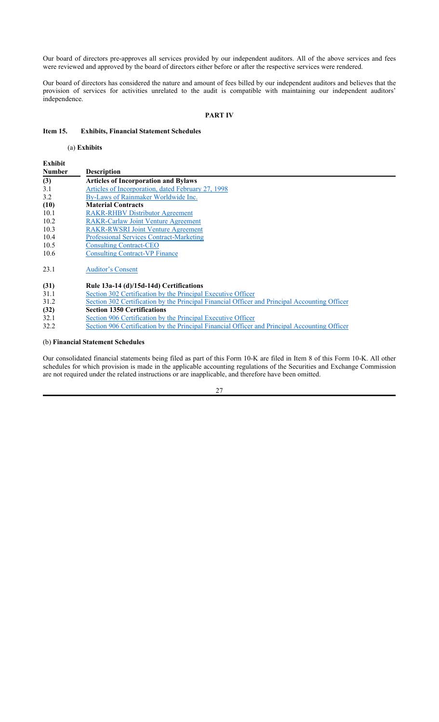Our board of directors pre-approves all services provided by our independent auditors. All of the above services and fees were reviewed and approved by the board of directors either before or after the respective services were rendered.

Our board of directors has considered the nature and amount of fees billed by our independent auditors and believes that the provision of services for activities unrelated to the audit is compatible with maintaining our independent auditors' independence.

## **PART IV**

# **Item 15. Exhibits, Financial Statement Schedules**

(a) **Exhibits**

**Exhibit** 

| елини         |                                                                                               |
|---------------|-----------------------------------------------------------------------------------------------|
| <b>Number</b> | <b>Description</b>                                                                            |
| (3)           | <b>Articles of Incorporation and Bylaws</b>                                                   |
| 3.1           | Articles of Incorporation, dated February 27, 1998                                            |
| 3.2           | By-Laws of Rainmaker Worldwide Inc.                                                           |
| (10)          | <b>Material Contracts</b>                                                                     |
| 10.1          | <b>RAKR-RHBV Distributor Agreement</b>                                                        |
| 10.2          | <b>RAKR-Carlaw Joint Venture Agreement</b>                                                    |
| 10.3          | <b>RAKR-RWSRI Joint Venture Agreement</b>                                                     |
| 10.4          | <b>Professional Services Contract-Marketing</b>                                               |
| 10.5          | <b>Consulting Contract-CEO</b>                                                                |
| 10.6          | <b>Consulting Contract-VP Finance</b>                                                         |
| 23.1          | <b>Auditor's Consent</b>                                                                      |
| (31)          | Rule 13a-14 (d)/15d-14d) Certifications                                                       |
| 31.1          | Section 302 Certification by the Principal Executive Officer                                  |
| 31.2          | Section 302 Certification by the Principal Financial Officer and Principal Accounting Officer |
| (32)          | <b>Section 1350 Certifications</b>                                                            |
| 32.1          | Section 906 Certification by the Principal Executive Officer                                  |
| 32.2          | Section 906 Certification by the Principal Financial Officer and Principal Accounting Officer |
|               |                                                                                               |

# (b) **Financial Statement Schedules**

Our consolidated financial statements being filed as part of this Form 10-K are filed in Item 8 of this Form 10-K. All other schedules for which provision is made in the applicable accounting regulations of the Securities and Exchange Commission are not required under the related instructions or are inapplicable, and therefore have been omitted.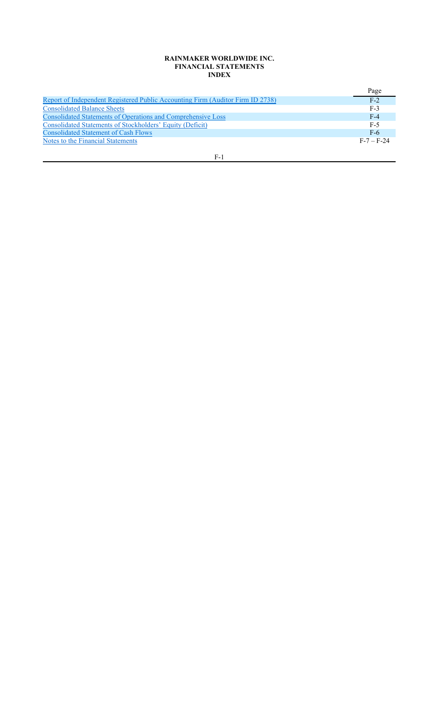#### **RAINMAKER WORLDWIDE INC. FINANCIAL STATEMENTS INDEX**

|                                                                                | Page       |
|--------------------------------------------------------------------------------|------------|
| Report of Independent Registered Public Accounting Firm (Auditor Firm ID 2738) | $F-2$      |
| <b>Consolidated Balance Sheets</b>                                             | $F-3$      |
| Consolidated Statements of Operations and Comprehensive Loss                   | $F-4$      |
| Consolidated Statements of Stockholders' Equity (Deficit)                      | $F-5$      |
| <b>Consolidated Statement of Cash Flows</b>                                    | $F-6$      |
| Notes to the Financial Statements                                              | $F-7-F-24$ |
|                                                                                |            |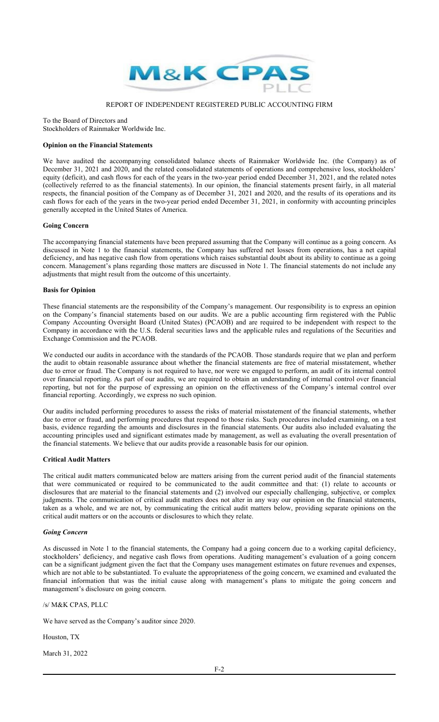

# REPORT OF INDEPENDENT REGISTERED PUBLIC ACCOUNTING FIRM

#### To the Board of Directors and Stockholders of Rainmaker Worldwide Inc.

# **Opinion on the Financial Statements**

We have audited the accompanying consolidated balance sheets of Rainmaker Worldwide Inc. (the Company) as of December 31, 2021 and 2020, and the related consolidated statements of operations and comprehensive loss, stockholders' equity (deficit), and cash flows for each of the years in the two-year period ended December 31, 2021, and the related notes (collectively referred to as the financial statements). In our opinion, the financial statements present fairly, in all material respects, the financial position of the Company as of December 31, 2021 and 2020, and the results of its operations and its cash flows for each of the years in the two-year period ended December 31, 2021, in conformity with accounting principles generally accepted in the United States of America.

#### **Going Concern**

The accompanying financial statements have been prepared assuming that the Company will continue as a going concern. As discussed in Note 1 to the financial statements, the Company has suffered net losses from operations, has a net capital deficiency, and has negative cash flow from operations which raises substantial doubt about its ability to continue as a going concern. Management's plans regarding those matters are discussed in Note 1. The financial statements do not include any adjustments that might result from the outcome of this uncertainty.

#### **Basis for Opinion**

These financial statements are the responsibility of the Company's management. Our responsibility is to express an opinion on the Company's financial statements based on our audits. We are a public accounting firm registered with the Public Company Accounting Oversight Board (United States) (PCAOB) and are required to be independent with respect to the Company in accordance with the U.S. federal securities laws and the applicable rules and regulations of the Securities and Exchange Commission and the PCAOB.

We conducted our audits in accordance with the standards of the PCAOB. Those standards require that we plan and perform the audit to obtain reasonable assurance about whether the financial statements are free of material misstatement, whether due to error or fraud. The Company is not required to have, nor were we engaged to perform, an audit of its internal control over financial reporting. As part of our audits, we are required to obtain an understanding of internal control over financial reporting, but not for the purpose of expressing an opinion on the effectiveness of the Company's internal control over financial reporting. Accordingly, we express no such opinion.

Our audits included performing procedures to assess the risks of material misstatement of the financial statements, whether due to error or fraud, and performing procedures that respond to those risks. Such procedures included examining, on a test basis, evidence regarding the amounts and disclosures in the financial statements. Our audits also included evaluating the accounting principles used and significant estimates made by management, as well as evaluating the overall presentation of the financial statements. We believe that our audits provide a reasonable basis for our opinion.

#### **Critical Audit Matters**

The critical audit matters communicated below are matters arising from the current period audit of the financial statements that were communicated or required to be communicated to the audit committee and that: (1) relate to accounts or disclosures that are material to the financial statements and (2) involved our especially challenging, subjective, or complex judgments. The communication of critical audit matters does not alter in any way our opinion on the financial statements, taken as a whole, and we are not, by communicating the critical audit matters below, providing separate opinions on the critical audit matters or on the accounts or disclosures to which they relate.

### *Going Concern*

As discussed in Note 1 to the financial statements, the Company had a going concern due to a working capital deficiency, stockholders' deficiency, and negative cash flows from operations. Auditing management's evaluation of a going concern can be a significant judgment given the fact that the Company uses management estimates on future revenues and expenses, which are not able to be substantiated. To evaluate the appropriateness of the going concern, we examined and evaluated the financial information that was the initial cause along with management's plans to mitigate the going concern and management's disclosure on going concern.

#### /s/ M&K CPAS, PLLC

We have served as the Company's auditor since 2020.

Houston, TX

March 31, 2022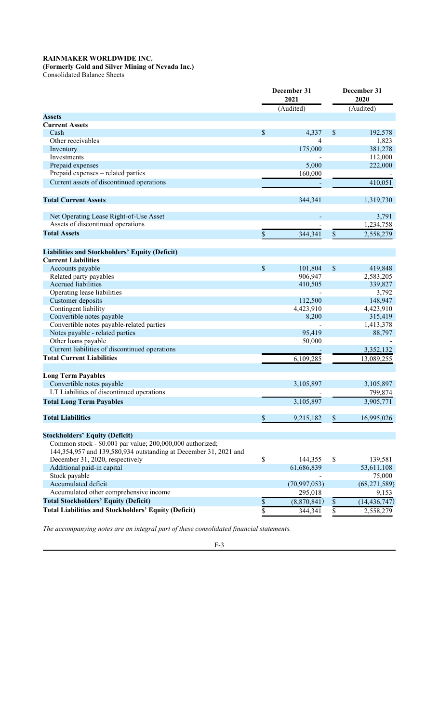# **(Formerly Gold and Silver Mining of Nevada Inc.)**

Consolidated Balance Sheets

|                                                                  | December 31<br>2021 |                |             | December 31<br>2020 |  |
|------------------------------------------------------------------|---------------------|----------------|-------------|---------------------|--|
|                                                                  |                     | (Audited)      |             | (Audited)           |  |
| <b>Assets</b>                                                    |                     |                |             |                     |  |
| <b>Current Assets</b>                                            |                     |                |             |                     |  |
| Cash                                                             | $\mathcal{S}$       | 4,337          | \$          | 192,578             |  |
| Other receivables                                                |                     | 4              |             | 1,823               |  |
| Inventory                                                        |                     | 175,000        |             | 381,278             |  |
| Investments                                                      |                     |                |             | 112,000             |  |
| Prepaid expenses                                                 |                     | 5,000          |             | 222,000             |  |
| Prepaid expenses - related parties                               |                     | 160,000        |             |                     |  |
| Current assets of discontinued operations                        |                     |                |             | 410,051             |  |
|                                                                  |                     |                |             |                     |  |
| <b>Total Current Assets</b>                                      |                     | 344,341        |             | 1,319,730           |  |
|                                                                  |                     |                |             |                     |  |
| Net Operating Lease Right-of-Use Asset                           |                     |                |             | 3,791               |  |
| Assets of discontinued operations                                |                     |                |             | 1,234,758           |  |
| <b>Total Assets</b>                                              | $\$$                | 344,341        | $\mathbb S$ | 2,558,279           |  |
|                                                                  |                     |                |             |                     |  |
| <b>Liabilities and Stockholders' Equity (Deficit)</b>            |                     |                |             |                     |  |
| <b>Current Liabilities</b>                                       |                     |                |             |                     |  |
| Accounts payable                                                 | $\mathcal{S}$       | 101,804        | \$          | 419,848             |  |
| Related party payables                                           |                     | 906,947        |             | 2,583,205           |  |
| <b>Accrued liabilities</b>                                       |                     | 410,505        |             | 339,827             |  |
| Operating lease liabilities                                      |                     |                |             | 3,792               |  |
| Customer deposits                                                |                     | 112,500        |             | 148,947             |  |
| Contingent liability                                             |                     | 4,423,910      |             | 4,423,910           |  |
| Convertible notes payable                                        |                     | 8,200          |             | 315,419             |  |
| Convertible notes payable-related parties                        |                     |                |             | 1,413,378           |  |
| Notes payable - related parties                                  |                     | 95,419         |             | 88,797              |  |
| Other loans payable                                              |                     | 50,000         |             |                     |  |
| Current liabilities of discontinued operations                   |                     |                |             | 3,352,132           |  |
| <b>Total Current Liabilities</b>                                 |                     | 6,109,285      |             | 13,089,255          |  |
|                                                                  |                     |                |             |                     |  |
| <b>Long Term Payables</b>                                        |                     |                |             |                     |  |
| Convertible notes payable                                        |                     | 3,105,897      |             | 3,105,897           |  |
| LT Liabilities of discontinued operations                        |                     |                |             | 799,874             |  |
| <b>Total Long Term Payables</b>                                  |                     | 3,105,897      |             | 3,905,771           |  |
|                                                                  |                     |                |             |                     |  |
| <b>Total Liabilities</b>                                         | \$                  | 9,215,182      | \$          | 16,995,026          |  |
|                                                                  |                     |                |             |                     |  |
| <b>Stockholders' Equity (Deficit)</b>                            |                     |                |             |                     |  |
| Common stock - \$0.001 par value; 200,000,000 authorized;        |                     |                |             |                     |  |
| 144,354,957 and 139,580,934 outstanding at December 31, 2021 and |                     |                |             |                     |  |
| December 31, 2020, respectively                                  | $\mathbb{S}$        | 144,355        | \$          | 139,581             |  |
| Additional paid-in capital                                       |                     | 61,686,839     |             | 53,611,108          |  |
| Stock payable                                                    |                     |                |             | 75,000              |  |
| Accumulated deficit                                              |                     | (70, 997, 053) |             | (68, 271, 589)      |  |
| Accumulated other comprehensive income                           |                     | 295,018        |             | 9,153               |  |
| <b>Total Stockholders' Equity (Deficit)</b>                      | $\$$                | (8,870,841)    | $\mathbb S$ | (14, 436, 747)      |  |
| <b>Total Liabilities and Stockholders' Equity (Deficit)</b>      | \$                  | 344,341        | \$          | 2,558,279           |  |
|                                                                  |                     |                |             |                     |  |

*The accompanying notes are an integral part of these consolidated financial statements.*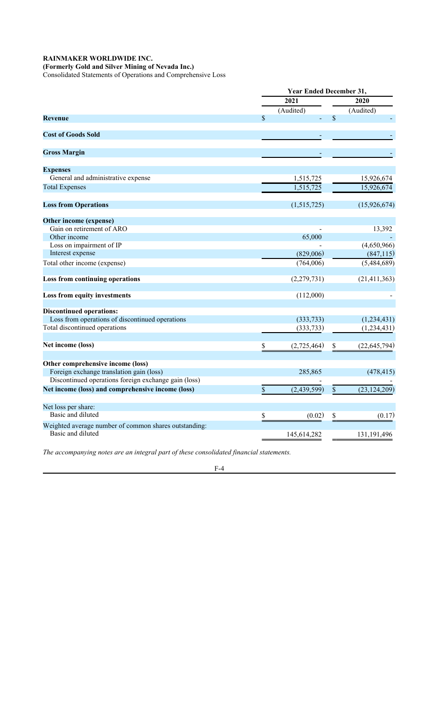**(Formerly Gold and Silver Mining of Nevada Inc.)**

Consolidated Statements of Operations and Comprehensive Loss

|                                                       | <b>Year Ended December 31,</b> |                      |  |
|-------------------------------------------------------|--------------------------------|----------------------|--|
|                                                       | 2021                           | 2020                 |  |
|                                                       | (Audited)                      | (Audited)            |  |
| <b>Revenue</b>                                        | \$                             | \$                   |  |
| <b>Cost of Goods Sold</b>                             |                                |                      |  |
| <b>Gross Margin</b>                                   |                                |                      |  |
|                                                       |                                |                      |  |
| <b>Expenses</b>                                       |                                |                      |  |
| General and administrative expense                    | 1,515,725                      | 15,926,674           |  |
| <b>Total Expenses</b>                                 | 1,515,725                      | 15,926,674           |  |
| <b>Loss from Operations</b>                           | (1,515,725)                    | (15,926,674)         |  |
| Other income (expense)                                |                                |                      |  |
| Gain on retirement of ARO                             |                                | 13,392               |  |
| Other income                                          | 65,000                         |                      |  |
| Loss on impairment of IP                              |                                | (4,650,966)          |  |
| Interest expense                                      | (829,006)                      | (847, 115)           |  |
| Total other income (expense)                          | (764,006)                      | (5,484,689)          |  |
| Loss from continuing operations                       | (2,279,731)                    | (21, 411, 363)       |  |
| <b>Loss from equity investments</b>                   | (112,000)                      |                      |  |
| <b>Discontinued operations:</b>                       |                                |                      |  |
| Loss from operations of discontinued operations       | (333, 733)                     | (1,234,431)          |  |
| Total discontinued operations                         | (333, 733)                     | (1,234,431)          |  |
|                                                       |                                |                      |  |
| Net income (loss)                                     | \$<br>(2,725,464)              | \$<br>(22, 645, 794) |  |
| Other comprehensive income (loss)                     |                                |                      |  |
| Foreign exchange translation gain (loss)              | 285,865                        | (478, 415)           |  |
| Discontinued operations foreign exchange gain (loss)  |                                |                      |  |
| Net income (loss) and comprehensive income (loss)     | \$<br>(2,439,599)              | \$<br>(23, 124, 209) |  |
| Net loss per share:                                   |                                |                      |  |
| Basic and diluted                                     | \$<br>(0.02)                   | \$<br>(0.17)         |  |
| Weighted average number of common shares outstanding: |                                |                      |  |
| Basic and diluted                                     | 145,614,282                    | 131,191,496          |  |

*The accompanying notes are an integral part of these consolidated financial statements.*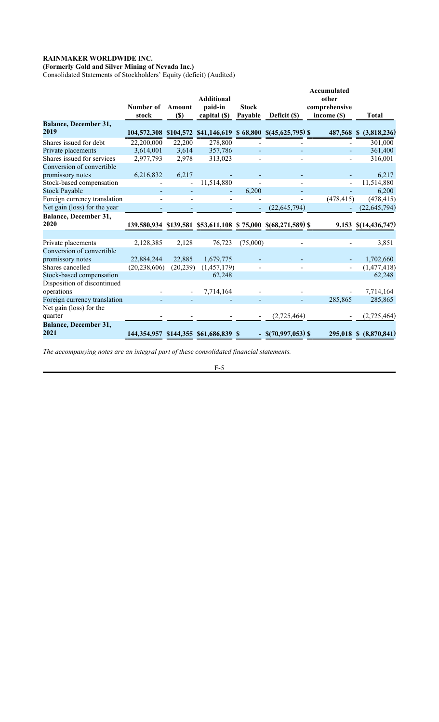**(Formerly Gold and Silver Mining of Nevada Inc.)**

Consolidated Statements of Stockholders' Equity (deficit) (Audited)

|                              | Number of<br>stock | <b>Amount</b><br>(S) | <b>Additional</b><br>paid-in<br>capital (\$) | <b>Stock</b><br>Payable | Deficit (\$)                                                   | Accumulated<br>other<br>comprehensive<br>income (\$) | <b>Total</b>           |
|------------------------------|--------------------|----------------------|----------------------------------------------|-------------------------|----------------------------------------------------------------|------------------------------------------------------|------------------------|
| <b>Balance, December 31,</b> |                    |                      |                                              |                         |                                                                |                                                      |                        |
| 2019                         |                    |                      |                                              |                         | 104,572,308 \$104,572 \$41,146,619 \$68,800 \$(45,625,795) \$  |                                                      | 487,568 \$ (3,818,236) |
| Shares issued for debt       | 22,200,000         | 22,200               | 278,800                                      |                         |                                                                |                                                      | 301,000                |
| Private placements           | 3,614,001          | 3,614                | 357,786                                      |                         |                                                                |                                                      | 361,400                |
| Shares issued for services   | 2,977,793          | 2,978                | 313,023                                      |                         |                                                                |                                                      | 316,001                |
| Conversion of convertible    |                    |                      |                                              |                         |                                                                |                                                      |                        |
| promissory notes             | 6,216,832          | 6,217                |                                              |                         |                                                                |                                                      | 6,217                  |
| Stock-based compensation     |                    |                      | 11,514,880                                   |                         |                                                                |                                                      | 11,514,880             |
| <b>Stock Payable</b>         |                    |                      |                                              | 6,200                   |                                                                |                                                      | 6,200                  |
| Foreign currency translation |                    |                      |                                              |                         |                                                                | (478, 415)                                           | (478, 415)             |
| Net gain (loss) for the year |                    |                      |                                              |                         | (22, 645, 794)                                                 |                                                      | (22, 645, 794)         |
| <b>Balance, December 31,</b> |                    |                      |                                              |                         |                                                                |                                                      |                        |
| 2020                         |                    |                      |                                              |                         | 139,580,934 \$139,581 \$53,611,108 \$ 75,000 \$(68,271,589) \$ |                                                      | 9,153 \$(14,436,747)   |
|                              |                    |                      |                                              |                         |                                                                |                                                      |                        |
| Private placements           | 2,128,385          | 2,128                | 76,723                                       | (75,000)                |                                                                |                                                      | 3,851                  |
| Conversion of convertible    |                    |                      |                                              |                         |                                                                |                                                      |                        |
| promissory notes             | 22,884,244         | 22,885               | 1,679,775                                    |                         |                                                                |                                                      | 1,702,660              |
| Shares cancelled             | (20, 238, 606)     | (20, 239)            | (1,457,179)                                  |                         |                                                                |                                                      | (1,477,418)            |
| Stock-based compensation     |                    |                      | 62,248                                       |                         |                                                                |                                                      | 62,248                 |
| Disposition of discontinued  |                    |                      |                                              |                         |                                                                |                                                      |                        |
| operations                   |                    |                      | 7,714,164                                    |                         |                                                                |                                                      | 7,714,164              |
| Foreign currency translation |                    |                      |                                              |                         |                                                                | 285,865                                              | 285,865                |
| Net gain (loss) for the      |                    |                      |                                              |                         |                                                                |                                                      |                        |
| quarter                      |                    |                      |                                              |                         | (2,725,464)                                                    |                                                      | (2,725,464)            |
| <b>Balance, December 31,</b> |                    |                      |                                              |                         |                                                                |                                                      |                        |
| 2021                         |                    |                      | 144,354,957 \$144,355 \$61,686,839 \$        |                         | $-$ \$(70,997,053) \$                                          |                                                      | 295,018 \$ (8,870,841) |

*The accompanying notes are an integral part of these consolidated financial statements.*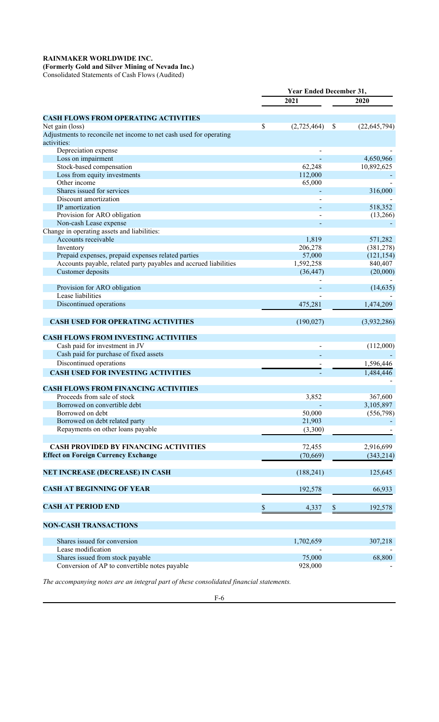**(Formerly Gold and Silver Mining of Nevada Inc.)**

Consolidated Statements of Cash Flows (Audited)

|                                                                    |    | Year Ended December 31, |                      |
|--------------------------------------------------------------------|----|-------------------------|----------------------|
|                                                                    |    | 2021                    | 2020                 |
|                                                                    |    |                         |                      |
| <b>CASH FLOWS FROM OPERATING ACTIVITIES</b>                        |    |                         |                      |
| Net gain (loss)                                                    | \$ | (2,725,464)             | \$<br>(22, 645, 794) |
| Adjustments to reconcile net income to net cash used for operating |    |                         |                      |
| activities:                                                        |    |                         |                      |
| Depreciation expense                                               |    |                         |                      |
| Loss on impairment                                                 |    |                         | 4,650,966            |
| Stock-based compensation                                           |    | 62,248                  | 10,892,625           |
| Loss from equity investments                                       |    | 112,000                 |                      |
| Other income                                                       |    | 65,000                  |                      |
| Shares issued for services                                         |    |                         | 316,000              |
| Discount amortization                                              |    |                         |                      |
| IP amortization                                                    |    |                         | 518,352              |
| Provision for ARO obligation                                       |    |                         | (13,266)             |
| Non-cash Lease expense                                             |    |                         |                      |
| Change in operating assets and liabilities:                        |    |                         |                      |
| Accounts receivable                                                |    | 1,819                   | 571,282              |
| Inventory                                                          |    | 206,278                 | (381, 278)           |
| Prepaid expenses, prepaid expenses related parties                 |    | 57,000                  | (121, 154)           |
| Accounts payable, related party payables and accrued liabilities   |    | 1,592,258               | 840,407              |
| Customer deposits                                                  |    | (36, 447)               | (20,000)             |
|                                                                    |    |                         |                      |
| Provision for ARO obligation                                       |    |                         | (14, 635)            |
| Lease liabilities                                                  |    |                         |                      |
| Discontinued operations                                            |    | 475,281                 | 1,474,209            |
| <b>CASH USED FOR OPERATING ACTIVITIES</b>                          |    | (190, 027)              | (3,932,286)          |
|                                                                    |    |                         |                      |
| <b>CASH FLOWS FROM INVESTING ACTIVITIES</b>                        |    |                         |                      |
| Cash paid for investment in JV                                     |    |                         | (112,000)            |
| Cash paid for purchase of fixed assets                             |    |                         |                      |
| Discontinued operations                                            |    |                         | 1,596,446            |
| <b>CASH USED FOR INVESTING ACTIVITIES</b>                          |    |                         | 1,484,446            |
|                                                                    |    |                         |                      |
| <b>CASH FLOWS FROM FINANCING ACTIVITIES</b>                        |    |                         |                      |
| Proceeds from sale of stock                                        |    | 3,852                   | 367,600              |
| Borrowed on convertible debt                                       |    |                         | 3,105,897            |
| Borrowed on debt                                                   |    | 50,000                  | (556, 798)           |
| Borrowed on debt related party                                     |    | 21,903                  |                      |
| Repayments on other loans payable                                  |    | (3,300)                 |                      |
|                                                                    |    |                         |                      |
| <b>CASH PROVIDED BY FINANCING ACTIVITIES</b>                       |    | 72,455                  | 2,916,699            |
| <b>Effect on Foreign Currency Exchange</b>                         |    | (70,669)                | (343,214)            |
|                                                                    |    |                         |                      |
| <b>NET INCREASE (DECREASE) IN CASH</b>                             |    | (188, 241)              | 125,645              |
| <b>CASH AT BEGINNING OF YEAR</b>                                   |    | 192,578                 | 66,933               |
|                                                                    |    |                         |                      |
| <b>CASH AT PERIOD END</b>                                          | S  | 4,337                   | \$<br>192,578        |
| <b>NON-CASH TRANSACTIONS</b>                                       |    |                         |                      |
|                                                                    |    |                         |                      |
| Shares issued for conversion                                       |    | 1,702,659               | 307,218              |
| Lease modification                                                 |    |                         |                      |
| Shares issued from stock payable                                   |    | 75,000                  | 68,800               |
| Conversion of AP to convertible notes payable                      |    | 928,000                 |                      |

*The accompanying notes are an integral part of these consolidated financial statements.*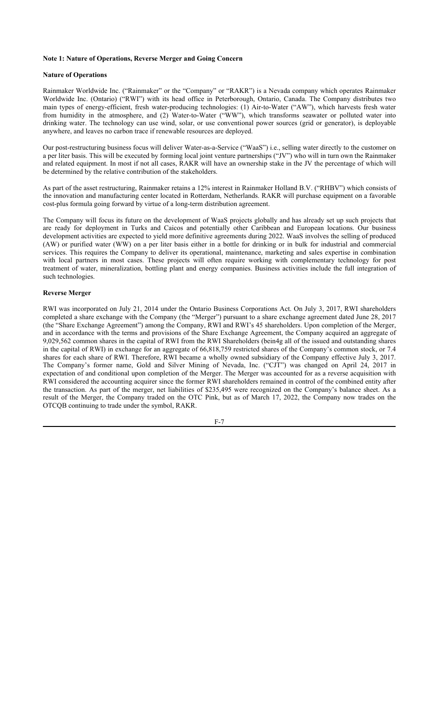#### **Note 1: Nature of Operations, Reverse Merger and Going Concern**

#### **Nature of Operations**

Rainmaker Worldwide Inc. ("Rainmaker" or the "Company" or "RAKR") is a Nevada company which operates Rainmaker Worldwide Inc. (Ontario) ("RWI") with its head office in Peterborough, Ontario, Canada. The Company distributes two main types of energy-efficient, fresh water-producing technologies: (1) Air-to-Water ("AW"), which harvests fresh water from humidity in the atmosphere, and (2) Water-to-Water ("WW"), which transforms seawater or polluted water into drinking water. The technology can use wind, solar, or use conventional power sources (grid or generator), is deployable anywhere, and leaves no carbon trace if renewable resources are deployed.

Our post-restructuring business focus will deliver Water-as-a-Service ("WaaS") i.e., selling water directly to the customer on a per liter basis. This will be executed by forming local joint venture partnerships ("JV") who will in turn own the Rainmaker and related equipment. In most if not all cases, RAKR will have an ownership stake in the JV the percentage of which will be determined by the relative contribution of the stakeholders.

As part of the asset restructuring, Rainmaker retains a 12% interest in Rainmaker Holland B.V. ("RHBV") which consists of the innovation and manufacturing center located in Rotterdam, Netherlands. RAKR will purchase equipment on a favorable cost-plus formula going forward by virtue of a long-term distribution agreement.

The Company will focus its future on the development of WaaS projects globally and has already set up such projects that are ready for deployment in Turks and Caicos and potentially other Caribbean and European locations. Our business development activities are expected to yield more definitive agreements during 2022. WaaS involves the selling of produced (AW) or purified water (WW) on a per liter basis either in a bottle for drinking or in bulk for industrial and commercial services. This requires the Company to deliver its operational, maintenance, marketing and sales expertise in combination with local partners in most cases. These projects will often require working with complementary technology for post treatment of water, mineralization, bottling plant and energy companies. Business activities include the full integration of such technologies.

#### **Reverse Merger**

RWI was incorporated on July 21, 2014 under the Ontario Business Corporations Act. On July 3, 2017, RWI shareholders completed a share exchange with the Company (the "Merger") pursuant to a share exchange agreement dated June 28, 2017 (the "Share Exchange Agreement") among the Company, RWI and RWI's 45 shareholders. Upon completion of the Merger, and in accordance with the terms and provisions of the Share Exchange Agreement, the Company acquired an aggregate of 9,029,562 common shares in the capital of RWI from the RWI Shareholders (bein4g all of the issued and outstanding shares in the capital of RWI) in exchange for an aggregate of 66,818,759 restricted shares of the Company's common stock, or 7.4 shares for each share of RWI. Therefore, RWI became a wholly owned subsidiary of the Company effective July 3, 2017. The Company's former name, Gold and Silver Mining of Nevada, Inc. ("CJT") was changed on April 24, 2017 in expectation of and conditional upon completion of the Merger. The Merger was accounted for as a reverse acquisition with RWI considered the accounting acquirer since the former RWI shareholders remained in control of the combined entity after the transaction. As part of the merger, net liabilities of \$235,495 were recognized on the Company's balance sheet. As a result of the Merger, the Company traded on the OTC Pink, but as of March 17, 2022, the Company now trades on the OTCQB continuing to trade under the symbol, RAKR.

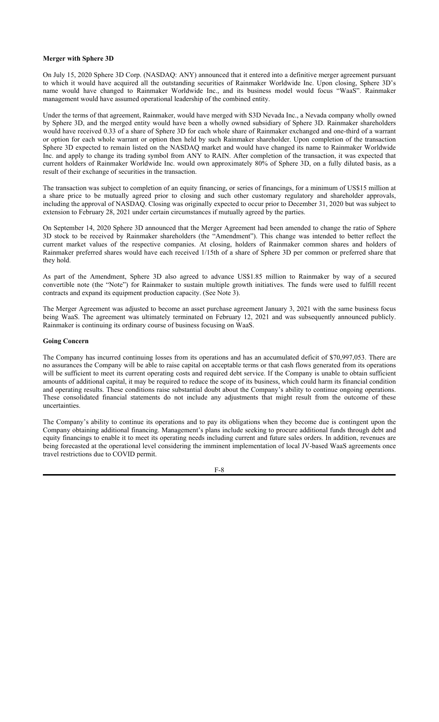#### **Merger with Sphere 3D**

On July 15, 2020 Sphere 3D Corp. (NASDAQ: ANY) announced that it entered into a definitive merger agreement pursuant to which it would have acquired all the outstanding securities of Rainmaker Worldwide Inc. Upon closing, Sphere 3D's name would have changed to Rainmaker Worldwide Inc., and its business model would focus "WaaS". Rainmaker management would have assumed operational leadership of the combined entity.

Under the terms of that agreement, Rainmaker, would have merged with S3D Nevada Inc., a Nevada company wholly owned by Sphere 3D, and the merged entity would have been a wholly owned subsidiary of Sphere 3D. Rainmaker shareholders would have received 0.33 of a share of Sphere 3D for each whole share of Rainmaker exchanged and one-third of a warrant or option for each whole warrant or option then held by such Rainmaker shareholder. Upon completion of the transaction Sphere 3D expected to remain listed on the NASDAQ market and would have changed its name to Rainmaker Worldwide Inc. and apply to change its trading symbol from ANY to RAIN. After completion of the transaction, it was expected that current holders of Rainmaker Worldwide Inc. would own approximately 80% of Sphere 3D, on a fully diluted basis, as a result of their exchange of securities in the transaction.

The transaction was subject to completion of an equity financing, or series of financings, for a minimum of US\$15 million at a share price to be mutually agreed prior to closing and such other customary regulatory and shareholder approvals, including the approval of NASDAQ. Closing was originally expected to occur prior to December 31, 2020 but was subject to extension to February 28, 2021 under certain circumstances if mutually agreed by the parties.

On September 14, 2020 Sphere 3D announced that the Merger Agreement had been amended to change the ratio of Sphere 3D stock to be received by Rainmaker shareholders (the "Amendment"). This change was intended to better reflect the current market values of the respective companies. At closing, holders of Rainmaker common shares and holders of Rainmaker preferred shares would have each received 1/15th of a share of Sphere 3D per common or preferred share that they hold.

As part of the Amendment, Sphere 3D also agreed to advance US\$1.85 million to Rainmaker by way of a secured convertible note (the "Note") for Rainmaker to sustain multiple growth initiatives. The funds were used to fulfill recent contracts and expand its equipment production capacity. (See Note 3).

The Merger Agreement was adjusted to become an asset purchase agreement January 3, 2021 with the same business focus being WaaS. The agreement was ultimately terminated on February 12, 2021 and was subsequently announced publicly. Rainmaker is continuing its ordinary course of business focusing on WaaS.

#### **Going Concern**

The Company has incurred continuing losses from its operations and has an accumulated deficit of \$70,997,053. There are no assurances the Company will be able to raise capital on acceptable terms or that cash flows generated from its operations will be sufficient to meet its current operating costs and required debt service. If the Company is unable to obtain sufficient amounts of additional capital, it may be required to reduce the scope of its business, which could harm its financial condition and operating results. These conditions raise substantial doubt about the Company's ability to continue ongoing operations. These consolidated financial statements do not include any adjustments that might result from the outcome of these uncertainties.

The Company's ability to continue its operations and to pay its obligations when they become due is contingent upon the Company obtaining additional financing. Management's plans include seeking to procure additional funds through debt and equity financings to enable it to meet its operating needs including current and future sales orders. In addition, revenues are being forecasted at the operational level considering the imminent implementation of local JV-based WaaS agreements once travel restrictions due to COVID permit.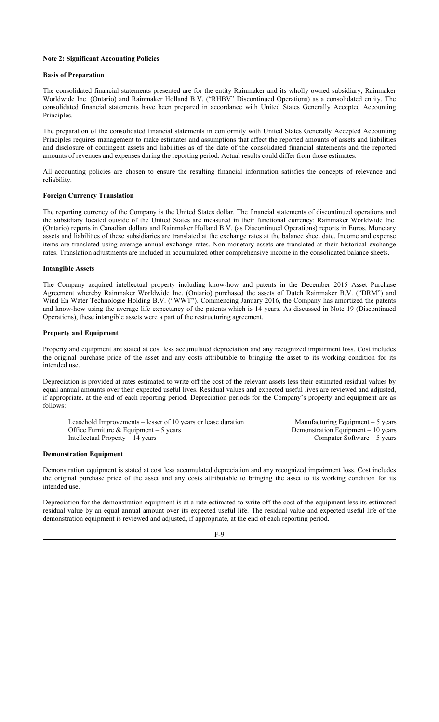#### **Note 2: Significant Accounting Policies**

# **Basis of Preparation**

The consolidated financial statements presented are for the entity Rainmaker and its wholly owned subsidiary, Rainmaker Worldwide Inc. (Ontario) and Rainmaker Holland B.V. ("RHBV" Discontinued Operations) as a consolidated entity. The consolidated financial statements have been prepared in accordance with United States Generally Accepted Accounting Principles.

The preparation of the consolidated financial statements in conformity with United States Generally Accepted Accounting Principles requires management to make estimates and assumptions that affect the reported amounts of assets and liabilities and disclosure of contingent assets and liabilities as of the date of the consolidated financial statements and the reported amounts of revenues and expenses during the reporting period. Actual results could differ from those estimates.

All accounting policies are chosen to ensure the resulting financial information satisfies the concepts of relevance and reliability.

#### **Foreign Currency Translation**

The reporting currency of the Company is the United States dollar. The financial statements of discontinued operations and the subsidiary located outside of the United States are measured in their functional currency: Rainmaker Worldwide Inc. (Ontario) reports in Canadian dollars and Rainmaker Holland B.V. (as Discontinued Operations) reports in Euros. Monetary assets and liabilities of these subsidiaries are translated at the exchange rates at the balance sheet date. Income and expense items are translated using average annual exchange rates. Non-monetary assets are translated at their historical exchange rates. Translation adjustments are included in accumulated other comprehensive income in the consolidated balance sheets.

#### **Intangible Assets**

The Company acquired intellectual property including know-how and patents in the December 2015 Asset Purchase Agreement whereby Rainmaker Worldwide Inc. (Ontario) purchased the assets of Dutch Rainmaker B.V. ("DRM") and Wind En Water Technologie Holding B.V. ("WWT"). Commencing January 2016, the Company has amortized the patents and know-how using the average life expectancy of the patents which is 14 years. As discussed in Note 19 (Discontinued Operations), these intangible assets were a part of the restructuring agreement.

#### **Property and Equipment**

Property and equipment are stated at cost less accumulated depreciation and any recognized impairment loss. Cost includes the original purchase price of the asset and any costs attributable to bringing the asset to its working condition for its intended use.

Depreciation is provided at rates estimated to write off the cost of the relevant assets less their estimated residual values by equal annual amounts over their expected useful lives. Residual values and expected useful lives are reviewed and adjusted, if appropriate, at the end of each reporting period. Depreciation periods for the Company's property and equipment are as follows:

| Leasehold Improvements – lesser of 10 years or lease duration | Manufacturing Equipment $-5$ years  |
|---------------------------------------------------------------|-------------------------------------|
| Office Furniture & Equipment $-5$ years                       | Demonstration Equipment $-10$ years |
| Intellectual Property $-14$ years                             | Computer Software $-5$ years        |

#### **Demonstration Equipment**

Demonstration equipment is stated at cost less accumulated depreciation and any recognized impairment loss. Cost includes the original purchase price of the asset and any costs attributable to bringing the asset to its working condition for its intended use.

Depreciation for the demonstration equipment is at a rate estimated to write off the cost of the equipment less its estimated residual value by an equal annual amount over its expected useful life. The residual value and expected useful life of the demonstration equipment is reviewed and adjusted, if appropriate, at the end of each reporting period.

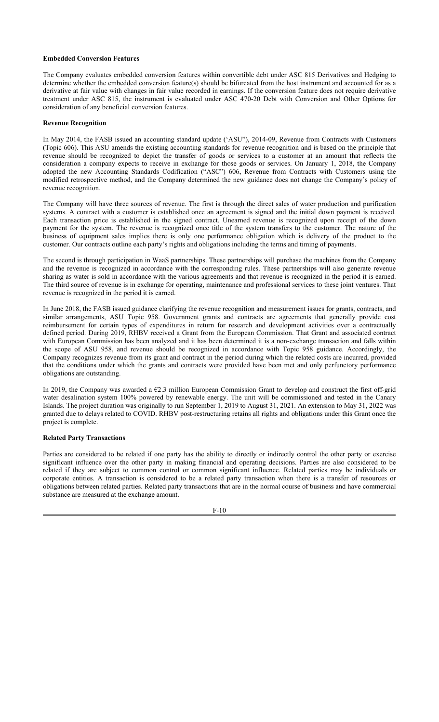#### **Embedded Conversion Features**

The Company evaluates embedded conversion features within convertible debt under ASC 815 Derivatives and Hedging to determine whether the embedded conversion feature(s) should be bifurcated from the host instrument and accounted for as a derivative at fair value with changes in fair value recorded in earnings. If the conversion feature does not require derivative treatment under ASC 815, the instrument is evaluated under ASC 470-20 Debt with Conversion and Other Options for consideration of any beneficial conversion features.

# **Revenue Recognition**

In May 2014, the FASB issued an accounting standard update ('ASU"), 2014-09, Revenue from Contracts with Customers (Topic 606). This ASU amends the existing accounting standards for revenue recognition and is based on the principle that revenue should be recognized to depict the transfer of goods or services to a customer at an amount that reflects the consideration a company expects to receive in exchange for those goods or services. On January 1, 2018, the Company adopted the new Accounting Standards Codification ("ASC") 606, Revenue from Contracts with Customers using the modified retrospective method, and the Company determined the new guidance does not change the Company's policy of revenue recognition.

The Company will have three sources of revenue. The first is through the direct sales of water production and purification systems. A contract with a customer is established once an agreement is signed and the initial down payment is received. Each transaction price is established in the signed contract. Unearned revenue is recognized upon receipt of the down payment for the system. The revenue is recognized once title of the system transfers to the customer. The nature of the business of equipment sales implies there is only one performance obligation which is delivery of the product to the customer. Our contracts outline each party's rights and obligations including the terms and timing of payments.

The second is through participation in WaaS partnerships. These partnerships will purchase the machines from the Company and the revenue is recognized in accordance with the corresponding rules. These partnerships will also generate revenue sharing as water is sold in accordance with the various agreements and that revenue is recognized in the period it is earned. The third source of revenue is in exchange for operating, maintenance and professional services to these joint ventures. That revenue is recognized in the period it is earned.

In June 2018, the FASB issued guidance clarifying the revenue recognition and measurement issues for grants, contracts, and similar arrangements, ASU Topic 958. Government grants and contracts are agreements that generally provide cost reimbursement for certain types of expenditures in return for research and development activities over a contractually defined period. During 2019, RHBV received a Grant from the European Commission. That Grant and associated contract with European Commission has been analyzed and it has been determined it is a non-exchange transaction and falls within the scope of ASU 958, and revenue should be recognized in accordance with Topic 958 guidance. Accordingly, the Company recognizes revenue from its grant and contract in the period during which the related costs are incurred, provided that the conditions under which the grants and contracts were provided have been met and only perfunctory performance obligations are outstanding.

In 2019, the Company was awarded a €2.3 million European Commission Grant to develop and construct the first off-grid water desalination system 100% powered by renewable energy. The unit will be commissioned and tested in the Canary Islands. The project duration was originally to run September 1, 2019 to August 31, 2021. An extension to May 31, 2022 was granted due to delays related to COVID. RHBV post-restructuring retains all rights and obligations under this Grant once the project is complete.

## **Related Party Transactions**

Parties are considered to be related if one party has the ability to directly or indirectly control the other party or exercise significant influence over the other party in making financial and operating decisions. Parties are also considered to be related if they are subject to common control or common significant influence. Related parties may be individuals or corporate entities. A transaction is considered to be a related party transaction when there is a transfer of resources or obligations between related parties. Related party transactions that are in the normal course of business and have commercial substance are measured at the exchange amount.

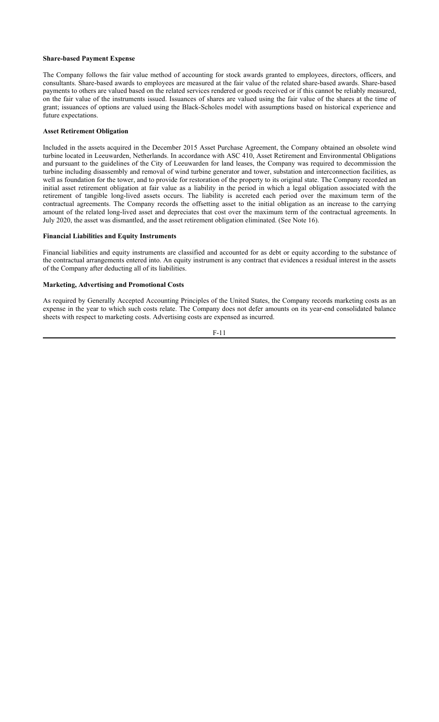#### **Share-based Payment Expense**

The Company follows the fair value method of accounting for stock awards granted to employees, directors, officers, and consultants. Share-based awards to employees are measured at the fair value of the related share-based awards. Share-based payments to others are valued based on the related services rendered or goods received or if this cannot be reliably measured, on the fair value of the instruments issued. Issuances of shares are valued using the fair value of the shares at the time of grant; issuances of options are valued using the Black-Scholes model with assumptions based on historical experience and future expectations.

## **Asset Retirement Obligation**

Included in the assets acquired in the December 2015 Asset Purchase Agreement, the Company obtained an obsolete wind turbine located in Leeuwarden, Netherlands. In accordance with ASC 410, Asset Retirement and Environmental Obligations and pursuant to the guidelines of the City of Leeuwarden for land leases, the Company was required to decommission the turbine including disassembly and removal of wind turbine generator and tower, substation and interconnection facilities, as well as foundation for the tower, and to provide for restoration of the property to its original state. The Company recorded an initial asset retirement obligation at fair value as a liability in the period in which a legal obligation associated with the retirement of tangible long-lived assets occurs. The liability is accreted each period over the maximum term of the contractual agreements. The Company records the offsetting asset to the initial obligation as an increase to the carrying amount of the related long-lived asset and depreciates that cost over the maximum term of the contractual agreements. In July 2020, the asset was dismantled, and the asset retirement obligation eliminated. (See Note 16).

#### **Financial Liabilities and Equity Instruments**

Financial liabilities and equity instruments are classified and accounted for as debt or equity according to the substance of the contractual arrangements entered into. An equity instrument is any contract that evidences a residual interest in the assets of the Company after deducting all of its liabilities.

## **Marketing, Advertising and Promotional Costs**

As required by Generally Accepted Accounting Principles of the United States, the Company records marketing costs as an expense in the year to which such costs relate. The Company does not defer amounts on its year-end consolidated balance sheets with respect to marketing costs. Advertising costs are expensed as incurred.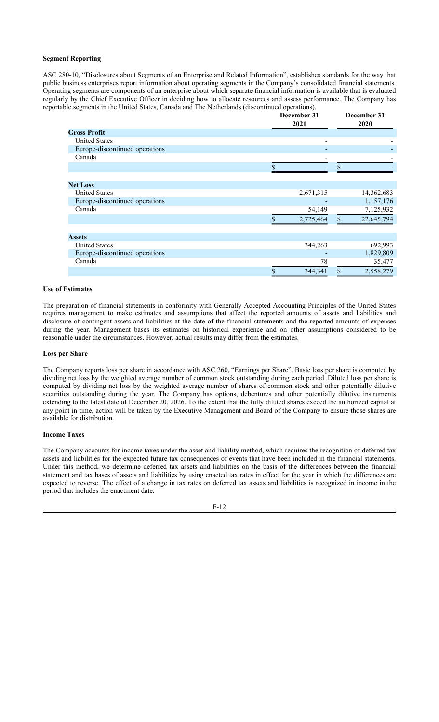### **Segment Reporting**

ASC 280-10, "Disclosures about Segments of an Enterprise and Related Information", establishes standards for the way that public business enterprises report information about operating segments in the Company's consolidated financial statements. Operating segments are components of an enterprise about which separate financial information is available that is evaluated regularly by the Chief Executive Officer in deciding how to allocate resources and assess performance. The Company has reportable segments in the United States, Canada and The Netherlands (discontinued operations).

|                                | December 31<br>2021 |              | December 31<br>2020 |
|--------------------------------|---------------------|--------------|---------------------|
| <b>Gross Profit</b>            |                     |              |                     |
| <b>United States</b>           |                     |              |                     |
| Europe-discontinued operations |                     |              |                     |
| Canada                         |                     |              |                     |
|                                |                     |              |                     |
| <b>Net Loss</b>                |                     |              |                     |
| <b>United States</b>           | 2,671,315           |              | 14,362,683          |
| Europe-discontinued operations |                     |              | 1,157,176           |
| Canada                         |                     | 54,149       | 7,125,932           |
|                                | 2,725,464           | $\mathbb{S}$ | 22,645,794          |
| <b>Assets</b>                  |                     |              |                     |
| <b>United States</b>           | 344,263             |              | 692,993             |
| Europe-discontinued operations |                     |              | 1,829,809           |
| Canada                         |                     | 78           | 35,477              |
|                                | 344,341             | \$           | 2,558,279           |

#### **Use of Estimates**

The preparation of financial statements in conformity with Generally Accepted Accounting Principles of the United States requires management to make estimates and assumptions that affect the reported amounts of assets and liabilities and disclosure of contingent assets and liabilities at the date of the financial statements and the reported amounts of expenses during the year. Management bases its estimates on historical experience and on other assumptions considered to be reasonable under the circumstances. However, actual results may differ from the estimates.

#### **Loss per Share**

The Company reports loss per share in accordance with ASC 260, "Earnings per Share". Basic loss per share is computed by dividing net loss by the weighted average number of common stock outstanding during each period. Diluted loss per share is computed by dividing net loss by the weighted average number of shares of common stock and other potentially dilutive securities outstanding during the year. The Company has options, debentures and other potentially dilutive instruments extending to the latest date of December 20, 2026. To the extent that the fully diluted shares exceed the authorized capital at any point in time, action will be taken by the Executive Management and Board of the Company to ensure those shares are available for distribution.

# **Income Taxes**

The Company accounts for income taxes under the asset and liability method, which requires the recognition of deferred tax assets and liabilities for the expected future tax consequences of events that have been included in the financial statements. Under this method, we determine deferred tax assets and liabilities on the basis of the differences between the financial statement and tax bases of assets and liabilities by using enacted tax rates in effect for the year in which the differences are expected to reverse. The effect of a change in tax rates on deferred tax assets and liabilities is recognized in income in the period that includes the enactment date.

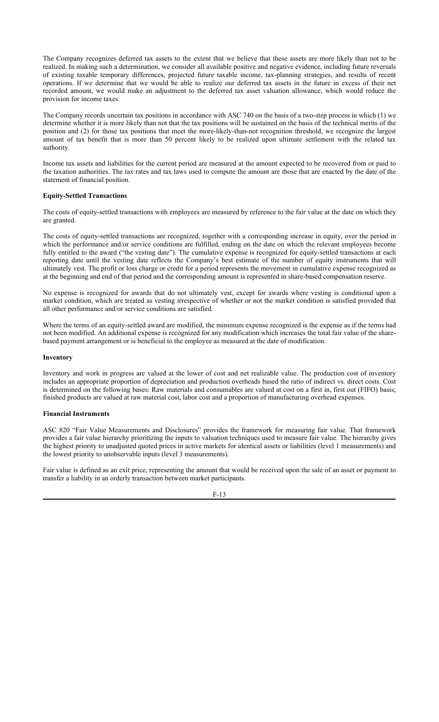The Company recognizes deferred tax assets to the extent that we believe that these assets are more likely than not to be realized. In making such a determination, we consider all available positive and negative evidence, including future reversals of existing taxable temporary differences, projected future taxable income, tax-planning strategies, and results of recent operations. If we determine that we would be able to realize our deferred tax assets in the future in excess of their net recorded amount, we would make an adjustment to the deferred tax asset valuation allowance, which would reduce the provision for income taxes.

The Company records uncertain tax positions in accordance with ASC 740 on the basis of a two-step process in which (1) we determine whether it is more likely than not that the tax positions will be sustained on the basis of the technical merits of the position and (2) for those tax positions that meet the more-likely-than-not recognition threshold, we recognize the largest amount of tax benefit that is more than 50 percent likely to be realized upon ultimate settlement with the related tax authority.

Income tax assets and liabilities for the current period are measured at the amount expected to be recovered from or paid to the taxation authorities. The tax rates and tax laws used to compute the amount are those that are enacted by the date of the statement of financial position.

# **Equity-Settled Transactions**

The costs of equity-settled transactions with employees are measured by reference to the fair value at the date on which they are granted.

The costs of equity-settled transactions are recognized, together with a corresponding increase in equity, over the period in which the performance and/or service conditions are fulfilled, ending on the date on which the relevant employees become fully entitled to the award ("the vesting date"). The cumulative expense is recognized for equity-settled transactions at each reporting date until the vesting date reflects the Company's best estimate of the number of equity instruments that will ultimately vest. The profit or loss charge or credit for a period represents the movement in cumulative expense recognized as at the beginning and end of that period and the corresponding amount is represented in share-based compensation reserve.

No expense is recognized for awards that do not ultimately vest, except for awards where vesting is conditional upon a market condition, which are treated as vesting irrespective of whether or not the market condition is satisfied provided that all other performance and/or service conditions are satisfied.

Where the terms of an equity-settled award are modified, the minimum expense recognized is the expense as if the terms had not been modified. An additional expense is recognized for any modification which increases the total fair value of the sharebased payment arrangement or is beneficial to the employee as measured at the date of modification.

#### **Inventory**

Inventory and work in progress are valued at the lower of cost and net realizable value. The production cost of inventory includes an appropriate proportion of depreciation and production overheads based the ratio of indirect vs. direct costs. Cost is determined on the following bases: Raw materials and consumables are valued at cost on a first in, first out (FIFO) basis; finished products are valued at raw material cost, labor cost and a proportion of manufacturing overhead expenses.

## **Financial Instruments**

ASC 820 "Fair Value Measurements and Disclosures" provides the framework for measuring fair value. That framework provides a fair value hierarchy prioritizing the inputs to valuation techniques used to measure fair value. The hierarchy gives the highest priority to unadjusted quoted prices in active markets for identical assets or liabilities (level 1 measurements) and the lowest priority to unobservable inputs (level 3 measurements).

Fair value is defined as an exit price, representing the amount that would be received upon the sale of an asset or payment to transfer a liability in an orderly transaction between market participants.

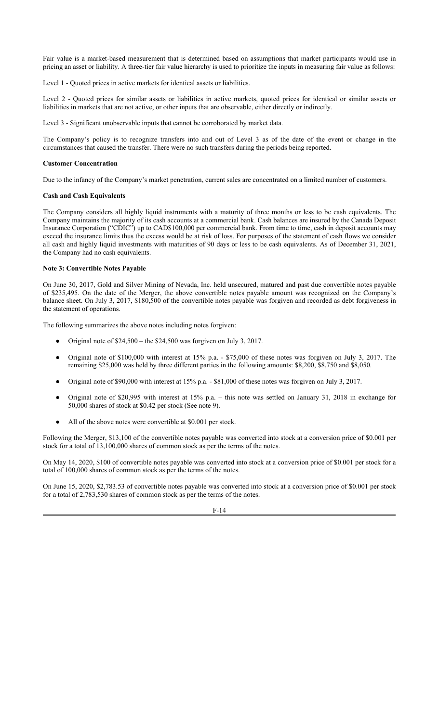Fair value is a market-based measurement that is determined based on assumptions that market participants would use in pricing an asset or liability. A three-tier fair value hierarchy is used to prioritize the inputs in measuring fair value as follows:

Level 1 - Quoted prices in active markets for identical assets or liabilities.

Level 2 - Quoted prices for similar assets or liabilities in active markets, quoted prices for identical or similar assets or liabilities in markets that are not active, or other inputs that are observable, either directly or indirectly.

Level 3 - Significant unobservable inputs that cannot be corroborated by market data.

The Company's policy is to recognize transfers into and out of Level 3 as of the date of the event or change in the circumstances that caused the transfer. There were no such transfers during the periods being reported.

## **Customer Concentration**

Due to the infancy of the Company's market penetration, current sales are concentrated on a limited number of customers.

#### **Cash and Cash Equivalents**

The Company considers all highly liquid instruments with a maturity of three months or less to be cash equivalents. The Company maintains the majority of its cash accounts at a commercial bank. Cash balances are insured by the Canada Deposit Insurance Corporation ("CDIC") up to CAD\$100,000 per commercial bank. From time to time, cash in deposit accounts may exceed the insurance limits thus the excess would be at risk of loss. For purposes of the statement of cash flows we consider all cash and highly liquid investments with maturities of 90 days or less to be cash equivalents. As of December 31, 2021, the Company had no cash equivalents.

### **Note 3: Convertible Notes Payable**

On June 30, 2017, Gold and Silver Mining of Nevada, Inc. held unsecured, matured and past due convertible notes payable of \$235,495. On the date of the Merger, the above convertible notes payable amount was recognized on the Company's balance sheet. On July 3, 2017, \$180,500 of the convertible notes payable was forgiven and recorded as debt forgiveness in the statement of operations.

The following summarizes the above notes including notes forgiven:

- Original note of \$24,500 the \$24,500 was forgiven on July 3, 2017.
- Original note of \$100,000 with interest at 15% p.a. \$75,000 of these notes was forgiven on July 3, 2017. The remaining \$25,000 was held by three different parties in the following amounts: \$8,200, \$8,750 and \$8,050.
- Original note of \$90,000 with interest at 15% p.a. \$81,000 of these notes was forgiven on July 3, 2017.
- Original note of \$20,995 with interest at 15% p.a. this note was settled on January 31, 2018 in exchange for 50,000 shares of stock at \$0.42 per stock (See note 9).
- All of the above notes were convertible at \$0.001 per stock.

Following the Merger, \$13,100 of the convertible notes payable was converted into stock at a conversion price of \$0.001 per stock for a total of 13,100,000 shares of common stock as per the terms of the notes.

On May 14, 2020, \$100 of convertible notes payable was converted into stock at a conversion price of \$0.001 per stock for a total of 100,000 shares of common stock as per the terms of the notes.

On June 15, 2020, \$2,783.53 of convertible notes payable was converted into stock at a conversion price of \$0.001 per stock for a total of 2,783,530 shares of common stock as per the terms of the notes.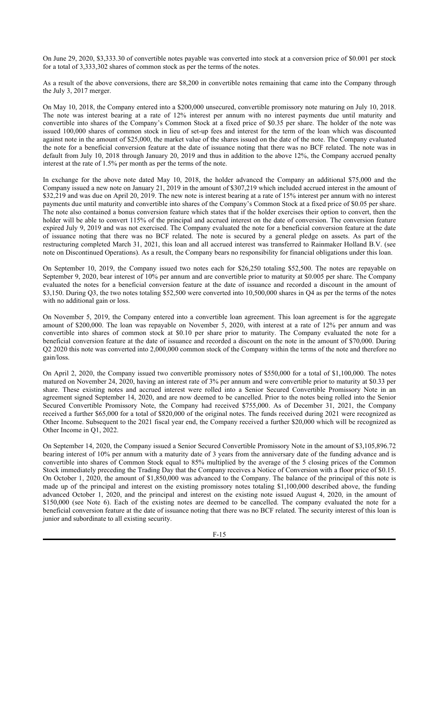On June 29, 2020, \$3,333.30 of convertible notes payable was converted into stock at a conversion price of \$0.001 per stock for a total of 3,333,302 shares of common stock as per the terms of the notes.

As a result of the above conversions, there are \$8,200 in convertible notes remaining that came into the Company through the July 3, 2017 merger.

On May 10, 2018, the Company entered into a \$200,000 unsecured, convertible promissory note maturing on July 10, 2018. The note was interest bearing at a rate of 12% interest per annum with no interest payments due until maturity and convertible into shares of the Company's Common Stock at a fixed price of \$0.35 per share. The holder of the note was issued 100,000 shares of common stock in lieu of set-up fees and interest for the term of the loan which was discounted against note in the amount of \$25,000, the market value of the shares issued on the date of the note. The Company evaluated the note for a beneficial conversion feature at the date of issuance noting that there was no BCF related. The note was in default from July 10, 2018 through January 20, 2019 and thus in addition to the above 12%, the Company accrued penalty interest at the rate of 1.5% per month as per the terms of the note.

In exchange for the above note dated May 10, 2018, the holder advanced the Company an additional \$75,000 and the Company issued a new note on January 21, 2019 in the amount of \$307,219 which included accrued interest in the amount of \$32,219 and was due on April 20, 2019. The new note is interest bearing at a rate of 15% interest per annum with no interest payments due until maturity and convertible into shares of the Company's Common Stock at a fixed price of \$0.05 per share. The note also contained a bonus conversion feature which states that if the holder exercises their option to convert, then the holder will be able to convert 115% of the principal and accrued interest on the date of conversion. The conversion feature expired July 9, 2019 and was not exercised. The Company evaluated the note for a beneficial conversion feature at the date of issuance noting that there was no BCF related. The note is secured by a general pledge on assets. As part of the restructuring completed March 31, 2021, this loan and all accrued interest was transferred to Rainmaker Holland B.V. (see note on Discontinued Operations). As a result, the Company bears no responsibility for financial obligations under this loan.

On September 10, 2019, the Company issued two notes each for \$26,250 totaling \$52,500. The notes are repayable on September 9, 2020, bear interest of 10% per annum and are convertible prior to maturity at \$0.005 per share. The Company evaluated the notes for a beneficial conversion feature at the date of issuance and recorded a discount in the amount of \$3,150. During Q3, the two notes totaling \$52,500 were converted into 10,500,000 shares in Q4 as per the terms of the notes with no additional gain or loss.

On November 5, 2019, the Company entered into a convertible loan agreement. This loan agreement is for the aggregate amount of \$200,000. The loan was repayable on November 5, 2020, with interest at a rate of 12% per annum and was convertible into shares of common stock at \$0.10 per share prior to maturity. The Company evaluated the note for a beneficial conversion feature at the date of issuance and recorded a discount on the note in the amount of \$70,000. During Q2 2020 this note was converted into 2,000,000 common stock of the Company within the terms of the note and therefore no gain/loss.

On April 2, 2020, the Company issued two convertible promissory notes of \$550,000 for a total of \$1,100,000. The notes matured on November 24, 2020, having an interest rate of 3% per annum and were convertible prior to maturity at \$0.33 per share. These existing notes and accrued interest were rolled into a Senior Secured Convertible Promissory Note in an agreement signed September 14, 2020, and are now deemed to be cancelled. Prior to the notes being rolled into the Senior Secured Convertible Promissory Note, the Company had received \$755,000. As of December 31, 2021, the Company received a further \$65,000 for a total of \$820,000 of the original notes. The funds received during 2021 were recognized as Other Income. Subsequent to the 2021 fiscal year end, the Company received a further \$20,000 which will be recognized as Other Income in Q1, 2022.

On September 14, 2020, the Company issued a Senior Secured Convertible Promissory Note in the amount of \$3,105,896.72 bearing interest of 10% per annum with a maturity date of 3 years from the anniversary date of the funding advance and is convertible into shares of Common Stock equal to 85% multiplied by the average of the 5 closing prices of the Common Stock immediately preceding the Trading Day that the Company receives a Notice of Conversion with a floor price of \$0.15. On October 1, 2020, the amount of \$1,850,000 was advanced to the Company. The balance of the principal of this note is made up of the principal and interest on the existing promissory notes totaling \$1,100,000 described above, the funding advanced October 1, 2020, and the principal and interest on the existing note issued August 4, 2020, in the amount of \$150,000 (see Note 6). Each of the existing notes are deemed to be cancelled. The company evaluated the note for a beneficial conversion feature at the date of issuance noting that there was no BCF related. The security interest of this loan is junior and subordinate to all existing security.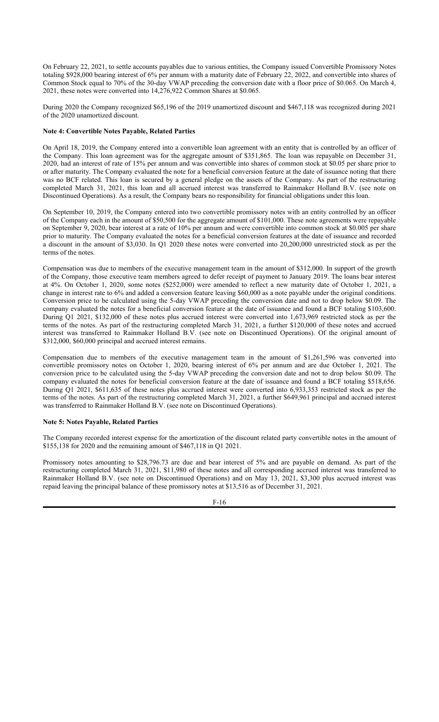On February 22, 2021, to settle accounts payables due to various entities, the Company issued Convertible Promissory Notes totaling \$928,000 bearing interest of 6% per annum with a maturity date of February 22, 2022, and convertible into shares of Common Stock equal to 70% of the 30-day VWAP preceding the conversion date with a floor price of \$0.065. On March 4, 2021, these notes were converted into 14,276,922 Common Shares at \$0.065.

During 2020 the Company recognized \$65,196 of the 2019 unamortized discount and \$467,118 was recognized during 2021 of the 2020 unamortized discount.

## **Note 4: Convertible Notes Payable, Related Parties**

On April 18, 2019, the Company entered into a convertible loan agreement with an entity that is controlled by an officer of the Company. This loan agreement was for the aggregate amount of \$351,865. The loan was repayable on December 31, 2020, had an interest of rate of 15% per annum and was convertible into shares of common stock at \$0.05 per share prior to or after maturity. The Company evaluated the note for a beneficial conversion feature at the date of issuance noting that there was no BCF related. This loan is secured by a general pledge on the assets of the Company. As part of the restructuring completed March 31, 2021, this loan and all accrued interest was transferred to Rainmaker Holland B.V. (see note on Discontinued Operations). As a result, the Company bears no responsibility for financial obligations under this loan.

On September 10, 2019, the Company entered into two convertible promissory notes with an entity controlled by an officer of the Company each in the amount of \$50,500 for the aggregate amount of \$101,000. These note agreements were repayable on September 9, 2020, bear interest at a rate of 10% per annum and were convertible into common stock at \$0.005 per share prior to maturity. The Company evaluated the notes for a beneficial conversion features at the date of issuance and recorded a discount in the amount of \$3,030. In Q1 2020 these notes were converted into 20,200,000 unrestricted stock as per the terms of the notes.

Compensation was due to members of the executive management team in the amount of \$312,000. In support of the growth of the Company, those executive team members agreed to defer receipt of payment to January 2019. The loans bear interest at 4%. On October 1, 2020, some notes (\$252,000) were amended to reflect a new maturity date of October 1, 2021, a change in interest rate to 6% and added a conversion feature leaving \$60,000 as a note payable under the original conditions. Conversion price to be calculated using the 5-day VWAP preceding the conversion date and not to drop below \$0.09. The company evaluated the notes for a beneficial conversion feature at the date of issuance and found a BCF totaling \$103,600. During Q1 2021, \$132,000 of these notes plus accrued interest were converted into 1,673,969 restricted stock as per the terms of the notes. As part of the restructuring completed March 31, 2021, a further \$120,000 of these notes and accrued interest was transferred to Rainmaker Holland B.V. (see note on Discontinued Operations). Of the original amount of \$312,000, \$60,000 principal and accrued interest remains.

Compensation due to members of the executive management team in the amount of \$1,261,596 was converted into convertible promissory notes on October 1, 2020, bearing interest of 6% per annum and are due October 1, 2021. The conversion price to be calculated using the 5-day VWAP preceding the conversion date and not to drop below \$0.09. The company evaluated the notes for beneficial conversion feature at the date of issuance and found a BCF totaling \$518,656. During Q1 2021, \$611,635 of these notes plus accrued interest were converted into 6,933,353 restricted stock as per the terms of the notes. As part of the restructuring completed March 31, 2021, a further \$649,961 principal and accrued interest was transferred to Rainmaker Holland B.V. (see note on Discontinued Operations).

#### **Note 5: Notes Payable, Related Parties**

The Company recorded interest expense for the amortization of the discount related party convertible notes in the amount of \$155,138 for 2020 and the remaining amount of \$467,118 in Q1 2021.

Promissory notes amounting to \$28,796.73 are due and bear interest of 5% and are payable on demand. As part of the restructuring completed March 31, 2021, \$11,980 of these notes and all corresponding accrued interest was transferred to Rainmaker Holland B.V. (see note on Discontinued Operations) and on May 13, 2021, \$3,300 plus accrued interest was repaid leaving the principal balance of these promissory notes at \$13,516 as of December 31, 2021.

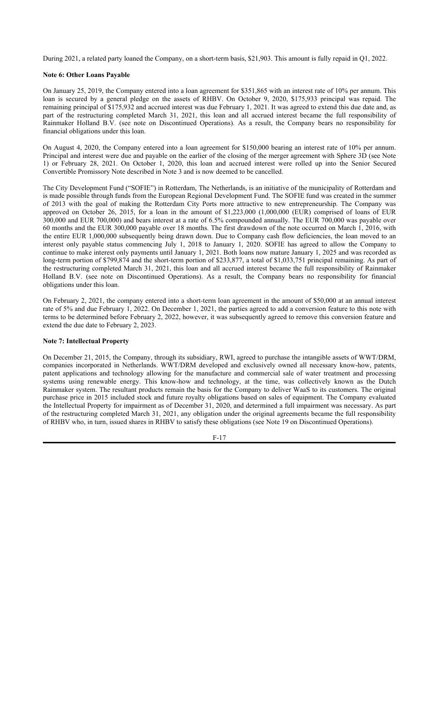During 2021, a related party loaned the Company, on a short-term basis, \$21,903. This amount is fully repaid in Q1, 2022.

## **Note 6: Other Loans Payable**

On January 25, 2019, the Company entered into a loan agreement for \$351,865 with an interest rate of 10% per annum. This loan is secured by a general pledge on the assets of RHBV. On October 9, 2020, \$175,933 principal was repaid. The remaining principal of \$175,932 and accrued interest was due February 1, 2021. It was agreed to extend this due date and, as part of the restructuring completed March 31, 2021, this loan and all accrued interest became the full responsibility of Rainmaker Holland B.V. (see note on Discontinued Operations). As a result, the Company bears no responsibility for financial obligations under this loan.

On August 4, 2020, the Company entered into a loan agreement for \$150,000 bearing an interest rate of 10% per annum. Principal and interest were due and payable on the earlier of the closing of the merger agreement with Sphere 3D (see Note 1) or February 28, 2021. On October 1, 2020, this loan and accrued interest were rolled up into the Senior Secured Convertible Promissory Note described in Note 3 and is now deemed to be cancelled.

The City Development Fund ("SOFIE") in Rotterdam, The Netherlands, is an initiative of the municipality of Rotterdam and is made possible through funds from the European Regional Development Fund. The SOFIE fund was created in the summer of 2013 with the goal of making the Rotterdam City Ports more attractive to new entrepreneurship. The Company was approved on October 26, 2015, for a loan in the amount of \$1,223,000 (1,000,000 (EUR) comprised of loans of EUR 300,000 and EUR 700,000) and bears interest at a rate of 6.5% compounded annually. The EUR 700,000 was payable over 60 months and the EUR 300,000 payable over 18 months. The first drawdown of the note occurred on March 1, 2016, with the entire EUR 1,000,000 subsequently being drawn down. Due to Company cash flow deficiencies, the loan moved to an interest only payable status commencing July 1, 2018 to January 1, 2020. SOFIE has agreed to allow the Company to continue to make interest only payments until January 1, 2021. Both loans now mature January 1, 2025 and was recorded as long-term portion of \$799,874 and the short-term portion of \$233,877, a total of \$1,033,751 principal remaining. As part of the restructuring completed March 31, 2021, this loan and all accrued interest became the full responsibility of Rainmaker Holland B.V. (see note on Discontinued Operations). As a result, the Company bears no responsibility for financial obligations under this loan.

On February 2, 2021, the company entered into a short-term loan agreement in the amount of \$50,000 at an annual interest rate of 5% and due February 1, 2022. On December 1, 2021, the parties agreed to add a conversion feature to this note with terms to be determined before February 2, 2022, however, it was subsequently agreed to remove this conversion feature and extend the due date to February 2, 2023.

#### **Note 7: Intellectual Property**

On December 21, 2015, the Company, through its subsidiary, RWI, agreed to purchase the intangible assets of WWT/DRM, companies incorporated in Netherlands. WWT/DRM developed and exclusively owned all necessary know-how, patents, patent applications and technology allowing for the manufacture and commercial sale of water treatment and processing systems using renewable energy. This know-how and technology, at the time, was collectively known as the Dutch Rainmaker system. The resultant products remain the basis for the Company to deliver WaaS to its customers. The original purchase price in 2015 included stock and future royalty obligations based on sales of equipment. The Company evaluated the Intellectual Property for impairment as of December 31, 2020, and determined a full impairment was necessary. As part of the restructuring completed March 31, 2021, any obligation under the original agreements became the full responsibility of RHBV who, in turn, issued shares in RHBV to satisfy these obligations (see Note 19 on Discontinued Operations).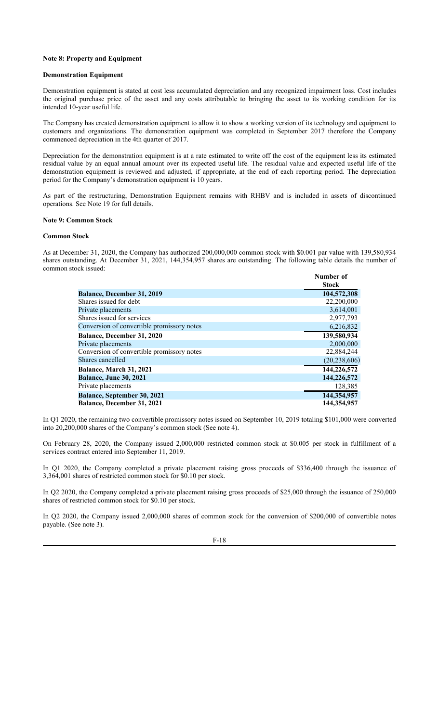#### **Note 8: Property and Equipment**

#### **Demonstration Equipment**

Demonstration equipment is stated at cost less accumulated depreciation and any recognized impairment loss. Cost includes the original purchase price of the asset and any costs attributable to bringing the asset to its working condition for its intended 10-year useful life.

The Company has created demonstration equipment to allow it to show a working version of its technology and equipment to customers and organizations. The demonstration equipment was completed in September 2017 therefore the Company commenced depreciation in the 4th quarter of 2017.

Depreciation for the demonstration equipment is at a rate estimated to write off the cost of the equipment less its estimated residual value by an equal annual amount over its expected useful life. The residual value and expected useful life of the demonstration equipment is reviewed and adjusted, if appropriate, at the end of each reporting period. The depreciation period for the Company's demonstration equipment is 10 years.

As part of the restructuring, Demonstration Equipment remains with RHBV and is included in assets of discontinued operations. See Note 19 for full details.

#### **Note 9: Common Stock**

## **Common Stock**

As at December 31, 2020, the Company has authorized 200,000,000 common stock with \$0.001 par value with 139,580,934 shares outstanding. At December 31, 2021, 144,354,957 shares are outstanding. The following table details the number of common stock issued:

|                                            | Number of<br><b>Stock</b> |
|--------------------------------------------|---------------------------|
| <b>Balance, December 31, 2019</b>          | 104,572,308               |
| Shares issued for debt                     | 22,200,000                |
| Private placements                         | 3,614,001                 |
| Shares issued for services                 | 2,977,793                 |
| Conversion of convertible promissory notes | 6,216,832                 |
| <b>Balance, December 31, 2020</b>          | 139,580,934               |
| Private placements                         | 2,000,000                 |
| Conversion of convertible promissory notes | 22,884,244                |
| Shares cancelled                           | (20, 238, 606)            |
| <b>Balance, March 31, 2021</b>             | 144,226,572               |
| <b>Balance, June 30, 2021</b>              | 144,226,572               |
| Private placements                         | 128,385                   |
| <b>Balance, September 30, 2021</b>         | 144,354,957               |
| <b>Balance, December 31, 2021</b>          | 144,354,957               |

In Q1 2020, the remaining two convertible promissory notes issued on September 10, 2019 totaling \$101,000 were converted into 20,200,000 shares of the Company's common stock (See note 4).

On February 28, 2020, the Company issued 2,000,000 restricted common stock at \$0.005 per stock in fulfillment of a services contract entered into September 11, 2019.

In Q1 2020, the Company completed a private placement raising gross proceeds of \$336,400 through the issuance of 3,364,001 shares of restricted common stock for \$0.10 per stock.

In Q2 2020, the Company completed a private placement raising gross proceeds of \$25,000 through the issuance of 250,000 shares of restricted common stock for \$0.10 per stock.

In Q2 2020, the Company issued 2,000,000 shares of common stock for the conversion of \$200,000 of convertible notes payable. (See note 3).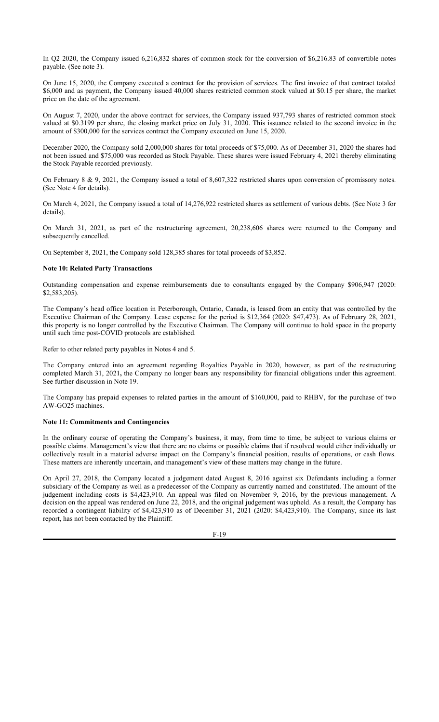In Q2 2020, the Company issued 6,216,832 shares of common stock for the conversion of \$6,216.83 of convertible notes payable. (See note 3).

On June 15, 2020, the Company executed a contract for the provision of services. The first invoice of that contract totaled \$6,000 and as payment, the Company issued 40,000 shares restricted common stock valued at \$0.15 per share, the market price on the date of the agreement.

On August 7, 2020, under the above contract for services, the Company issued 937,793 shares of restricted common stock valued at \$0.3199 per share, the closing market price on July 31, 2020. This issuance related to the second invoice in the amount of \$300,000 for the services contract the Company executed on June 15, 2020.

December 2020, the Company sold 2,000,000 shares for total proceeds of \$75,000. As of December 31, 2020 the shares had not been issued and \$75,000 was recorded as Stock Payable. These shares were issued February 4, 2021 thereby eliminating the Stock Payable recorded previously.

On February 8 & 9, 2021, the Company issued a total of 8,607,322 restricted shares upon conversion of promissory notes. (See Note 4 for details).

On March 4, 2021, the Company issued a total of 14,276,922 restricted shares as settlement of various debts. (See Note 3 for details).

On March 31, 2021, as part of the restructuring agreement, 20,238,606 shares were returned to the Company and subsequently cancelled.

On September 8, 2021, the Company sold 128,385 shares for total proceeds of \$3,852.

#### **Note 10: Related Party Transactions**

Outstanding compensation and expense reimbursements due to consultants engaged by the Company \$906,947 (2020: \$2,583,205).

The Company's head office location in Peterborough, Ontario, Canada, is leased from an entity that was controlled by the Executive Chairman of the Company. Lease expense for the period is \$12,364 (2020: \$47,473). As of February 28, 2021, this property is no longer controlled by the Executive Chairman. The Company will continue to hold space in the property until such time post-COVID protocols are established.

Refer to other related party payables in Notes 4 and 5.

The Company entered into an agreement regarding Royalties Payable in 2020, however, as part of the restructuring completed March 31, 2021**,** the Company no longer bears any responsibility for financial obligations under this agreement. See further discussion in Note 19.

The Company has prepaid expenses to related parties in the amount of \$160,000, paid to RHBV, for the purchase of two AW-GO25 machines.

#### **Note 11: Commitments and Contingencies**

In the ordinary course of operating the Company's business, it may, from time to time, be subject to various claims or possible claims. Management's view that there are no claims or possible claims that if resolved would either individually or collectively result in a material adverse impact on the Company's financial position, results of operations, or cash flows. These matters are inherently uncertain, and management's view of these matters may change in the future.

On April 27, 2018, the Company located a judgement dated August 8, 2016 against six Defendants including a former subsidiary of the Company as well as a predecessor of the Company as currently named and constituted. The amount of the judgement including costs is \$4,423,910. An appeal was filed on November 9, 2016, by the previous management. A decision on the appeal was rendered on June 22, 2018, and the original judgement was upheld. As a result, the Company has recorded a contingent liability of \$4,423,910 as of December 31, 2021 (2020: \$4,423,910). The Company, since its last report, has not been contacted by the Plaintiff.

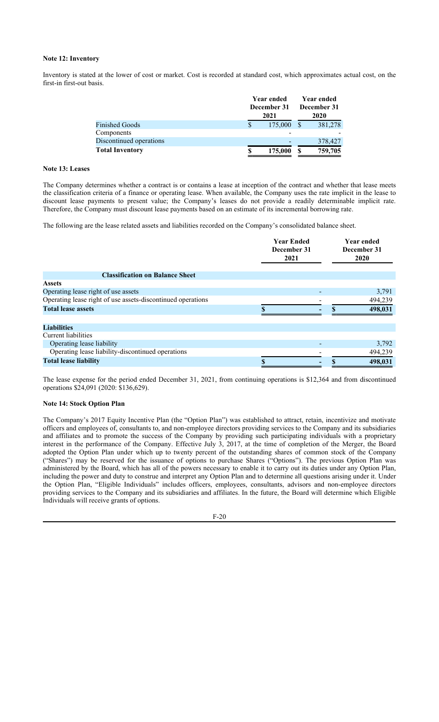#### **Note 12: Inventory**

Inventory is stated at the lower of cost or market. Cost is recorded at standard cost, which approximates actual cost, on the first-in first-out basis.

|                         | Year ended<br>December 31<br>2021 |    | Year ended<br>December 31<br>2020 |
|-------------------------|-----------------------------------|----|-----------------------------------|
| <b>Finished Goods</b>   | 175,000                           | -S | 381,278                           |
| Components              |                                   |    |                                   |
| Discontinued operations |                                   |    | 378,427                           |
| <b>Total Inventory</b>  | 175,000                           | S  | 759,705                           |

#### **Note 13: Leases**

The Company determines whether a contract is or contains a lease at inception of the contract and whether that lease meets the classification criteria of a finance or operating lease. When available, the Company uses the rate implicit in the lease to discount lease payments to present value; the Company's leases do not provide a readily determinable implicit rate. Therefore, the Company must discount lease payments based on an estimate of its incremental borrowing rate.

The following are the lease related assets and liabilities recorded on the Company's consolidated balance sheet.

|                                                             | <b>Year Ended</b><br>December 31<br>2021 | <b>Year ended</b><br>December 31<br>2020 |
|-------------------------------------------------------------|------------------------------------------|------------------------------------------|
| <b>Classification on Balance Sheet</b>                      |                                          |                                          |
| <b>Assets</b>                                               |                                          |                                          |
| Operating lease right of use assets                         |                                          | 3,791                                    |
| Operating lease right of use assets-discontinued operations |                                          | 494,239                                  |
| <b>Total lease assets</b>                                   |                                          | 498,031                                  |
| <b>Liabilities</b>                                          |                                          |                                          |
| Current liabilities                                         |                                          |                                          |
| Operating lease liability                                   |                                          | 3,792                                    |
| Operating lease liability-discontinued operations           |                                          | 494,239                                  |
| <b>Total lease liability</b>                                |                                          | 498,031                                  |

The lease expense for the period ended December 31, 2021, from continuing operations is \$12,364 and from discontinued operations \$24,091 (2020: \$136,629).

## **Note 14: Stock Option Plan**

The Company's 2017 Equity Incentive Plan (the "Option Plan") was established to attract, retain, incentivize and motivate officers and employees of, consultants to, and non-employee directors providing services to the Company and its subsidiaries and affiliates and to promote the success of the Company by providing such participating individuals with a proprietary interest in the performance of the Company. Effective July 3, 2017, at the time of completion of the Merger, the Board adopted the Option Plan under which up to twenty percent of the outstanding shares of common stock of the Company ("Shares") may be reserved for the issuance of options to purchase Shares ("Options"). The previous Option Plan was administered by the Board, which has all of the powers necessary to enable it to carry out its duties under any Option Plan, including the power and duty to construe and interpret any Option Plan and to determine all questions arising under it. Under the Option Plan, "Eligible Individuals" includes officers, employees, consultants, advisors and non-employee directors providing services to the Company and its subsidiaries and affiliates. In the future, the Board will determine which Eligible Individuals will receive grants of options.

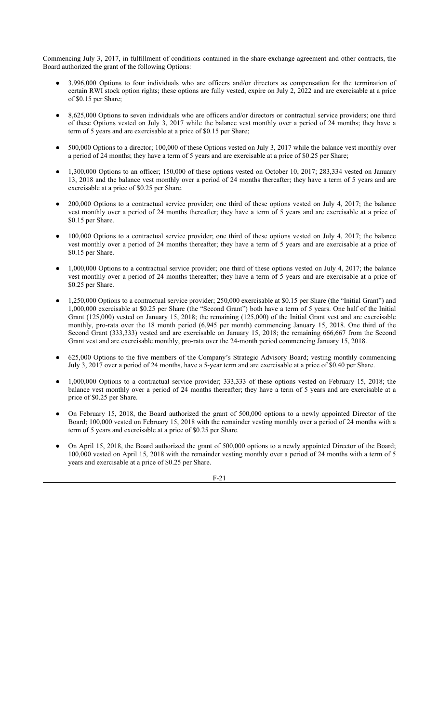Commencing July 3, 2017, in fulfillment of conditions contained in the share exchange agreement and other contracts, the Board authorized the grant of the following Options:

- 3,996,000 Options to four individuals who are officers and/or directors as compensation for the termination of certain RWI stock option rights; these options are fully vested, expire on July 2, 2022 and are exercisable at a price of \$0.15 per Share;
- 8,625,000 Options to seven individuals who are officers and/or directors or contractual service providers; one third of these Options vested on July 3, 2017 while the balance vest monthly over a period of 24 months; they have a term of 5 years and are exercisable at a price of \$0.15 per Share;
- 500,000 Options to a director; 100,000 of these Options vested on July 3, 2017 while the balance vest monthly over a period of 24 months; they have a term of 5 years and are exercisable at a price of \$0.25 per Share;
- 1,300,000 Options to an officer; 150,000 of these options vested on October 10, 2017; 283,334 vested on January 13, 2018 and the balance vest monthly over a period of 24 months thereafter; they have a term of 5 years and are exercisable at a price of \$0.25 per Share.
- 200,000 Options to a contractual service provider; one third of these options vested on July 4, 2017; the balance vest monthly over a period of 24 months thereafter; they have a term of 5 years and are exercisable at a price of \$0.15 per Share.
- 100,000 Options to a contractual service provider; one third of these options vested on July 4, 2017; the balance vest monthly over a period of 24 months thereafter; they have a term of 5 years and are exercisable at a price of \$0.15 per Share.
- 1,000,000 Options to a contractual service provider; one third of these options vested on July 4, 2017; the balance vest monthly over a period of 24 months thereafter; they have a term of 5 years and are exercisable at a price of \$0.25 per Share.
- 1,250,000 Options to a contractual service provider; 250,000 exercisable at \$0.15 per Share (the "Initial Grant") and 1,000,000 exercisable at \$0.25 per Share (the "Second Grant") both have a term of 5 years. One half of the Initial Grant (125,000) vested on January 15, 2018; the remaining (125,000) of the Initial Grant vest and are exercisable monthly, pro-rata over the 18 month period (6,945 per month) commencing January 15, 2018. One third of the Second Grant (333,333) vested and are exercisable on January 15, 2018; the remaining 666,667 from the Second Grant vest and are exercisable monthly, pro-rata over the 24-month period commencing January 15, 2018.
- 625,000 Options to the five members of the Company's Strategic Advisory Board; vesting monthly commencing July 3, 2017 over a period of 24 months, have a 5-year term and are exercisable at a price of \$0.40 per Share.
- 1,000,000 Options to a contractual service provider; 333,333 of these options vested on February 15, 2018; the balance vest monthly over a period of 24 months thereafter; they have a term of 5 years and are exercisable at a price of \$0.25 per Share.
- On February 15, 2018, the Board authorized the grant of 500,000 options to a newly appointed Director of the Board; 100,000 vested on February 15, 2018 with the remainder vesting monthly over a period of 24 months with a term of 5 years and exercisable at a price of \$0.25 per Share.
- On April 15, 2018, the Board authorized the grant of 500,000 options to a newly appointed Director of the Board; 100,000 vested on April 15, 2018 with the remainder vesting monthly over a period of 24 months with a term of 5 years and exercisable at a price of \$0.25 per Share.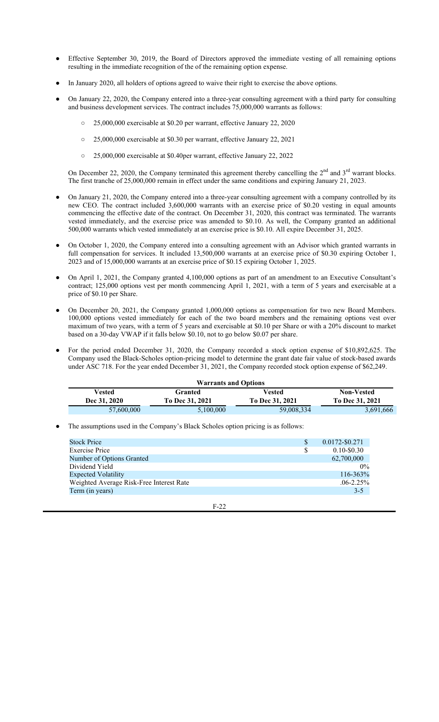- Effective September 30, 2019, the Board of Directors approved the immediate vesting of all remaining options resulting in the immediate recognition of the of the remaining option expense.
- In January 2020, all holders of options agreed to waive their right to exercise the above options.
- On January 22, 2020, the Company entered into a three-year consulting agreement with a third party for consulting and business development services. The contract includes 75,000,000 warrants as follows:
	- 25,000,000 exercisable at \$0.20 per warrant, effective January 22, 2020
	- 25,000,000 exercisable at \$0.30 per warrant, effective January 22, 2021
	- 25,000,000 exercisable at \$0.40per warrant, effective January 22, 2022

On December 22, 2020, the Company terminated this agreement thereby cancelling the 2<sup>nd</sup> and 3<sup>rd</sup> warrant blocks. The first tranche of 25,000,000 remain in effect under the same conditions and expiring January 21, 2023.

- On January 21, 2020, the Company entered into a three-year consulting agreement with a company controlled by its new CEO. The contract included 3,600,000 warrants with an exercise price of \$0.20 vesting in equal amounts commencing the effective date of the contract. On December 31, 2020, this contract was terminated. The warrants vested immediately, and the exercise price was amended to \$0.10. As well, the Company granted an additional 500,000 warrants which vested immediately at an exercise price is \$0.10. All expire December 31, 2025.
- On October 1, 2020, the Company entered into a consulting agreement with an Advisor which granted warrants in full compensation for services. It included 13,500,000 warrants at an exercise price of \$0.30 expiring October 1, 2023 and of 15,000,000 warrants at an exercise price of \$0.15 expiring October 1, 2025.
- On April 1, 2021, the Company granted 4,100,000 options as part of an amendment to an Executive Consultant's contract; 125,000 options vest per month commencing April 1, 2021, with a term of 5 years and exercisable at a price of \$0.10 per Share.
- On December 20, 2021, the Company granted 1,000,000 options as compensation for two new Board Members. 100,000 options vested immediately for each of the two board members and the remaining options vest over maximum of two years, with a term of 5 years and exercisable at \$0.10 per Share or with a 20% discount to market based on a 30-day VWAP if it falls below \$0.10, not to go below \$0.07 per share.
- For the period ended December 31, 2020, the Company recorded a stock option expense of \$10,892,625. The Company used the Black-Scholes option-pricing model to determine the grant date fair value of stock-based awards under ASC 718. For the year ended December 31, 2021, the Company recorded stock option expense of \$62,249.

| <b>Warrants and Options</b> |                 |                        |                   |
|-----------------------------|-----------------|------------------------|-------------------|
| Vested                      | Granted         | Vested                 | <b>Non-Vested</b> |
| Dec 31, 2020                | To Dec 31, 2021 | <b>To Dec 31, 2021</b> | To Dec 31, 2021   |
| 57,600,000                  | 5,100,000       | 59,008,334             | 3,691,666         |

The assumptions used in the Company's Black Scholes option pricing is as follows:

| <b>Stock Price</b>                       | S | $0.0172 - $0.271$ |
|------------------------------------------|---|-------------------|
| Exercise Price                           | S | $0.10 - $0.30$    |
| Number of Options Granted                |   | 62,700,000        |
| Dividend Yield                           |   | 0%                |
| <b>Expected Volatility</b>               |   | 116-363%          |
| Weighted Average Risk-Free Interest Rate |   | $.06 - 2.25\%$    |
| Term (in years)                          |   | $3 - 5$           |
|                                          |   |                   |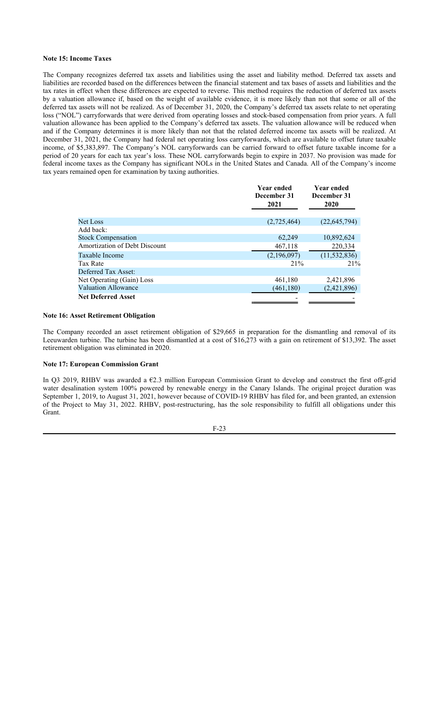#### **Note 15: Income Taxes**

The Company recognizes deferred tax assets and liabilities using the asset and liability method. Deferred tax assets and liabilities are recorded based on the differences between the financial statement and tax bases of assets and liabilities and the tax rates in effect when these differences are expected to reverse. This method requires the reduction of deferred tax assets by a valuation allowance if, based on the weight of available evidence, it is more likely than not that some or all of the deferred tax assets will not be realized. As of December 31, 2020, the Company's deferred tax assets relate to net operating loss ("NOL") carryforwards that were derived from operating losses and stock-based compensation from prior years. A full valuation allowance has been applied to the Company's deferred tax assets. The valuation allowance will be reduced when and if the Company determines it is more likely than not that the related deferred income tax assets will be realized. At December 31, 2021, the Company had federal net operating loss carryforwards, which are available to offset future taxable income, of \$5,383,897. The Company's NOL carryforwards can be carried forward to offset future taxable income for a period of 20 years for each tax year's loss. These NOL carryforwards begin to expire in 2037. No provision was made for federal income taxes as the Company has significant NOLs in the United States and Canada. All of the Company's income tax years remained open for examination by taxing authorities.

|                               | <b>Year ended</b><br>December 31<br>2021 | <b>Year ended</b><br>December 31<br>2020 |
|-------------------------------|------------------------------------------|------------------------------------------|
| <b>Net Loss</b>               | (2,725,464)                              | (22, 645, 794)                           |
| Add back:                     |                                          |                                          |
| <b>Stock Compensation</b>     | 62,249                                   | 10,892,624                               |
| Amortization of Debt Discount | 467,118                                  | 220,334                                  |
| Taxable Income                | (2,196,097)                              | (11, 532, 836)                           |
| Tax Rate                      | 21%                                      | 21%                                      |
| Deferred Tax Asset:           |                                          |                                          |
| Net Operating (Gain) Loss     | 461,180                                  | 2,421,896                                |
| Valuation Allowance           | (461, 180)                               | (2,421,896)                              |
| <b>Net Deferred Asset</b>     |                                          |                                          |

## **Note 16: Asset Retirement Obligation**

The Company recorded an asset retirement obligation of \$29,665 in preparation for the dismantling and removal of its Leeuwarden turbine. The turbine has been dismantled at a cost of \$16,273 with a gain on retirement of \$13,392. The asset retirement obligation was eliminated in 2020.

#### **Note 17: European Commission Grant**

In Q3 2019, RHBV was awarded a €2.3 million European Commission Grant to develop and construct the first off-grid water desalination system 100% powered by renewable energy in the Canary Islands. The original project duration was September 1, 2019, to August 31, 2021, however because of COVID-19 RHBV has filed for, and been granted, an extension of the Project to May 31, 2022. RHBV, post-restructuring, has the sole responsibility to fulfill all obligations under this Grant.

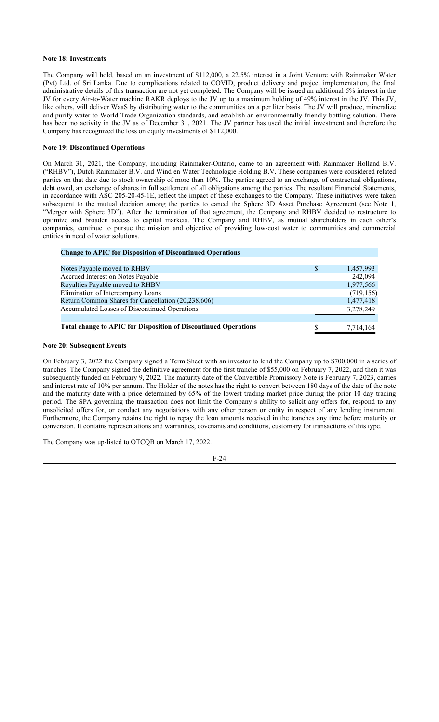#### **Note 18: Investments**

The Company will hold, based on an investment of \$112,000, a 22.5% interest in a Joint Venture with Rainmaker Water (Pvt) Ltd. of Sri Lanka. Due to complications related to COVID, product delivery and project implementation, the final administrative details of this transaction are not yet completed. The Company will be issued an additional 5% interest in the JV for every Air-to-Water machine RAKR deploys to the JV up to a maximum holding of 49% interest in the JV. This JV, like others, will deliver WaaS by distributing water to the communities on a per liter basis. The JV will produce, mineralize and purify water to World Trade Organization standards, and establish an environmentally friendly bottling solution. There has been no activity in the JV as of December 31, 2021. The JV partner has used the initial investment and therefore the Company has recognized the loss on equity investments of \$112,000.

## **Note 19: Discontinued Operations**

On March 31, 2021, the Company, including Rainmaker-Ontario, came to an agreement with Rainmaker Holland B.V. ("RHBV"), Dutch Rainmaker B.V. and Wind en Water Technologie Holding B.V. These companies were considered related parties on that date due to stock ownership of more than 10%. The parties agreed to an exchange of contractual obligations, debt owed, an exchange of shares in full settlement of all obligations among the parties. The resultant Financial Statements, in accordance with ASC 205-20-45-1E, reflect the impact of these exchanges to the Company. These initiatives were taken subsequent to the mutual decision among the parties to cancel the Sphere 3D Asset Purchase Agreement (see Note 1, "Merger with Sphere 3D"). After the termination of that agreement, the Company and RHBV decided to restructure to optimize and broaden access to capital markets. The Company and RHBV, as mutual shareholders in each other's companies, continue to pursue the mission and objective of providing low-cost water to communities and commercial entities in need of water solutions.

## **Change to APIC for Disposition of Discontinued Operations**

| Notes Payable moved to RHBV                                            | S | 1,457,993  |
|------------------------------------------------------------------------|---|------------|
| <b>Accrued Interest on Notes Payable</b>                               |   | 242,094    |
| Royalties Payable moved to RHBV                                        |   | 1,977,566  |
| Elimination of Intercompany Loans                                      |   | (719, 156) |
| Return Common Shares for Cancellation (20,238,606)                     |   | 1,477,418  |
| Accumulated Losses of Discontinued Operations                          |   | 3,278,249  |
|                                                                        |   |            |
| <b>Total change to APIC for Disposition of Discontinued Operations</b> |   | 7,714,164  |

#### **Note 20: Subsequent Events**

On February 3, 2022 the Company signed a Term Sheet with an investor to lend the Company up to \$700,000 in a series of tranches. The Company signed the definitive agreement for the first tranche of \$55,000 on February 7, 2022, and then it was subsequently funded on February 9, 2022. The maturity date of the Convertible Promissory Note is February 7, 2023, carries and interest rate of 10% per annum. The Holder of the notes has the right to convert between 180 days of the date of the note and the maturity date with a price determined by 65% of the lowest trading market price during the prior 10 day trading period. The SPA governing the transaction does not limit the Company's ability to solicit any offers for, respond to any unsolicited offers for, or conduct any negotiations with any other person or entity in respect of any lending instrument. Furthermore, the Company retains the right to repay the loan amounts received in the tranches any time before maturity or conversion. It contains representations and warranties, covenants and conditions, customary for transactions of this type.

The Company was up-listed to OTCQB on March 17, 2022.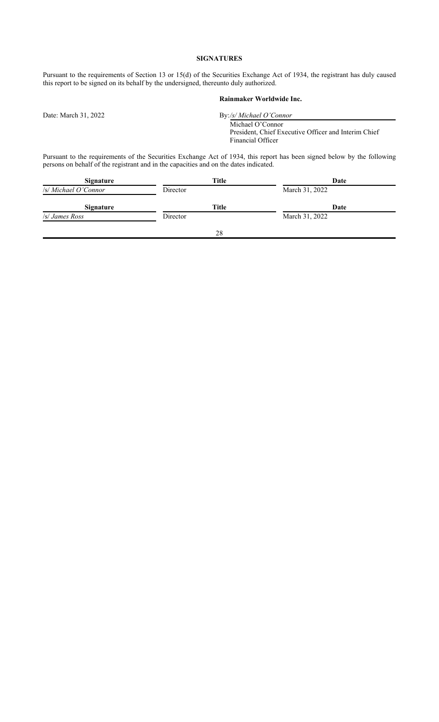# **SIGNATURES**

Pursuant to the requirements of Section 13 or 15(d) of the Securities Exchange Act of 1934, the registrant has duly caused this report to be signed on its behalf by the undersigned, thereunto duly authorized.

# **Rainmaker Worldwide Inc.**

Date: March 31, 2022 By:/s/ Michael O'Connor Michael O'Connor President, Chief Executive Officer and Interim Chief Financial Officer

Pursuant to the requirements of the Securities Exchange Act of 1934, this report has been signed below by the following persons on behalf of the registrant and in the capacities and on the dates indicated.

| <b>Signature</b>     | <b>Title</b> | Date           |
|----------------------|--------------|----------------|
| /s/ Michael O'Connor | Director     | March 31, 2022 |
| <b>Signature</b>     | <b>Title</b> | Date           |
| /s/ James Ross       | Director     | March 31, 2022 |
|                      | 28           |                |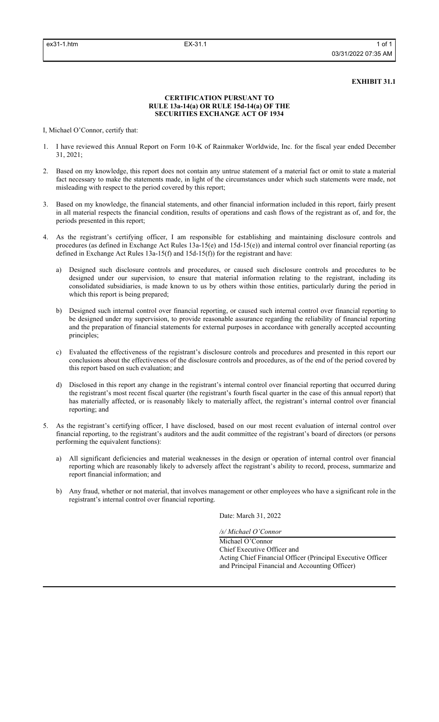# **EXHIBIT 31.1**

### **CERTIFICATION PURSUANT TO RULE 13a-14(a) OR RULE 15d-14(a) OF THE SECURITIES EXCHANGE ACT OF 1934**

I, Michael O'Connor, certify that:

- 1. I have reviewed this Annual Report on Form 10-K of Rainmaker Worldwide, Inc. for the fiscal year ended December 31, 2021;
- 2. Based on my knowledge, this report does not contain any untrue statement of a material fact or omit to state a material fact necessary to make the statements made, in light of the circumstances under which such statements were made, not misleading with respect to the period covered by this report;
- 3. Based on my knowledge, the financial statements, and other financial information included in this report, fairly present in all material respects the financial condition, results of operations and cash flows of the registrant as of, and for, the periods presented in this report;
- 4. As the registrant's certifying officer, I am responsible for establishing and maintaining disclosure controls and procedures (as defined in Exchange Act Rules 13a-15(e) and 15d-15(e)) and internal control over financial reporting (as defined in Exchange Act Rules 13a-15(f) and 15d-15(f)) for the registrant and have:
	- a) Designed such disclosure controls and procedures, or caused such disclosure controls and procedures to be designed under our supervision, to ensure that material information relating to the registrant, including its consolidated subsidiaries, is made known to us by others within those entities, particularly during the period in which this report is being prepared;
	- b) Designed such internal control over financial reporting, or caused such internal control over financial reporting to be designed under my supervision, to provide reasonable assurance regarding the reliability of financial reporting and the preparation of financial statements for external purposes in accordance with generally accepted accounting principles;
	- c) Evaluated the effectiveness of the registrant's disclosure controls and procedures and presented in this report our conclusions about the effectiveness of the disclosure controls and procedures, as of the end of the period covered by this report based on such evaluation; and
	- d) Disclosed in this report any change in the registrant's internal control over financial reporting that occurred during the registrant's most recent fiscal quarter (the registrant's fourth fiscal quarter in the case of this annual report) that has materially affected, or is reasonably likely to materially affect, the registrant's internal control over financial reporting; and
- 5. As the registrant's certifying officer, I have disclosed, based on our most recent evaluation of internal control over financial reporting, to the registrant's auditors and the audit committee of the registrant's board of directors (or persons performing the equivalent functions):
	- a) All significant deficiencies and material weaknesses in the design or operation of internal control over financial reporting which are reasonably likely to adversely affect the registrant's ability to record, process, summarize and report financial information; and
	- b) Any fraud, whether or not material, that involves management or other employees who have a significant role in the registrant's internal control over financial reporting.

Date: March 31, 2022

*/s/ Michael O'Connor* 

Michael O'Connor Chief Executive Officer and Acting Chief Financial Officer (Principal Executive Officer and Principal Financial and Accounting Officer)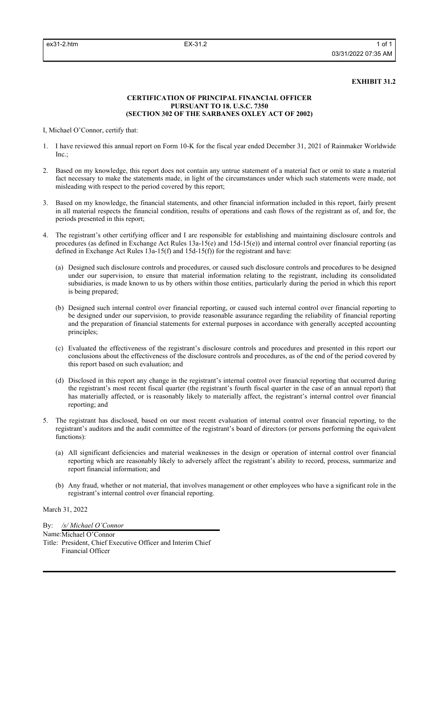# **EXHIBIT 31.2**

## **CERTIFICATION OF PRINCIPAL FINANCIAL OFFICER PURSUANT TO 18. U.S.C. 7350 (SECTION 302 OF THE SARBANES OXLEY ACT OF 2002)**

I, Michael O'Connor, certify that:

- 1. I have reviewed this annual report on Form 10-K for the fiscal year ended December 31, 2021 of Rainmaker Worldwide Inc.;
- 2. Based on my knowledge, this report does not contain any untrue statement of a material fact or omit to state a material fact necessary to make the statements made, in light of the circumstances under which such statements were made, not misleading with respect to the period covered by this report;
- 3. Based on my knowledge, the financial statements, and other financial information included in this report, fairly present in all material respects the financial condition, results of operations and cash flows of the registrant as of, and for, the periods presented in this report;
- 4. The registrant's other certifying officer and I are responsible for establishing and maintaining disclosure controls and procedures (as defined in Exchange Act Rules 13a-15(e) and 15d-15(e)) and internal control over financial reporting (as defined in Exchange Act Rules 13a-15(f) and 15d-15(f)) for the registrant and have:
	- (a) Designed such disclosure controls and procedures, or caused such disclosure controls and procedures to be designed under our supervision, to ensure that material information relating to the registrant, including its consolidated subsidiaries, is made known to us by others within those entities, particularly during the period in which this report is being prepared;
	- (b) Designed such internal control over financial reporting, or caused such internal control over financial reporting to be designed under our supervision, to provide reasonable assurance regarding the reliability of financial reporting and the preparation of financial statements for external purposes in accordance with generally accepted accounting principles;
	- (c) Evaluated the effectiveness of the registrant's disclosure controls and procedures and presented in this report our conclusions about the effectiveness of the disclosure controls and procedures, as of the end of the period covered by this report based on such evaluation; and
	- (d) Disclosed in this report any change in the registrant's internal control over financial reporting that occurred during the registrant's most recent fiscal quarter (the registrant's fourth fiscal quarter in the case of an annual report) that has materially affected, or is reasonably likely to materially affect, the registrant's internal control over financial reporting; and
- 5. The registrant has disclosed, based on our most recent evaluation of internal control over financial reporting, to the registrant's auditors and the audit committee of the registrant's board of directors (or persons performing the equivalent functions):
	- (a) All significant deficiencies and material weaknesses in the design or operation of internal control over financial reporting which are reasonably likely to adversely affect the registrant's ability to record, process, summarize and report financial information; and
	- (b) Any fraud, whether or not material, that involves management or other employees who have a significant role in the registrant's internal control over financial reporting.

March 31, 2022

By: */s/ Michael O'Connor*

Name: Michael O'Connor

Title: President, Chief Executive Officer and Interim Chief Financial Officer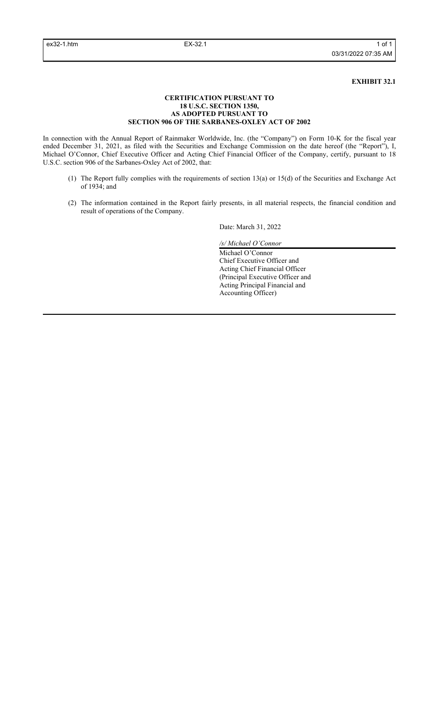# **EXHIBIT 32.1**

## **CERTIFICATION PURSUANT TO 18 U.S.C. SECTION 1350, AS ADOPTED PURSUANT TO SECTION 906 OF THE SARBANES-OXLEY ACT OF 2002**

In connection with the Annual Report of Rainmaker Worldwide, Inc. (the "Company") on Form 10-K for the fiscal year ended December 31, 2021, as filed with the Securities and Exchange Commission on the date hereof (the "Report"), I, Michael O'Connor, Chief Executive Officer and Acting Chief Financial Officer of the Company, certify, pursuant to 18 U.S.C. section 906 of the Sarbanes-Oxley Act of 2002, that:

- (1) The Report fully complies with the requirements of section 13(a) or 15(d) of the Securities and Exchange Act of 1934; and
- (2) The information contained in the Report fairly presents, in all material respects, the financial condition and result of operations of the Company.

Date: March 31, 2022

*/s/ Michael O'Connor* 

Michael O'Connor Chief Executive Officer and Acting Chief Financial Officer (Principal Executive Officer and Acting Principal Financial and Accounting Officer)